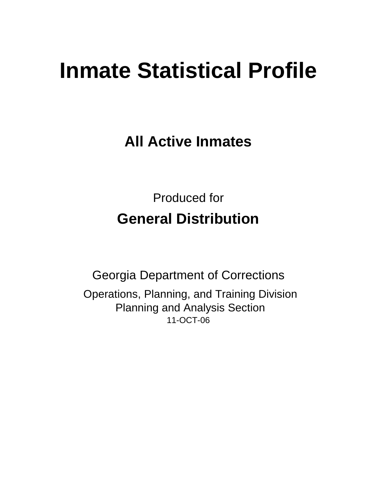# **Inmate Statistical Profile**

**All Active Inmates**

Produced for **General Distribution**

11-OCT-06 Georgia Department of Corrections Operations, Planning, and Training Division Planning and Analysis Section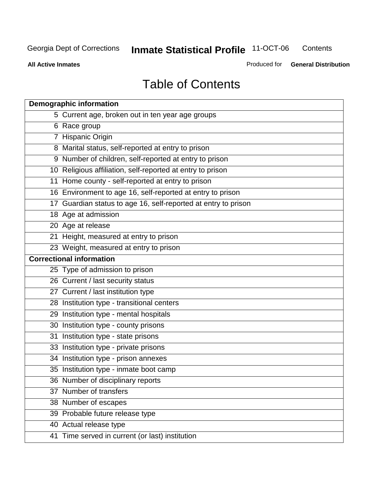**Contents** 

**All Active Inmates**

Produced for **General Distribution**

# Table of Contents

| <b>Demographic information</b>                                 |
|----------------------------------------------------------------|
| 5 Current age, broken out in ten year age groups               |
| 6 Race group                                                   |
| 7 Hispanic Origin                                              |
| 8 Marital status, self-reported at entry to prison             |
| 9 Number of children, self-reported at entry to prison         |
| 10 Religious affiliation, self-reported at entry to prison     |
| 11 Home county - self-reported at entry to prison              |
| 16 Environment to age 16, self-reported at entry to prison     |
| 17 Guardian status to age 16, self-reported at entry to prison |
| 18 Age at admission                                            |
| 20 Age at release                                              |
| 21 Height, measured at entry to prison                         |
| 23 Weight, measured at entry to prison                         |
| <b>Correctional information</b>                                |
| 25 Type of admission to prison                                 |
| 26 Current / last security status                              |
| 27 Current / last institution type                             |
| 28 Institution type - transitional centers                     |
| 29 Institution type - mental hospitals                         |
| 30 Institution type - county prisons                           |
| 31 Institution type - state prisons                            |
| 33 Institution type - private prisons                          |
| 34 Institution type - prison annexes                           |
| 35 Institution type - inmate boot camp                         |
| 36 Number of disciplinary reports                              |
| 37 Number of transfers                                         |
| 38 Number of escapes                                           |
| 39 Probable future release type                                |
| 40 Actual release type                                         |
| 41 Time served in current (or last) institution                |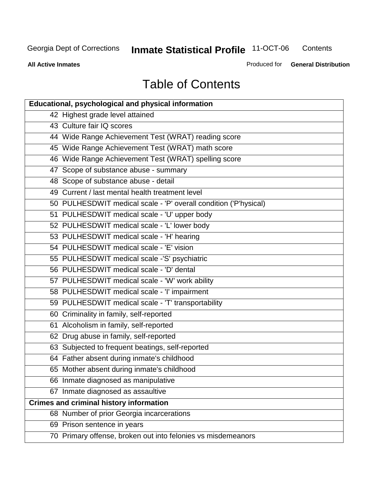**Contents** 

**All Active Inmates**

Produced for **General Distribution**

# Table of Contents

| <b>Educational, psychological and physical information</b>       |
|------------------------------------------------------------------|
| 42 Highest grade level attained                                  |
| 43 Culture fair IQ scores                                        |
| 44 Wide Range Achievement Test (WRAT) reading score              |
| 45 Wide Range Achievement Test (WRAT) math score                 |
| 46 Wide Range Achievement Test (WRAT) spelling score             |
| 47 Scope of substance abuse - summary                            |
| 48 Scope of substance abuse - detail                             |
| 49 Current / last mental health treatment level                  |
| 50 PULHESDWIT medical scale - 'P' overall condition ('P'hysical) |
| 51 PULHESDWIT medical scale - 'U' upper body                     |
| 52 PULHESDWIT medical scale - 'L' lower body                     |
| 53 PULHESDWIT medical scale - 'H' hearing                        |
| 54 PULHESDWIT medical scale - 'E' vision                         |
| 55 PULHESDWIT medical scale -'S' psychiatric                     |
| 56 PULHESDWIT medical scale - 'D' dental                         |
| 57 PULHESDWIT medical scale - 'W' work ability                   |
| 58 PULHESDWIT medical scale - 'I' impairment                     |
| 59 PULHESDWIT medical scale - 'T' transportability               |
| 60 Criminality in family, self-reported                          |
| 61 Alcoholism in family, self-reported                           |
| 62 Drug abuse in family, self-reported                           |
| 63 Subjected to frequent beatings, self-reported                 |
| 64 Father absent during inmate's childhood                       |
| 65 Mother absent during inmate's childhood                       |
| 66 Inmate diagnosed as manipulative                              |
| 67 Inmate diagnosed as assaultive                                |
| <b>Crimes and criminal history information</b>                   |
| 68 Number of prior Georgia incarcerations                        |
| 69 Prison sentence in years                                      |
| 70 Primary offense, broken out into felonies vs misdemeanors     |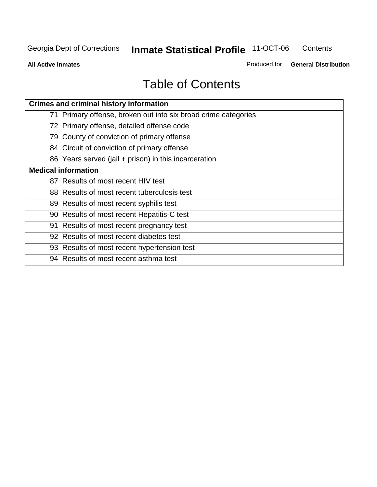**Contents** 

**All Active Inmates**

Produced for **General Distribution**

# Table of Contents

| <b>Crimes and criminal history information</b>                 |
|----------------------------------------------------------------|
| 71 Primary offense, broken out into six broad crime categories |
| 72 Primary offense, detailed offense code                      |
| 79 County of conviction of primary offense                     |
| 84 Circuit of conviction of primary offense                    |
| 86 Years served (jail + prison) in this incarceration          |
| <b>Medical information</b>                                     |
| 87 Results of most recent HIV test                             |
| 88 Results of most recent tuberculosis test                    |
| 89 Results of most recent syphilis test                        |
| 90 Results of most recent Hepatitis-C test                     |
| 91 Results of most recent pregnancy test                       |
| 92 Results of most recent diabetes test                        |
| 93 Results of most recent hypertension test                    |
| 94 Results of most recent asthma test                          |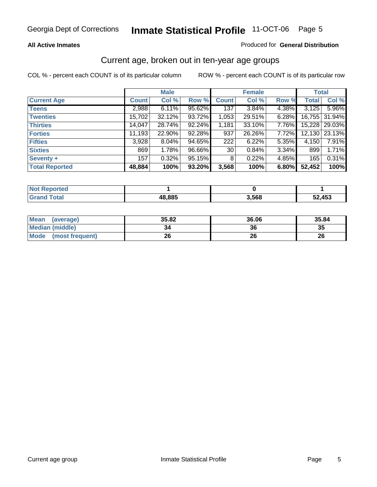#### **All Active Inmates**

#### Produced for **General Distribution**

### Current age, broken out in ten-year age groups

|                       |              | <b>Male</b> |        |              | <b>Female</b> |          | <b>Total</b> |               |
|-----------------------|--------------|-------------|--------|--------------|---------------|----------|--------------|---------------|
| <b>Current Age</b>    | <b>Count</b> | Col %       | Row %  | <b>Count</b> | Col %         | Row %    | <b>Total</b> | Col %         |
| <b>Teens</b>          | 2,988        | 6.11%       | 95.62% | 137          | 3.84%         | 4.38%    | 3,125        | 5.96%         |
| <b>Twenties</b>       | 15,702       | $32.12\%$   | 93.72% | 1,053        | 29.51%        | $6.28\%$ |              | 16,755 31.94% |
| <b>Thirties</b>       | 14,047       | 28.74%      | 92.24% | 1,181        | 33.10%        | 7.76%    |              | 15,228 29.03% |
| <b>Forties</b>        | 11,193       | 22.90%      | 92.28% | 937          | 26.26%        | 7.72%    | 12,130       | 23.13%        |
| <b>Fifties</b>        | 3,928        | $8.04\%$    | 94.65% | 222          | 6.22%         | $5.35\%$ | 4,150        | 7.91%         |
| <b>Sixties</b>        | 869          | 1.78%       | 96.66% | 30           | 0.84%         | 3.34%    | 899          | 1.71%         |
| Seventy +             | 157          | 0.32%       | 95.15% | 8            | 0.22%         | 4.85%    | 165          | 0.31%         |
| <b>Total Reported</b> | 48,884       | 100%        | 93.20% | 3,568        | 100%          | 6.80%    | 52,452       | 100%          |

| <b>Not Reported</b> |        |       |        |
|---------------------|--------|-------|--------|
| <b>Total</b>        | 18,885 | 3,568 | 52,453 |

| <b>Mean</b><br>(average) | 35.82 | 36.06 | 35.84 |
|--------------------------|-------|-------|-------|
| <b>Median (middle)</b>   | 34    | 36    | 35    |
| Mode<br>(most frequent)  | 26    | 26    | 26    |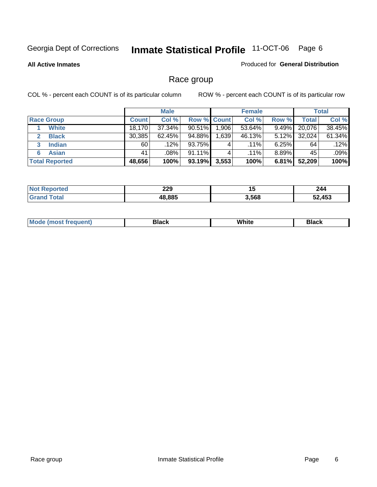**All Active Inmates**

#### Produced for **General Distribution**

### Race group

|                       |              | <b>Male</b> |                    |        | <b>Female</b> |          |        | <b>Total</b> |
|-----------------------|--------------|-------------|--------------------|--------|---------------|----------|--------|--------------|
| <b>Race Group</b>     | <b>Count</b> | Col %       | <b>Row % Count</b> |        | Col %         | Row %    | Total  | Col %        |
| <b>White</b>          | 18,170       | 37.34%      | $90.51\%$          | ا 906. | 53.64%        | 9.49%    | 20,076 | 38.45%       |
| <b>Black</b>          | 30,385       | 62.45%      | 94.88%             | .639   | 46.13%        | $5.12\%$ | 32,024 | 61.34%       |
| <b>Indian</b><br>3    | 60           | $.12\%$     | 93.75%             |        | $.11\%$       | 6.25%    | 64     | .12%         |
| <b>Asian</b>          | 41           | $.08\%$     | 91.11%             |        | $.11\%$       | $8.89\%$ | 45     | .09%         |
| <b>Total Reported</b> | 48,656       | 100%        | 93.19%             | 3,553  | 100%          | 6.81%    | 52,209 | 100%         |

| 229    | . .   | 244 |
|--------|-------|-----|
| $\sim$ | יי    |     |
| 48.885 | 3,568 |     |

|  | $Mc$ | Black | White<br>$ -$ | 21904<br>DIACK |
|--|------|-------|---------------|----------------|
|--|------|-------|---------------|----------------|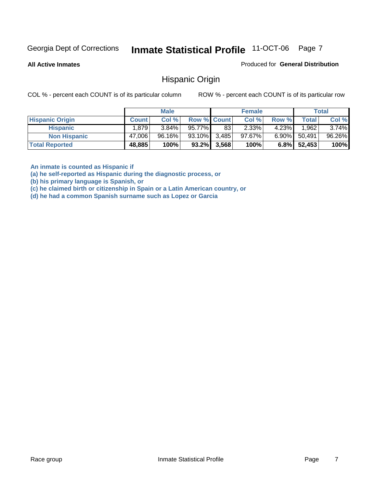**All Active Inmates**

Produced for **General Distribution**

### Hispanic Origin

COL % - percent each COUNT is of its particular column ROW % - percent each COUNT is of its particular row

|                        |              | <b>Male</b> |                    |                | <b>Female</b> |          |              | <b>Total</b> |
|------------------------|--------------|-------------|--------------------|----------------|---------------|----------|--------------|--------------|
| <b>Hispanic Origin</b> | <b>Count</b> | Col %       | <b>Row % Count</b> |                | Col %         | Row %    | <b>Total</b> | Col %        |
| <b>Hispanic</b>        | 1,879        | $3.84\%$    | 95.77%             | 83             | $2.33\%$      | 4.23%    | 1.962        | $3.74\%$     |
| <b>Non Hispanic</b>    | 47,006       | $96.16\%$   | 93.10% 3,485       |                | $97.67\%$     | $6.90\%$ | 50,491       | 96.26%       |
| <b>Total Reported</b>  | 48,885       | 100%        |                    | $93.2\%$ 3,568 | 100%          | $6.8\%$  | 52,453       | 100%         |

**An inmate is counted as Hispanic if** 

**(a) he self-reported as Hispanic during the diagnostic process, or** 

**(b) his primary language is Spanish, or** 

**(c) he claimed birth or citizenship in Spain or a Latin American country, or** 

**(d) he had a common Spanish surname such as Lopez or Garcia**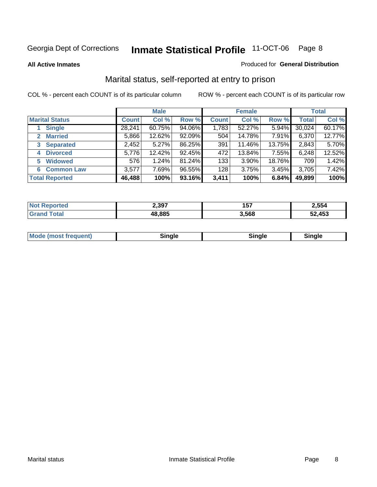**All Active Inmates**

#### Produced for **General Distribution**

### Marital status, self-reported at entry to prison

|                                | <b>Male</b>  |        |        | <b>Female</b> |        |        | <b>Total</b> |        |
|--------------------------------|--------------|--------|--------|---------------|--------|--------|--------------|--------|
| <b>Marital Status</b>          | <b>Count</b> | Col %  | Row %  | <b>Count</b>  | Col %  | Row %  | <b>Total</b> | Col %  |
| <b>Single</b>                  | 28,241       | 60.75% | 94.06% | 1,783         | 52.27% | 5.94%  | 30,024       | 60.17% |
| <b>Married</b><br>$\mathbf{2}$ | 5,866        | 12.62% | 92.09% | 504           | 14.78% | 7.91%  | 6,370        | 12.77% |
| <b>Separated</b><br>3          | 2,452        | 5.27%  | 86.25% | 391           | 11.46% | 13.75% | 2,843        | 5.70%  |
| <b>Divorced</b><br>4           | 5,776        | 12.42% | 92.45% | 472           | 13.84% | 7.55%  | 6,248        | 12.52% |
| <b>Widowed</b><br>5            | 576          | 1.24%  | 81.24% | 133           | 3.90%  | 18.76% | 709          | 1.42%  |
| <b>Common Law</b><br>6.        | 3,577        | 7.69%  | 96.55% | 128           | 3.75%  | 3.45%  | 3,705        | 7.42%  |
| <b>Total Reported</b>          | 46,488       | 100%   | 93.16% | 3,411         | 100%   | 6.84%  | 49,899       | 100%   |

| 2,397  | 157<br>1 J I | 2,554  |
|--------|--------------|--------|
| 18.885 | 3.568        | 52,453 |

|  | Mode (most f<br>freauent) | `ınale |  | `inale |
|--|---------------------------|--------|--|--------|
|--|---------------------------|--------|--|--------|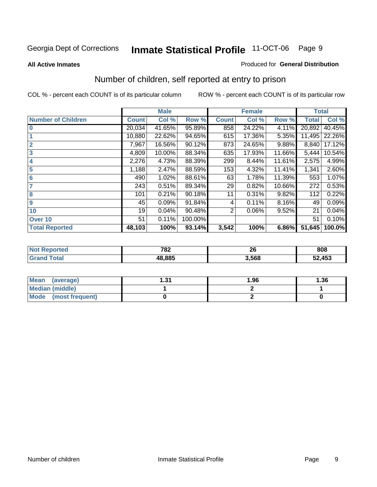#### **All Active Inmates**

#### Produced for **General Distribution**

### Number of children, self reported at entry to prison

|                           |              | <b>Male</b> |         |              | <b>Female</b> |        | <b>Total</b> |        |
|---------------------------|--------------|-------------|---------|--------------|---------------|--------|--------------|--------|
| <b>Number of Children</b> | <b>Count</b> | Col %       | Row %   | <b>Count</b> | Col %         | Row %  | <b>Total</b> | Col %  |
| $\bf{0}$                  | 20,034       | 41.65%      | 95.89%  | 858          | 24.22%        | 4.11%  | 20,892       | 40.45% |
|                           | 10,880       | 22.62%      | 94.65%  | 615          | 17.36%        | 5.35%  | 11,495       | 22.26% |
| $\overline{2}$            | 7,967        | 16.56%      | 90.12%  | 873          | 24.65%        | 9.88%  | 8,840        | 17.12% |
| 3                         | 4,809        | 10.00%      | 88.34%  | 635          | 17.93%        | 11.66% | 5,444        | 10.54% |
| 4                         | 2,276        | 4.73%       | 88.39%  | 299          | 8.44%         | 11.61% | 2,575        | 4.99%  |
| 5                         | 1,188        | 2.47%       | 88.59%  | 153          | 4.32%         | 11.41% | 1,341        | 2.60%  |
| $6\phantom{a}$            | 490          | 1.02%       | 88.61%  | 63           | 1.78%         | 11.39% | 553          | 1.07%  |
| 7                         | 243          | 0.51%       | 89.34%  | 29           | 0.82%         | 10.66% | 272          | 0.53%  |
| 8                         | 101          | 0.21%       | 90.18%  | 11           | 0.31%         | 9.82%  | 112          | 0.22%  |
| 9                         | 45           | 0.09%       | 91.84%  | 4            | 0.11%         | 8.16%  | 49           | 0.09%  |
| 10                        | 19           | 0.04%       | 90.48%  | 2            | 0.06%         | 9.52%  | 21           | 0.04%  |
| Over 10                   | 51           | 0.11%       | 100.00% |              |               |        | 51           | 0.10%  |
| <b>Total Reported</b>     | 48,103       | 100%        | 93.14%  | 3,542        | 100%          | 6.86%  | 51,645       | 100.0% |

| 702<br>1 O Z | - -<br>∼<br>$\sim$ | 808                |
|--------------|--------------------|--------------------|
| 10 OOE<br>റാ | .568               | 2,453<br>-л<br>∍ ا |

| Mean<br>(average)              | - 24<br>ا پ. | 1.96 | 1.36 |
|--------------------------------|--------------|------|------|
| <b>Median (middle)</b>         |              |      |      |
| <b>Mode</b><br>(most frequent) |              |      |      |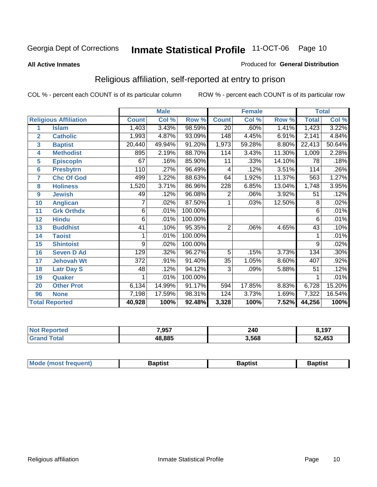#### **All Active Inmates**

#### Produced for **General Distribution**

### Religious affiliation, self-reported at entry to prison

|                  |                              | <b>Male</b>  |        |         |                 | <b>Female</b>             |        | <b>Total</b>    |        |
|------------------|------------------------------|--------------|--------|---------|-----------------|---------------------------|--------|-----------------|--------|
|                  | <b>Religious Affiliation</b> | <b>Count</b> | Col %  | Row %   | <b>Count</b>    | $\overline{\text{Col}}$ % | Row %  | <b>Total</b>    | Col %  |
| 1                | <b>Islam</b>                 | 1,403        | 3.43%  | 98.59%  | $\overline{20}$ | .60%                      | 1.41%  | 1,423           | 3.22%  |
| $\overline{2}$   | <b>Catholic</b>              | 1,993        | 4.87%  | 93.09%  | 148             | 4.45%                     | 6.91%  | 2,141           | 4.84%  |
| 3                | <b>Baptist</b>               | 20,440       | 49.94% | 91.20%  | 1,973           | 59.28%                    | 8.80%  | 22,413          | 50.64% |
| 4                | <b>Methodist</b>             | 895          | 2.19%  | 88.70%  | 114             | 3.43%                     | 11.30% | 1,009           | 2.28%  |
| 5                | <b>EpiscopIn</b>             | 67           | .16%   | 85.90%  | 11              | .33%                      | 14.10% | 78              | .18%   |
| 6                | <b>Presbytrn</b>             | 110          | .27%   | 96.49%  | 4               | .12%                      | 3.51%  | 114             | .26%   |
| 7                | <b>Chc Of God</b>            | 499          | 1.22%  | 88.63%  | 64              | 1.92%                     | 11.37% | 563             | 1.27%  |
| 8                | <b>Holiness</b>              | 1,520        | 3.71%  | 86.96%  | 228             | 6.85%                     | 13.04% | 1,748           | 3.95%  |
| $\boldsymbol{9}$ | <b>Jewish</b>                | 49           | .12%   | 96.08%  | 2               | .06%                      | 3.92%  | 51              | .12%   |
| 10               | <b>Anglican</b>              | 7            | .02%   | 87.50%  | 1               | .03%                      | 12.50% | 8               | .02%   |
| 11               | <b>Grk Orthdx</b>            | 6            | .01%   | 100.00% |                 |                           |        | $\overline{6}$  | .01%   |
| 12               | <b>Hindu</b>                 | 6            | .01%   | 100.00% |                 |                           |        | 6               | .01%   |
| 13               | <b>Buddhist</b>              | 41           | .10%   | 95.35%  | $\overline{2}$  | .06%                      | 4.65%  | $\overline{43}$ | .10%   |
| 14               | <b>Taoist</b>                |              | .01%   | 100.00% |                 |                           |        |                 | .01%   |
| 15               | <b>Shintoist</b>             | 9            | .02%   | 100.00% |                 |                           |        | 9               | .02%   |
| 16               | <b>Seven D Ad</b>            | 129          | .32%   | 96.27%  | 5               | .15%                      | 3.73%  | 134             | .30%   |
| 17               | <b>Jehovah Wt</b>            | 372          | .91%   | 91.40%  | 35              | 1.05%                     | 8.60%  | 407             | .92%   |
| 18               | <b>Latr Day S</b>            | 48           | .12%   | 94.12%  | $\overline{3}$  | .09%                      | 5.88%  | 51              | .12%   |
| 19               | Quaker                       |              | .01%   | 100.00% |                 |                           |        |                 | .01%   |
| 20               | <b>Other Prot</b>            | 6,134        | 14.99% | 91.17%  | 594             | 17.85%                    | 8.83%  | 6,728           | 15.20% |
| 96               | <b>None</b>                  | 7,198        | 17.59% | 98.31%  | 124             | 3.73%                     | 1.69%  | 7,322           | 16.54% |
|                  | <b>Total Reported</b>        | 40,928       | 100%   | 92.48%  | 3,328           | 100%                      | 7.52%  | 44,256          | 100%   |

| orted<br>NO. | 7,957  | 240   | 8,197  |
|--------------|--------|-------|--------|
| <b>otal</b>  | 48,885 | 3,568 | 52,453 |

| <b>Mode</b><br>rouenu<br><b>TION</b> | Rantiet | 3aptist | Baptist |
|--------------------------------------|---------|---------|---------|
|                                      |         |         |         |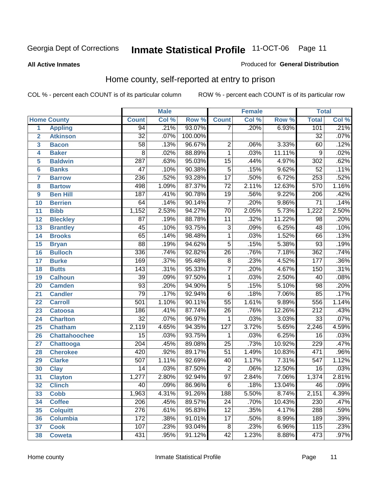#### **All Active Inmates**

#### Produced for **General Distribution**

### Home county, self-reported at entry to prison

|                |                      |                  | <b>Male</b> |         |                  | <b>Female</b> |        |                  | <b>Total</b> |  |  |
|----------------|----------------------|------------------|-------------|---------|------------------|---------------|--------|------------------|--------------|--|--|
|                | <b>Home County</b>   | <b>Count</b>     | Col %       | Row %   | <b>Count</b>     | Col %         | Row %  | <b>Total</b>     | Col %        |  |  |
| 1              | <b>Appling</b>       | 94               | .21%        | 93.07%  | 7                | .20%          | 6.93%  | 101              | .21%         |  |  |
| $\overline{2}$ | <b>Atkinson</b>      | $\overline{32}$  | .07%        | 100.00% |                  |               |        | $\overline{32}$  | .07%         |  |  |
| 3              | <b>Bacon</b>         | 58               | .13%        | 96.67%  | $\overline{2}$   | .06%          | 3.33%  | 60               | .12%         |  |  |
| 4              | <b>Baker</b>         | $\overline{8}$   | .02%        | 88.89%  | $\overline{1}$   | .03%          | 11.11% | 9                | .02%         |  |  |
| 5              | <b>Baldwin</b>       | $\overline{287}$ | .63%        | 95.03%  | $\overline{15}$  | .44%          | 4.97%  | 302              | .62%         |  |  |
| $6\phantom{a}$ | <b>Banks</b>         | $\overline{47}$  | .10%        | 90.38%  | $\overline{5}$   | .15%          | 9.62%  | $\overline{52}$  | .11%         |  |  |
| $\overline{7}$ | <b>Barrow</b>        | 236              | .52%        | 93.28%  | $\overline{17}$  | .50%          | 6.72%  | 253              | .52%         |  |  |
| 8              | <b>Bartow</b>        | 498              | 1.09%       | 87.37%  | $\overline{72}$  | 2.11%         | 12.63% | 570              | 1.16%        |  |  |
| 9              | <b>Ben Hill</b>      | 187              | .41%        | 90.78%  | $\overline{19}$  | .56%          | 9.22%  | $\overline{206}$ | .42%         |  |  |
| 10             | <b>Berrien</b>       | 64               | .14%        | 90.14%  | $\overline{7}$   | .20%          | 9.86%  | $\overline{71}$  | .14%         |  |  |
| 11             | <b>Bibb</b>          | 1,152            | 2.53%       | 94.27%  | 70               | 2.05%         | 5.73%  | 1,222            | 2.50%        |  |  |
| 12             | <b>Bleckley</b>      | $\overline{87}$  | .19%        | 88.78%  | $\overline{11}$  | .32%          | 11.22% | $\overline{98}$  | .20%         |  |  |
| 13             | <b>Brantley</b>      | $\overline{45}$  | .10%        | 93.75%  | $\overline{3}$   | .09%          | 6.25%  | 48               | .10%         |  |  |
| 14             | <b>Brooks</b>        | $\overline{65}$  | .14%        | 98.48%  | $\overline{1}$   | .03%          | 1.52%  | 66               | .13%         |  |  |
| 15             | <b>Bryan</b>         | $\overline{88}$  | .19%        | 94.62%  | $\overline{5}$   | .15%          | 5.38%  | 93               | .19%         |  |  |
| 16             | <b>Bulloch</b>       | 336              | .74%        | 92.82%  | $\overline{26}$  | .76%          | 7.18%  | 362              | .74%         |  |  |
| 17             | <b>Burke</b>         | 169              | .37%        | 95.48%  | $\overline{8}$   | .23%          | 4.52%  | 177              | .36%         |  |  |
| 18             | <b>Butts</b>         | 143              | .31%        | 95.33%  | $\overline{7}$   | .20%          | 4.67%  | 150              | .31%         |  |  |
| 19             | <b>Calhoun</b>       | $\overline{39}$  | .09%        | 97.50%  | 1                | .03%          | 2.50%  | 40               | .08%         |  |  |
| 20             | <b>Camden</b>        | $\overline{93}$  | .20%        | 94.90%  | $\overline{5}$   | .15%          | 5.10%  | $\overline{98}$  | .20%         |  |  |
| 21             | <b>Candler</b>       | $\overline{79}$  | .17%        | 92.94%  | $\overline{6}$   | .18%          | 7.06%  | 85               | .17%         |  |  |
| 22             | <b>Carroll</b>       | $\overline{501}$ | 1.10%       | 90.11%  | $\overline{55}$  | 1.61%         | 9.89%  | 556              | 1.14%        |  |  |
| 23             | <b>Catoosa</b>       | 186              | .41%        | 87.74%  | $\overline{26}$  | .76%          | 12.26% | $\overline{212}$ | .43%         |  |  |
| 24             | <b>Charlton</b>      | $\overline{32}$  | .07%        | 96.97%  | $\mathbf{1}$     | .03%          | 3.03%  | $\overline{33}$  | .07%         |  |  |
| 25             | <b>Chatham</b>       | 2,119            | 4.65%       | 94.35%  | $\overline{127}$ | 3.72%         | 5.65%  | 2,246            | 4.59%        |  |  |
| 26             | <b>Chattahoochee</b> | $\overline{15}$  | .03%        | 93.75%  | 1                | .03%          | 6.25%  | $\overline{16}$  | .03%         |  |  |
| 27             | <b>Chattooga</b>     | $\overline{204}$ | .45%        | 89.08%  | $\overline{25}$  | .73%          | 10.92% | 229              | .47%         |  |  |
| 28             | <b>Cherokee</b>      | 420              | .92%        | 89.17%  | $\overline{51}$  | 1.49%         | 10.83% | 471              | .96%         |  |  |
| 29             | <b>Clarke</b>        | $\overline{507}$ | 1.11%       | 92.69%  | $\overline{40}$  | 1.17%         | 7.31%  | 547              | 1.12%        |  |  |
| 30             | <b>Clay</b>          | $\overline{14}$  | .03%        | 87.50%  | $\overline{2}$   | .06%          | 12.50% | $\overline{16}$  | .03%         |  |  |
| 31             | <b>Clayton</b>       | 1,277            | 2.80%       | 92.94%  | $\overline{97}$  | 2.84%         | 7.06%  | 1,374            | 2.81%        |  |  |
| 32             | <b>Clinch</b>        | 40               | .09%        | 86.96%  | $\overline{6}$   | .18%          | 13.04% | $\overline{46}$  | .09%         |  |  |
| 33             | <b>Cobb</b>          | 1,963            | 4.31%       | 91.26%  | $\overline{188}$ | 5.50%         | 8.74%  | 2,151            | 4.39%        |  |  |
| 34             | <b>Coffee</b>        | 206              | .45%        | 89.57%  | $\overline{24}$  | .70%          | 10.43% | 230              | .47%         |  |  |
| 35             | <b>Colquitt</b>      | $\overline{276}$ | .61%        | 95.83%  | $\overline{12}$  | .35%          | 4.17%  | 288              | .59%         |  |  |
| 36             | <b>Columbia</b>      | 172              | .38%        | 91.01%  | $\overline{17}$  | .50%          | 8.99%  | 189              | .39%         |  |  |
| 37             | <b>Cook</b>          | 107              | .23%        | 93.04%  | 8                | .23%          | 6.96%  | 115              | .23%         |  |  |
| 38             | <b>Coweta</b>        | 431              | .95%        | 91.12%  | 42               | 1.23%         | 8.88%  | 473              | .97%         |  |  |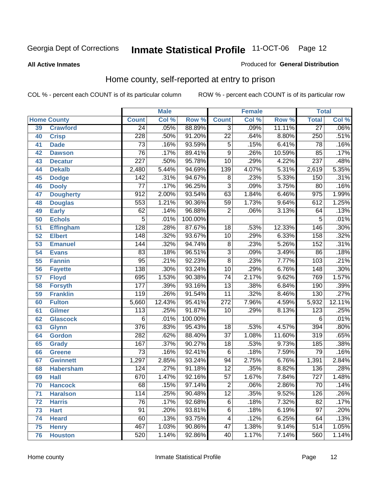#### **All Active Inmates**

#### Produced for **General Distribution**

### Home county, self-reported at entry to prison

|                 |                    | <b>Male</b>      |        |         |                  | <b>Female</b> |        | <b>Total</b>     |        |
|-----------------|--------------------|------------------|--------|---------|------------------|---------------|--------|------------------|--------|
|                 | <b>Home County</b> | <b>Count</b>     | Col %  | Row %   | <b>Count</b>     | Col %         | Row %  | <b>Total</b>     | Col %  |
| 39              | <b>Crawford</b>    | $\overline{24}$  | .05%   | 88.89%  | $\overline{3}$   | .09%          | 11.11% | $\overline{27}$  | .06%   |
| 40              | <b>Crisp</b>       | $\overline{228}$ | .50%   | 91.20%  | $\overline{22}$  | .64%          | 8.80%  | 250              | .51%   |
| 41              | <b>Dade</b>        | $\overline{73}$  | .16%   | 93.59%  | $\overline{5}$   | .15%          | 6.41%  | $\overline{78}$  | .16%   |
| 42              | <b>Dawson</b>      | $\overline{76}$  | .17%   | 89.41%  | $\overline{9}$   | .26%          | 10.59% | 85               | .17%   |
| 43              | <b>Decatur</b>     | $\overline{227}$ | .50%   | 95.78%  | $\overline{10}$  | .29%          | 4.22%  | $\overline{237}$ | .48%   |
| 44              | <b>Dekalb</b>      | 2,480            | 5.44%  | 94.69%  | 139              | 4.07%         | 5.31%  | 2,619            | 5.35%  |
| 45              | <b>Dodge</b>       | 142              | .31%   | 94.67%  | $\overline{8}$   | .23%          | 5.33%  | 150              | .31%   |
| 46              | <b>Dooly</b>       | 77               | .17%   | 96.25%  | 3                | .09%          | 3.75%  | 80               | .16%   |
| 47              | <b>Dougherty</b>   | $\overline{912}$ | 2.00%  | 93.54%  | 63               | 1.84%         | 6.46%  | $\overline{975}$ | 1.99%  |
| 48              | <b>Douglas</b>     | 553              | 1.21%  | 90.36%  | 59               | 1.73%         | 9.64%  | 612              | 1.25%  |
| 49              | <b>Early</b>       | $\overline{62}$  | .14%   | 96.88%  | $\overline{2}$   | .06%          | 3.13%  | 64               | .13%   |
| 50              | <b>Echols</b>      | $\overline{5}$   | .01%   | 100.00% |                  |               |        | 5                | .01%   |
| $\overline{51}$ | <b>Effingham</b>   | 128              | .28%   | 87.67%  | $\overline{18}$  | .53%          | 12.33% | 146              | .30%   |
| 52              | <b>Elbert</b>      | $\overline{148}$ | .32%   | 93.67%  | $\overline{10}$  | .29%          | 6.33%  | 158              | .32%   |
| 53              | <b>Emanuel</b>     | 144              | .32%   | 94.74%  | $\overline{8}$   | .23%          | 5.26%  | 152              | .31%   |
| 54              | <b>Evans</b>       | $\overline{83}$  | .18%   | 96.51%  | $\overline{3}$   | .09%          | 3.49%  | 86               | .18%   |
| 55              | <b>Fannin</b>      | $\overline{95}$  | .21%   | 92.23%  | $\overline{8}$   | .23%          | 7.77%  | 103              | .21%   |
| 56              | <b>Fayette</b>     | 138              | .30%   | 93.24%  | $\overline{10}$  | .29%          | 6.76%  | 148              | .30%   |
| 57              | <b>Floyd</b>       | 695              | 1.53%  | 90.38%  | $\overline{74}$  | 2.17%         | 9.62%  | 769              | 1.57%  |
| 58              | <b>Forsyth</b>     | 177              | .39%   | 93.16%  | $\overline{13}$  | .38%          | 6.84%  | 190              | .39%   |
| 59              | <b>Franklin</b>    | 119              | .26%   | 91.54%  | $\overline{11}$  | .32%          | 8.46%  | 130              | .27%   |
| 60              | <b>Fulton</b>      | 5,660            | 12.43% | 95.41%  | $\overline{272}$ | 7.96%         | 4.59%  | 5,932            | 12.11% |
| 61              | <b>Gilmer</b>      | $\overline{113}$ | .25%   | 91.87%  | $\overline{10}$  | .29%          | 8.13%  | $\overline{123}$ | .25%   |
| 62              | <b>Glascock</b>    | 6                | .01%   | 100.00% |                  |               |        | 6                | .01%   |
| 63              | <b>Glynn</b>       | $\overline{376}$ | .83%   | 95.43%  | $\overline{18}$  | .53%          | 4.57%  | 394              | .80%   |
| 64              | <b>Gordon</b>      | 282              | .62%   | 88.40%  | $\overline{37}$  | 1.08%         | 11.60% | 319              | .65%   |
| 65              | <b>Grady</b>       | 167              | .37%   | 90.27%  | $\overline{18}$  | .53%          | 9.73%  | 185              | .38%   |
| 66              | <b>Greene</b>      | $\overline{73}$  | .16%   | 92.41%  | $\overline{6}$   | .18%          | 7.59%  | 79               | .16%   |
| 67              | <b>Gwinnett</b>    | 1,297            | 2.85%  | 93.24%  | 94               | 2.75%         | 6.76%  | 1,391            | 2.84%  |
| 68              | <b>Habersham</b>   | 124              | .27%   | 91.18%  | $\overline{12}$  | .35%          | 8.82%  | 136              | .28%   |
| 69              | <b>Hall</b>        | 670              | 1.47%  | 92.16%  | $\overline{57}$  | 1.67%         | 7.84%  | $\overline{727}$ | 1.48%  |
| 70              | <b>Hancock</b>     | 68               | .15%   | 97.14%  | 2                | .06%          | 2.86%  | 70               | .14%   |
| 71              | <b>Haralson</b>    | 114              | .25%   | 90.48%  | $\overline{12}$  | .35%          | 9.52%  | 126              | .26%   |
| 72              | <b>Harris</b>      | 76               | .17%   | 92.68%  | $\overline{6}$   | .18%          | 7.32%  | 82               | .17%   |
| 73              | <b>Hart</b>        | $\overline{91}$  | .20%   | 93.81%  | 6                | .18%          | 6.19%  | $\overline{97}$  | .20%   |
| 74              | <b>Heard</b>       | 60               | .13%   | 93.75%  | 4                | .12%          | 6.25%  | 64               | .13%   |
| 75              | <b>Henry</b>       | 467              | 1.03%  | 90.86%  | $\overline{47}$  | 1.38%         | 9.14%  | 514              | 1.05%  |
| 76              | <b>Houston</b>     | 520              | 1.14%  | 92.86%  | 40               | 1.17%         | 7.14%  | 560              | 1.14%  |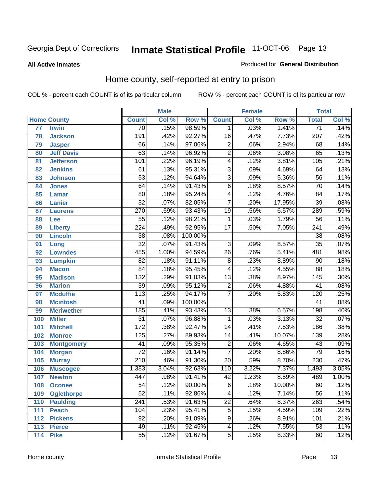#### **All Active Inmates**

#### Produced for **General Distribution**

### Home county, self-reported at entry to prison

|     |                    |                  | <b>Male</b> |         |                  | <b>Female</b> |        | <b>Total</b>     |       |
|-----|--------------------|------------------|-------------|---------|------------------|---------------|--------|------------------|-------|
|     | <b>Home County</b> | <b>Count</b>     | Col %       | Row %   | <b>Count</b>     | Col %         | Row %  | <b>Total</b>     | Col % |
| 77  | <b>Irwin</b>       | $\overline{70}$  | .15%        | 98.59%  | 1                | .03%          | 1.41%  | $\overline{71}$  | .14%  |
| 78  | <b>Jackson</b>     | 191              | .42%        | 92.27%  | $\overline{16}$  | .47%          | 7.73%  | 207              | .42%  |
| 79  | <b>Jasper</b>      | 66               | .14%        | 97.06%  | $\overline{2}$   | .06%          | 2.94%  | 68               | .14%  |
| 80  | <b>Jeff Davis</b>  | 63               | .14%        | 96.92%  | $\overline{2}$   | .06%          | 3.08%  | 65               | .13%  |
| 81  | <b>Jefferson</b>   | 101              | .22%        | 96.19%  | $\overline{4}$   | .12%          | 3.81%  | 105              | .21%  |
| 82  | <b>Jenkins</b>     | 61               | .13%        | 95.31%  | $\overline{3}$   | .09%          | 4.69%  | 64               | .13%  |
| 83  | <b>Johnson</b>     | $\overline{53}$  | .12%        | 94.64%  | $\overline{3}$   | .09%          | 5.36%  | $\overline{56}$  | .11%  |
| 84  | <b>Jones</b>       | 64               | .14%        | 91.43%  | $\overline{6}$   | .18%          | 8.57%  | $\overline{70}$  | .14%  |
| 85  | <b>Lamar</b>       | $\overline{80}$  | .18%        | 95.24%  | 4                | .12%          | 4.76%  | $\overline{84}$  | .17%  |
| 86  | <b>Lanier</b>      | $\overline{32}$  | .07%        | 82.05%  | $\overline{7}$   | .20%          | 17.95% | $\overline{39}$  | .08%  |
| 87  | <b>Laurens</b>     | $\overline{270}$ | .59%        | 93.43%  | $\overline{19}$  | .56%          | 6.57%  | 289              | .59%  |
| 88  | <b>Lee</b>         | $\overline{55}$  | .12%        | 98.21%  | 1                | .03%          | 1.79%  | 56               | .11%  |
| 89  | <b>Liberty</b>     | $\overline{224}$ | .49%        | 92.95%  | $\overline{17}$  | .50%          | 7.05%  | $\overline{241}$ | .49%  |
| 90  | <b>Lincoln</b>     | $\overline{38}$  | .08%        | 100.00% |                  |               |        | 38               | .08%  |
| 91  | Long               | $\overline{32}$  | .07%        | 91.43%  | $\overline{3}$   | .09%          | 8.57%  | $\overline{35}$  | .07%  |
| 92  | <b>Lowndes</b>     | 455              | 1.00%       | 94.59%  | $\overline{26}$  | .76%          | 5.41%  | 481              | .98%  |
| 93  | <b>Lumpkin</b>     | $\overline{82}$  | .18%        | 91.11%  | $\overline{8}$   | .23%          | 8.89%  | $\overline{90}$  | .18%  |
| 94  | <b>Macon</b>       | $\overline{84}$  | .18%        | 95.45%  | 4                | .12%          | 4.55%  | 88               | .18%  |
| 95  | <b>Madison</b>     | 132              | .29%        | 91.03%  | $\overline{13}$  | .38%          | 8.97%  | 145              | .30%  |
| 96  | <b>Marion</b>      | $\overline{39}$  | .09%        | 95.12%  | $\overline{2}$   | .06%          | 4.88%  | 41               | .08%  |
| 97  | <b>Mcduffie</b>    | 113              | .25%        | 94.17%  | $\overline{7}$   | .20%          | 5.83%  | 120              | .25%  |
| 98  | <b>Mcintosh</b>    | 41               | .09%        | 100.00% |                  |               |        | 41               | .08%  |
| 99  | <b>Meriwether</b>  | 185              | .41%        | 93.43%  | $\overline{13}$  | .38%          | 6.57%  | 198              | .40%  |
| 100 | <b>Miller</b>      | $\overline{31}$  | .07%        | 96.88%  | 1                | .03%          | 3.13%  | $\overline{32}$  | .07%  |
| 101 | <b>Mitchell</b>    | $\overline{172}$ | .38%        | 92.47%  | $\overline{14}$  | .41%          | 7.53%  | 186              | .38%  |
| 102 | <b>Monroe</b>      | 125              | .27%        | 89.93%  | $\overline{14}$  | .41%          | 10.07% | 139              | .28%  |
| 103 | <b>Montgomery</b>  | $\overline{41}$  | .09%        | 95.35%  | $\overline{2}$   | .06%          | 4.65%  | $\overline{43}$  | .09%  |
| 104 | <b>Morgan</b>      | $\overline{72}$  | .16%        | 91.14%  | $\overline{7}$   | .20%          | 8.86%  | 79               | .16%  |
| 105 | <b>Murray</b>      | $\overline{210}$ | .46%        | 91.30%  | $\overline{20}$  | .59%          | 8.70%  | 230              | .47%  |
| 106 | <b>Muscogee</b>    | 1,383            | 3.04%       | 92.63%  | $\overline{110}$ | 3.22%         | 7.37%  | 1,493            | 3.05% |
| 107 | <b>Newton</b>      | 447              | .98%        | 91.41%  | $\overline{42}$  | 1.23%         | 8.59%  | 489              | 1.00% |
| 108 | <b>Oconee</b>      | 54               | .12%        | 90.00%  | 6                | .18%          | 10.00% | 60               | .12%  |
| 109 | <b>Oglethorpe</b>  | $\overline{52}$  | .11%        | 92.86%  | 4                | .12%          | 7.14%  | $\overline{56}$  | .11%  |
| 110 | <b>Paulding</b>    | $\overline{241}$ | .53%        | 91.63%  | $\overline{22}$  | .64%          | 8.37%  | 263              | .54%  |
| 111 | <b>Peach</b>       | 104              | .23%        | 95.41%  | $\overline{5}$   | .15%          | 4.59%  | 109              | .22%  |
| 112 | <b>Pickens</b>     | 92               | .20%        | 91.09%  | 9                | .26%          | 8.91%  | 101              | .21%  |
| 113 | <b>Pierce</b>      | 49               | .11%        | 92.45%  | 4                | .12%          | 7.55%  | $\overline{53}$  | .11%  |
| 114 | <b>Pike</b>        | 55               | .12%        | 91.67%  | $\overline{5}$   | .15%          | 8.33%  | 60               | .12%  |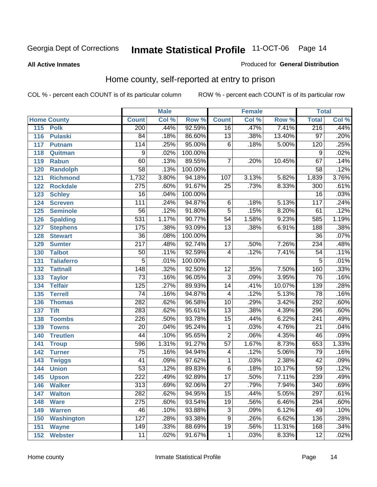#### **All Active Inmates**

#### Produced for **General Distribution**

### Home county, self-reported at entry to prison

|     |                    |                   | <b>Male</b> |         |                 | <b>Female</b> |        | <b>Total</b>     |       |
|-----|--------------------|-------------------|-------------|---------|-----------------|---------------|--------|------------------|-------|
|     | <b>Home County</b> | <b>Count</b>      | Col %       | Row %   | <b>Count</b>    | Col %         | Row %  | <b>Total</b>     | Col % |
| 115 | <b>Polk</b>        | 200               | .44%        | 92.59%  | $\overline{16}$ | .47%          | 7.41%  | 216              | .44%  |
| 116 | <b>Pulaski</b>     | 84                | .18%        | 86.60%  | 13              | .38%          | 13.40% | $\overline{97}$  | .20%  |
| 117 | <b>Putnam</b>      | $\frac{114}{114}$ | .25%        | 95.00%  | $\overline{6}$  | .18%          | 5.00%  | 120              | .25%  |
| 118 | Quitman            | 9                 | .02%        | 100.00% |                 |               |        | 9                | .02%  |
| 119 | <b>Rabun</b>       | 60                | .13%        | 89.55%  | 7               | .20%          | 10.45% | 67               | .14%  |
| 120 | <b>Randolph</b>    | $\overline{58}$   | .13%        | 100.00% |                 |               |        | $\overline{58}$  | .12%  |
| 121 | <b>Richmond</b>    | 1,732             | 3.80%       | 94.18%  | 107             | 3.13%         | 5.82%  | 1,839            | 3.76% |
| 122 | <b>Rockdale</b>    | 275               | .60%        | 91.67%  | 25              | .73%          | 8.33%  | 300              | .61%  |
| 123 | <b>Schley</b>      | $\overline{16}$   | .04%        | 100.00% |                 |               |        | $\overline{16}$  | .03%  |
| 124 | <b>Screven</b>     | 111               | .24%        | 94.87%  | $\,6$           | .18%          | 5.13%  | 117              | .24%  |
| 125 | <b>Seminole</b>    | $\overline{56}$   | .12%        | 91.80%  | $\overline{5}$  | .15%          | 8.20%  | 61               | .12%  |
| 126 | <b>Spalding</b>    | 531               | 1.17%       | 90.77%  | 54              | 1.58%         | 9.23%  | 585              | 1.19% |
| 127 | <b>Stephens</b>    | 175               | .38%        | 93.09%  | $\overline{13}$ | .38%          | 6.91%  | 188              | .38%  |
| 128 | <b>Stewart</b>     | $\overline{36}$   | .08%        | 100.00% |                 |               |        | $\overline{36}$  | .07%  |
| 129 | <b>Sumter</b>      | $\overline{217}$  | .48%        | 92.74%  | $\overline{17}$ | .50%          | 7.26%  | 234              | .48%  |
| 130 | <b>Talbot</b>      | 50                | .11%        | 92.59%  | 4               | .12%          | 7.41%  | 54               | .11%  |
| 131 | <b>Taliaferro</b>  | $\overline{5}$    | .01%        | 100.00% |                 |               |        | 5                | .01%  |
| 132 | <b>Tattnall</b>    | $\overline{148}$  | .32%        | 92.50%  | $\overline{12}$ | .35%          | 7.50%  | 160              | .33%  |
| 133 | <b>Taylor</b>      | $\overline{73}$   | .16%        | 96.05%  | $\overline{3}$  | .09%          | 3.95%  | $\overline{76}$  | .16%  |
| 134 | <b>Telfair</b>     | 125               | .27%        | 89.93%  | 14              | .41%          | 10.07% | 139              | .28%  |
| 135 | <b>Terrell</b>     | $\overline{74}$   | .16%        | 94.87%  | 4               | .12%          | 5.13%  | $\overline{78}$  | .16%  |
| 136 | <b>Thomas</b>      | 282               | .62%        | 96.58%  | $\overline{10}$ | .29%          | 3.42%  | 292              | .60%  |
| 137 | <b>Tift</b>        | 283               | .62%        | 95.61%  | $\overline{13}$ | .38%          | 4.39%  | 296              | .60%  |
| 138 | <b>Toombs</b>      | 226               | .50%        | 93.78%  | 15              | .44%          | 6.22%  | 241              | .49%  |
| 139 | <b>Towns</b>       | $\overline{20}$   | .04%        | 95.24%  | $\mathbf 1$     | .03%          | 4.76%  | $\overline{21}$  | .04%  |
| 140 | <b>Treutlen</b>    | 44                | .10%        | 95.65%  | $\overline{2}$  | .06%          | 4.35%  | 46               | .09%  |
| 141 | <b>Troup</b>       | 596               | 1.31%       | 91.27%  | $\overline{57}$ | 1.67%         | 8.73%  | 653              | 1.33% |
| 142 | <b>Turner</b>      | $\overline{75}$   | .16%        | 94.94%  | 4               | .12%          | 5.06%  | 79               | .16%  |
| 143 | <b>Twiggs</b>      | $\overline{41}$   | .09%        | 97.62%  | $\mathbf{1}$    | .03%          | 2.38%  | $\overline{42}$  | .09%  |
| 144 | <b>Union</b>       | $\overline{53}$   | .12%        | 89.83%  | $\overline{6}$  | .18%          | 10.17% | $\overline{59}$  | .12%  |
| 145 | <b>Upson</b>       | $\overline{222}$  | .49%        | 92.89%  | $\overline{17}$ | .50%          | 7.11%  | 239              | .49%  |
| 146 | <b>Walker</b>      | 313               | .69%        | 92.06%  | 27              | .79%          | 7.94%  | 340              | .69%  |
| 147 | <b>Walton</b>      | 282               | .62%        | 94.95%  | $\overline{15}$ | .44%          | 5.05%  | $\overline{297}$ | .61%  |
| 148 | <b>Ware</b>        | $\overline{275}$  | .60%        | 93.54%  | $\overline{19}$ | .56%          | 6.46%  | 294              | .60%  |
| 149 | <b>Warren</b>      | 46                | .10%        | 93.88%  | $\overline{3}$  | .09%          | 6.12%  | 49               | .10%  |
| 150 | <b>Washington</b>  | $\overline{127}$  | .28%        | 93.38%  | 9               | .26%          | 6.62%  | 136              | .28%  |
| 151 | <b>Wayne</b>       | 149               | .33%        | 88.69%  | 19              | .56%          | 11.31% | 168              | .34%  |
| 152 | <b>Webster</b>     | 11                | .02%        | 91.67%  | $\mathbf{1}$    | .03%          | 8.33%  | 12               | .02%  |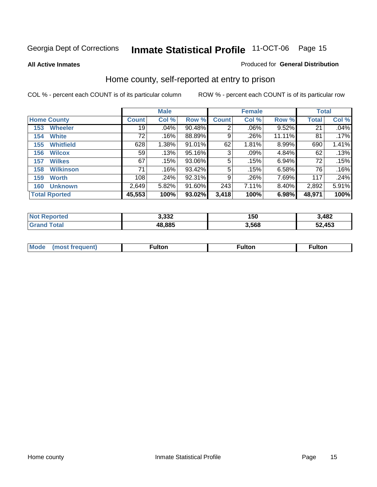**All Active Inmates**

#### Produced for **General Distribution**

### Home county, self-reported at entry to prison

|                         |              | <b>Male</b> |           |              | <b>Female</b> | <b>Total</b> |              |       |
|-------------------------|--------------|-------------|-----------|--------------|---------------|--------------|--------------|-------|
| <b>Home County</b>      | <b>Count</b> | Col %       | Row %     | <b>Count</b> | Col %         | Row %        | <b>Total</b> | Col % |
| <b>Wheeler</b><br>153   | 19           | .04%        | 90.48%    | 2            | .06%          | 9.52%        | 21           | .04%  |
| <b>White</b><br>154     | 72           | .16%        | 88.89%    | 9            | .26%          | 11.11%       | 81           | .17%  |
| <b>Whitfield</b><br>155 | 628          | 1.38%       | $91.01\%$ | 62           | 1.81%         | 8.99%        | 690          | 1.41% |
| <b>Wilcox</b><br>156    | 59           | .13%        | 95.16%    | 3            | .09%          | 4.84%        | 62           | .13%  |
| <b>Wilkes</b><br>157    | 67           | .15%        | 93.06%    | 5            | .15%          | 6.94%        | 72           | .15%  |
| <b>Wilkinson</b><br>158 | 71           | .16%        | 93.42%    | 5            | .15%          | 6.58%        | 76           | .16%  |
| <b>Worth</b><br>159     | 108          | .24%        | 92.31%    | 9            | .26%          | 7.69%        | 117          | .24%  |
| <b>Unknown</b><br>160   | 2,649        | 5.82%       | 91.60%    | 243          | 7.11%         | 8.40%        | 2,892        | 5.91% |
| <b>Total Rported</b>    | 45,553       | 100%        | 93.02%    | 3,418        | 100%          | 6.98%        | 48,971       | 100%  |

| rted<br><b>Not</b> | 3.332  | 150  | 3,482  |
|--------------------|--------|------|--------|
| `otal              | 48.885 | .568 | 52,453 |

| <b>Mode</b> | ---<br>.tor | <b>ulton</b> | . |
|-------------|-------------|--------------|---|
|             |             |              |   |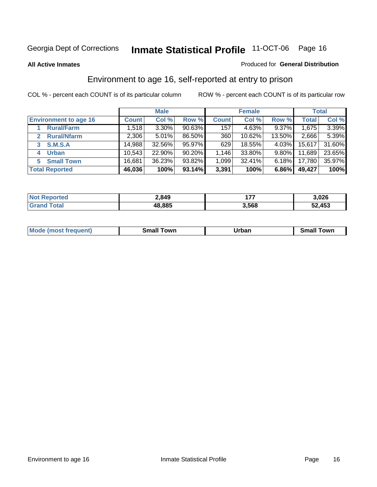#### **All Active Inmates**

#### Produced for **General Distribution**

### Environment to age 16, self-reported at entry to prison

|                              |              | <b>Male</b> |           |              | <b>Female</b> |          |              | <b>Total</b> |
|------------------------------|--------------|-------------|-----------|--------------|---------------|----------|--------------|--------------|
| <b>Environment to age 16</b> | <b>Count</b> | Col %       | Row %     | <b>Count</b> | Col %         | Row %    | <b>Total</b> | Col %        |
| <b>Rural/Farm</b>            | 1,518        | 3.30%       | 90.63%    | 157          | 4.63%         | $9.37\%$ | 1,675        | 3.39%        |
| <b>Rural/Nfarm</b>           | 2,306        | 5.01%       | 86.50%    | 360          | 10.62%        | 13.50%   | 2,666        | 5.39%        |
| <b>S.M.S.A</b>               | 14,988       | 32.56%      | 95.97%    | 629          | 18.55%        | $4.03\%$ | 15,617       | 31.60%       |
| <b>Urban</b><br>4            | 10,543       | 22.90%      | $90.20\%$ | 1,146        | 33.80%        | $9.80\%$ | 11,689       | 23.65%       |
| <b>Small Town</b><br>5       | 16,681       | 36.23%      | 93.82%    | 1,099        | 32.41%        | $6.18\%$ | 17,780       | 35.97%       |
| <b>Total Reported</b>        | 46,036       | 100%        | 93.14%    | 3,391        | 100%          | 6.86%    | 49,427       | 100%         |

| <b>Not Reported</b> | 2,849  | .     | 3,026  |
|---------------------|--------|-------|--------|
| <b>Grand Total</b>  | 48,885 | 3,568 | 52,453 |

| Mo<br>. . | . owr | <u>'''' ''</u><br>roa<br>_____ | .0W <sub>r</sub> |
|-----------|-------|--------------------------------|------------------|
|           |       |                                |                  |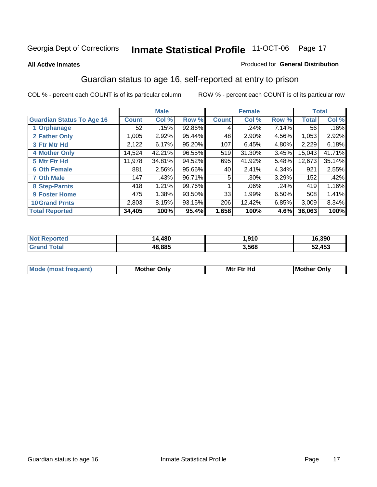#### **All Active Inmates**

#### Produced for **General Distribution**

### Guardian status to age 16, self-reported at entry to prison

|                                  |              | <b>Male</b> |        |              | <b>Female</b> |       |              | <b>Total</b> |
|----------------------------------|--------------|-------------|--------|--------------|---------------|-------|--------------|--------------|
| <b>Guardian Status To Age 16</b> | <b>Count</b> | Col %       | Row %  | <b>Count</b> | Col %         | Row % | <b>Total</b> | Col %        |
| 1 Orphanage                      | 52           | .15%        | 92.86% | 4            | .24%          | 7.14% | 56           | .16%         |
| 2 Father Only                    | 1,005        | 2.92%       | 95.44% | 48           | 2.90%         | 4.56% | 1,053        | 2.92%        |
| 3 Ftr Mtr Hd                     | 2,122        | 6.17%       | 95.20% | 107          | 6.45%         | 4.80% | 2,229        | 6.18%        |
| <b>4 Mother Only</b>             | 14,524       | 42.21%      | 96.55% | 519          | 31.30%        | 3.45% | 15,043       | 41.71%       |
| 5 Mtr Ftr Hd                     | 11,978       | 34.81%      | 94.52% | 695          | 41.92%        | 5.48% | 12,673       | 35.14%       |
| <b>6 Oth Female</b>              | 881          | 2.56%       | 95.66% | 40           | 2.41%         | 4.34% | 921          | 2.55%        |
| <b>7 Oth Male</b>                | 147          | .43%        | 96.71% | 5            | $.30\%$       | 3.29% | 152          | .42%         |
| 8 Step-Parnts                    | 418          | 1.21%       | 99.76% |              | $.06\%$       | .24%  | 419          | 1.16%        |
| <b>9 Foster Home</b>             | 475          | 1.38%       | 93.50% | 33           | 1.99%         | 6.50% | 508          | 1.41%        |
| <b>10 Grand Prnts</b>            | 2,803        | 8.15%       | 93.15% | 206          | 12.42%        | 6.85% | 3,009        | 8.34%        |
| <b>Total Reported</b>            | 34,405       | 100%        | 95.4%  | 1,658        | 100%          | 4.6%  | 36,063       | 100%         |

| <b>Not R</b><br>Reported | 4,480  | 910, ا | 16,390 |
|--------------------------|--------|--------|--------|
| 'otal                    | 48,885 | 3,568  | 52,453 |

| <b>Mou</b> | Mother<br>Onlv | Hд<br>Mtr Ftr | Only<br>lMoth |
|------------|----------------|---------------|---------------|
|            |                |               |               |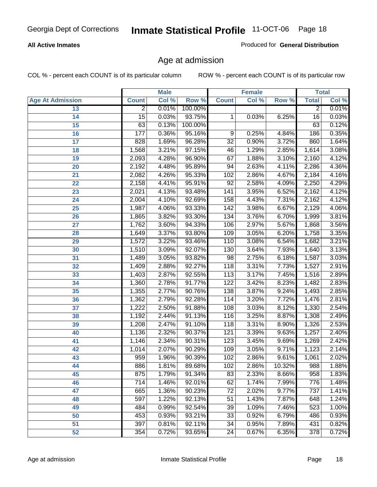#### **All Active Inmates**

Produced for **General Distribution**

### Age at admission

|                         |                 | <b>Male</b> |         |                  | <b>Female</b> |        |                 | <b>Total</b> |
|-------------------------|-----------------|-------------|---------|------------------|---------------|--------|-----------------|--------------|
| <b>Age At Admission</b> | <b>Count</b>    | Col %       | Row %   | <b>Count</b>     | Col %         | Row %  | <b>Total</b>    | Col %        |
| 13                      | $\overline{2}$  | 0.01%       | 100.00% |                  |               |        | 2               | 0.01%        |
| 14                      | $\overline{15}$ | 0.03%       | 93.75%  | 1                | 0.03%         | 6.25%  | $\overline{16}$ | 0.03%        |
| $\overline{15}$         | 63              | 0.13%       | 100.00% |                  |               |        | 63              | 0.12%        |
| 16                      | 177             | 0.36%       | 95.16%  | 9                | 0.25%         | 4.84%  | 186             | 0.35%        |
| $\overline{17}$         | 828             | 1.69%       | 96.28%  | $\overline{32}$  | 0.90%         | 3.72%  | 860             | 1.64%        |
| 18                      | 1,568           | 3.21%       | 97.15%  | 46               | 1.29%         | 2.85%  | 1,614           | 3.08%        |
| 19                      | 2,093           | 4.28%       | 96.90%  | 67               | 1.88%         | 3.10%  | 2,160           | 4.12%        |
| 20                      | 2,192           | 4.48%       | 95.89%  | 94               | 2.63%         | 4.11%  | 2,286           | 4.36%        |
| 21                      | 2,082           | 4.26%       | 95.33%  | 102              | 2.86%         | 4.67%  | 2,184           | 4.16%        |
| 22                      | 2,158           | 4.41%       | 95.91%  | $\overline{92}$  | 2.58%         | 4.09%  | 2,250           | 4.29%        |
| 23                      | 2,021           | 4.13%       | 93.48%  | $\overline{141}$ | 3.95%         | 6.52%  | 2,162           | 4.12%        |
| 24                      | 2,004           | 4.10%       | 92.69%  | 158              | 4.43%         | 7.31%  | 2,162           | 4.12%        |
| $\overline{25}$         | 1,987           | 4.06%       | 93.33%  | $\overline{142}$ | 3.98%         | 6.67%  | 2,129           | 4.06%        |
| 26                      | 1,865           | 3.82%       | 93.30%  | 134              | 3.76%         | 6.70%  | 1,999           | 3.81%        |
| 27                      | 1,762           | 3.60%       | 94.33%  | 106              | 2.97%         | 5.67%  | 1,868           | 3.56%        |
| 28                      | 1,649           | 3.37%       | 93.80%  | 109              | 3.05%         | 6.20%  | 1,758           | 3.35%        |
| 29                      | 1,572           | 3.22%       | 93.46%  | 110              | 3.08%         | 6.54%  | 1,682           | 3.21%        |
| 30                      | 1,510           | 3.09%       | 92.07%  | 130              | 3.64%         | 7.93%  | 1,640           | 3.13%        |
| 31                      | 1,489           | 3.05%       | 93.82%  | 98               | 2.75%         | 6.18%  | 1,587           | 3.03%        |
| 32                      | 1,409           | 2.88%       | 92.27%  | 118              | 3.31%         | 7.73%  | 1,527           | 2.91%        |
| 33                      | 1,403           | 2.87%       | 92.55%  | 113              | 3.17%         | 7.45%  | 1,516           | 2.89%        |
| 34                      | 1,360           | 2.78%       | 91.77%  | 122              | 3.42%         | 8.23%  | 1,482           | 2.83%        |
| 35                      | 1,355           | 2.77%       | 90.76%  | 138              | 3.87%         | 9.24%  | 1,493           | 2.85%        |
| 36                      | 1,362           | 2.79%       | 92.28%  | 114              | 3.20%         | 7.72%  | 1,476           | 2.81%        |
| 37                      | 1,222           | 2.50%       | 91.88%  | 108              | 3.03%         | 8.12%  | 1,330           | 2.54%        |
| 38                      | 1,192           | 2.44%       | 91.13%  | $\overline{116}$ | 3.25%         | 8.87%  | 1,308           | 2.49%        |
| 39                      | 1,208           | 2.47%       | 91.10%  | 118              | 3.31%         | 8.90%  | 1,326           | 2.53%        |
| 40                      | 1,136           | 2.32%       | 90.37%  | 121              | 3.39%         | 9.63%  | 1,257           | 2.40%        |
| 41                      | 1,146           | 2.34%       | 90.31%  | $\overline{123}$ | 3.45%         | 9.69%  | 1,269           | 2.42%        |
| 42                      | 1,014           | 2.07%       | 90.29%  | 109              | 3.05%         | 9.71%  | 1,123           | 2.14%        |
| 43                      | 959             | 1.96%       | 90.39%  | 102              | 2.86%         | 9.61%  | 1,061           | 2.02%        |
| 44                      | 886             | 1.81%       | 89.68%  | 102              | 2.86%         | 10.32% | 988             | 1.88%        |
| 45                      | 875             | 1.79%       | 91.34%  | 83               | 2.33%         | 8.66%  | 958             | 1.83%        |
| 46                      | 714             | 1.46%       | 92.01%  | 62               | 1.74%         | 7.99%  | 776             | 1.48%        |
| 47                      | 665             | 1.36%       | 90.23%  | 72               | 2.02%         | 9.77%  | 737             | 1.41%        |
| 48                      | 597             | 1.22%       | 92.13%  | 51               | 1.43%         | 7.87%  | 648             | 1.24%        |
| 49                      | 484             | 0.99%       | 92.54%  | 39               | 1.09%         | 7.46%  | 523             | 1.00%        |
| 50                      | 453             | 0.93%       | 93.21%  | 33               | 0.92%         | 6.79%  | 486             | 0.93%        |
| 51                      | 397             | 0.81%       | 92.11%  | $\overline{34}$  | 0.95%         | 7.89%  | 431             | 0.82%        |
| 52                      | 354             | 0.72%       | 93.65%  | 24               | 0.67%         | 6.35%  | 378             | 0.72%        |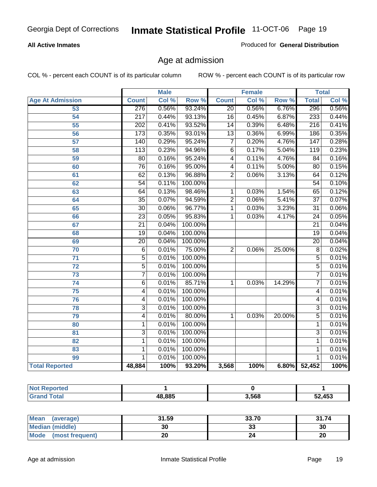#### **All Active Inmates**

Produced for **General Distribution**

### Age at admission

|                         |                  | <b>Male</b> |         |                 | <b>Female</b> |                  |                  | <b>Total</b> |
|-------------------------|------------------|-------------|---------|-----------------|---------------|------------------|------------------|--------------|
| <b>Age At Admission</b> | <b>Count</b>     | Col %       | Row %   | <b>Count</b>    | Col %         | Row <sup>%</sup> | <b>Total</b>     | Col %        |
| 53                      | 276              | 0.56%       | 93.24%  | $\overline{20}$ | 0.56%         | 6.76%            | 296              | 0.56%        |
| 54                      | $\overline{217}$ | 0.44%       | 93.13%  | $\overline{16}$ | 0.45%         | 6.87%            | 233              | 0.44%        |
| $\overline{55}$         | 202              | 0.41%       | 93.52%  | $\overline{14}$ | 0.39%         | 6.48%            | $\overline{216}$ | 0.41%        |
| $\overline{56}$         | 173              | 0.35%       | 93.01%  | $\overline{13}$ | 0.36%         | 6.99%            | 186              | 0.35%        |
| 57                      | 140              | 0.29%       | 95.24%  | 7               | 0.20%         | 4.76%            | 147              | 0.28%        |
| 58                      | $\overline{113}$ | 0.23%       | 94.96%  | 6               | 0.17%         | 5.04%            | 119              | 0.23%        |
| 59                      | 80               | 0.16%       | 95.24%  | 4               | 0.11%         | 4.76%            | $\overline{84}$  | 0.16%        |
| 60                      | $\overline{76}$  | 0.16%       | 95.00%  | $\overline{4}$  | 0.11%         | 5.00%            | $\overline{80}$  | 0.15%        |
| 61                      | $\overline{62}$  | 0.13%       | 96.88%  | $\overline{2}$  | 0.06%         | 3.13%            | 64               | 0.12%        |
| 62                      | $\overline{54}$  | 0.11%       | 100.00% |                 |               |                  | $\overline{54}$  | 0.10%        |
| 63                      | 64               | 0.13%       | 98.46%  | 1               | 0.03%         | 1.54%            | 65               | 0.12%        |
| 64                      | $\overline{35}$  | 0.07%       | 94.59%  | $\overline{2}$  | 0.06%         | 5.41%            | $\overline{37}$  | 0.07%        |
| 65                      | $\overline{30}$  | 0.06%       | 96.77%  | $\overline{1}$  | 0.03%         | 3.23%            | $\overline{31}$  | 0.06%        |
| 66                      | $\overline{23}$  | 0.05%       | 95.83%  | 1               | 0.03%         | 4.17%            | $\overline{24}$  | 0.05%        |
| 67                      | $\overline{21}$  | 0.04%       | 100.00% |                 |               |                  | $\overline{21}$  | 0.04%        |
| 68                      | $\overline{19}$  | 0.04%       | 100.00% |                 |               |                  | $\overline{19}$  | 0.04%        |
| 69                      | $\overline{20}$  | 0.04%       | 100.00% |                 |               |                  | $\overline{20}$  | 0.04%        |
| 70                      | $\overline{6}$   | 0.01%       | 75.00%  | $\overline{2}$  | 0.06%         | 25.00%           | $\overline{8}$   | 0.02%        |
| $\overline{71}$         | $\overline{5}$   | 0.01%       | 100.00% |                 |               |                  | $\overline{5}$   | 0.01%        |
| $\overline{72}$         | $\overline{5}$   | 0.01%       | 100.00% |                 |               |                  | $\overline{5}$   | 0.01%        |
| $\overline{73}$         | $\overline{7}$   | 0.01%       | 100.00% |                 |               |                  | 7                | 0.01%        |
| $\overline{74}$         | $\overline{6}$   | 0.01%       | 85.71%  | 1               | 0.03%         | 14.29%           | $\overline{7}$   | 0.01%        |
| 75                      | 4                | 0.01%       | 100.00% |                 |               |                  | 4                | 0.01%        |
| 76                      | 4                | 0.01%       | 100.00% |                 |               |                  | 4                | 0.01%        |
| 78                      | $\overline{3}$   | 0.01%       | 100.00% |                 |               |                  | $\overline{3}$   | 0.01%        |
| 79                      | 4                | 0.01%       | 80.00%  | 1               | 0.03%         | 20.00%           | $\overline{5}$   | 0.01%        |
| 80                      | $\mathbf{1}$     | 0.01%       | 100.00% |                 |               |                  | 1                | 0.01%        |
| 81                      | $\overline{3}$   | 0.01%       | 100.00% |                 |               |                  | $\overline{3}$   | 0.01%        |
| 82                      | $\mathbf{1}$     | 0.01%       | 100.00% |                 |               |                  | $\overline{1}$   | 0.01%        |
| 83                      | 1                | 0.01%       | 100.00% |                 |               |                  | 1                | 0.01%        |
| 99                      | 1                | 0.01%       | 100.00% |                 |               |                  | 1                | 0.01%        |
| <b>Total Reported</b>   | 48,884           | 100%        | 93.20%  | 3,568           | 100%          | 6.80%            | 52,452           | 100%         |

| <b>Not</b><br><b>orted</b> |        |       |        |
|----------------------------|--------|-------|--------|
| `otal                      | 48.885 | 3,568 | 52,453 |

| <b>Mean</b><br>(average)       | 31.59 | 33.70   | 31.74 |
|--------------------------------|-------|---------|-------|
| <b>Median (middle)</b>         | 30    | ົ<br>vu | 30    |
| <b>Mode</b><br>(most frequent) | ۷۷    |         | 20    |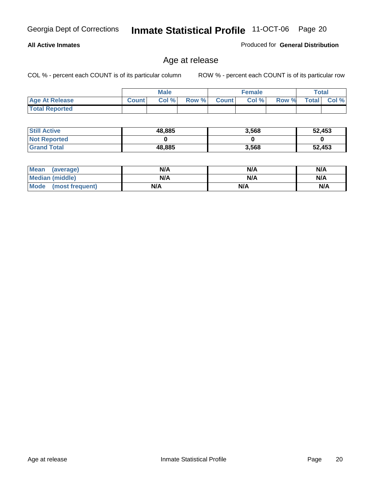#### **All Active Inmates**

Produced for **General Distribution**

### Age at release

|                       |              | <b>Male</b> |       |              | <b>Female</b> |       | <b>Total</b> |       |
|-----------------------|--------------|-------------|-------|--------------|---------------|-------|--------------|-------|
| <b>Age At Release</b> | <b>Count</b> | Col%        | Row % | <b>Count</b> | Col %         | Row % | <b>Total</b> | Col % |
| <b>Total Reported</b> |              |             |       |              |               |       |              |       |

| <b>Still Active</b> | 48,885 | 3,568 | 52,453 |
|---------------------|--------|-------|--------|
| <b>Not Reported</b> |        |       |        |
| <b>Grand Total</b>  | 48,885 | 3,568 | 52,453 |

| Mean (average)       | N/A | N/A | N/A |
|----------------------|-----|-----|-----|
| Median (middle)      | N/A | N/A | N/A |
| Mode (most frequent) | N/A | N/A | N/A |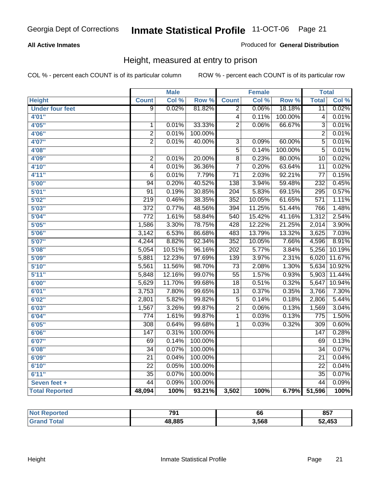#### **All Active Inmates**

#### Produced for **General Distribution**

### Height, measured at entry to prison

|                        |                  | <b>Male</b> |                  |                  | <b>Female</b> |                  | <b>Total</b>     |        |
|------------------------|------------------|-------------|------------------|------------------|---------------|------------------|------------------|--------|
| <b>Height</b>          | <b>Count</b>     | Col %       | Row <sup>%</sup> | <b>Count</b>     | Col %         | Row <sup>%</sup> | <b>Total</b>     | Col %  |
| <b>Under four feet</b> | $\overline{9}$   | 0.02%       | 81.82%           | $\overline{2}$   | 0.06%         | 18.18%           | $\overline{11}$  | 0.02%  |
| 4'01"                  |                  |             |                  | $\overline{4}$   | 0.11%         | 100.00%          | 4                | 0.01%  |
| 4'05"                  | $\mathbf 1$      | 0.01%       | 33.33%           | $\overline{2}$   | 0.06%         | 66.67%           | 3                | 0.01%  |
| 4'06"                  | $\overline{2}$   | 0.01%       | 100.00%          |                  |               |                  | $\overline{2}$   | 0.01%  |
| 4'07"                  | $\overline{2}$   | 0.01%       | 40.00%           | $\overline{3}$   | 0.09%         | 60.00%           | $\overline{5}$   | 0.01%  |
| 4'08"                  |                  |             |                  | $\overline{5}$   | 0.14%         | 100.00%          | 5                | 0.01%  |
| 4'09"                  | $\overline{c}$   | 0.01%       | 20.00%           | $\overline{8}$   | 0.23%         | 80.00%           | 10               | 0.02%  |
| 4'10"                  | 4                | 0.01%       | 36.36%           | $\overline{7}$   | 0.20%         | 63.64%           | $\overline{11}$  | 0.02%  |
| 4'11''                 | 6                | 0.01%       | 7.79%            | $\overline{71}$  | 2.03%         | 92.21%           | $\overline{77}$  | 0.15%  |
| 5'00''                 | $\overline{94}$  | 0.20%       | 40.52%           | $\overline{138}$ | 3.94%         | 59.48%           | 232              | 0.45%  |
| 5'01''                 | $\overline{91}$  | 0.19%       | 30.85%           | $\overline{204}$ | 5.83%         | 69.15%           | $\overline{295}$ | 0.57%  |
| 5'02''                 | $\overline{219}$ | 0.46%       | 38.35%           | 352              | 10.05%        | 61.65%           | $\overline{571}$ | 1.11%  |
| 5'03''                 | $\overline{372}$ | 0.77%       | 48.56%           | 394              | 11.25%        | 51.44%           | 766              | 1.48%  |
| 5'04"                  | $\overline{772}$ | 1.61%       | 58.84%           | 540              | 15.42%        | 41.16%           | 1,312            | 2.54%  |
| 5'05''                 | 1,586            | 3.30%       | 78.75%           | 428              | 12.22%        | 21.25%           | 2,014            | 3.90%  |
| 5'06''                 | 3,142            | 6.53%       | 86.68%           | 483              | 13.79%        | 13.32%           | 3,625            | 7.03%  |
| 5'07''                 | 4,244            | 8.82%       | 92.34%           | 352              | 10.05%        | 7.66%            | 4,596            | 8.91%  |
| 5'08''                 | 5,054            | 10.51%      | 96.16%           | $\overline{202}$ | 5.77%         | 3.84%            | 5,256            | 10.19% |
| 5'09''                 | 5,881            | 12.23%      | 97.69%           | 139              | 3.97%         | 2.31%            | 6,020            | 11.67% |
| 5'10''                 | 5,561            | 11.56%      | 98.70%           | $\overline{73}$  | 2.08%         | 1.30%            | 5,634            | 10.92% |
| 5'11''                 | 5,848            | 12.16%      | 99.07%           | $\overline{55}$  | 1.57%         | 0.93%            | 5,903            | 11.44% |
| 6'00''                 | 5,629            | 11.70%      | 99.68%           | $\overline{18}$  | 0.51%         | 0.32%            | 5,647            | 10.94% |
| 6'01''                 | 3,753            | 7.80%       | 99.65%           | $\overline{13}$  | 0.37%         | 0.35%            | 3,766            | 7.30%  |
| 6'02''                 | 2,801            | 5.82%       | 99.82%           | $\overline{5}$   | 0.14%         | 0.18%            | 2,806            | 5.44%  |
| 6'03''                 | 1,567            | 3.26%       | 99.87%           | $\overline{2}$   | 0.06%         | 0.13%            | 1,569            | 3.04%  |
| 6'04''                 | $\overline{774}$ | 1.61%       | 99.87%           | 1                | 0.03%         | 0.13%            | $\overline{775}$ | 1.50%  |
| 6'05''                 | $\overline{308}$ | 0.64%       | 99.68%           | 1                | 0.03%         | 0.32%            | $\overline{309}$ | 0.60%  |
| 6'06''                 | 147              | 0.31%       | 100.00%          |                  |               |                  | $\overline{147}$ | 0.28%  |
| 6'07''                 | 69               | 0.14%       | 100.00%          |                  |               |                  | 69               | 0.13%  |
| 6'08''                 | $\overline{34}$  | 0.07%       | 100.00%          |                  |               |                  | $\overline{34}$  | 0.07%  |
| 6'09''                 | $\overline{21}$  | 0.04%       | 100.00%          |                  |               |                  | $\overline{21}$  | 0.04%  |
| 6'10''                 | $\overline{22}$  | 0.05%       | 100.00%          |                  |               |                  | $\overline{22}$  | 0.04%  |
| 6'11''                 | $\overline{35}$  | 0.07%       | 100.00%          |                  |               |                  | $\overline{35}$  | 0.07%  |
| Seven feet +           | $\overline{44}$  | 0.09%       | 100.00%          |                  |               |                  | $\overline{44}$  | 0.09%  |
| <b>Total Reported</b>  | 48,094           | 100%        | 93.21%           | 3,502            | 100%          | 6.79%            | 51,596           | 100%   |

| vrted       | 791    | 66    | 0E7<br>oə <i>i</i> |
|-------------|--------|-------|--------------------|
| <b>otal</b> | 48,885 | 3,568 | 52,453             |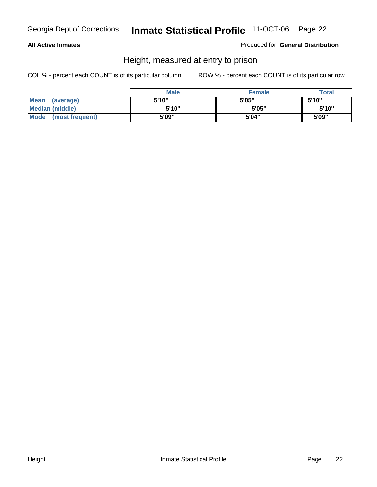#### **All Active Inmates**

#### Produced for **General Distribution**

### Height, measured at entry to prison

|                      | <b>Male</b> | <b>Female</b> | <b>Total</b> |
|----------------------|-------------|---------------|--------------|
| Mean (average)       | 5'10"       | 5'05"         | 5'10''       |
| Median (middle)      | 5'10"       | 5'05"         | 5'10''       |
| Mode (most frequent) | 5'09"       | 5'04"         | 5'09"        |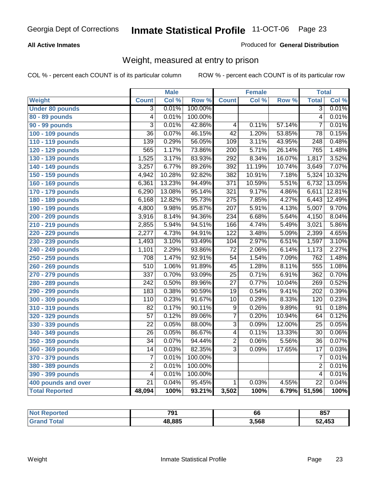#### **All Active Inmates**

#### Produced for **General Distribution**

### Weight, measured at entry to prison

|                        |                         | <b>Male</b> |         |                  | <b>Female</b> |        | <b>Total</b>     |        |
|------------------------|-------------------------|-------------|---------|------------------|---------------|--------|------------------|--------|
| <b>Weight</b>          | <b>Count</b>            | Col %       | Row %   | <b>Count</b>     | Col %         | Row %  | <b>Total</b>     | Col %  |
| <b>Under 80 pounds</b> | $\overline{3}$          | 0.01%       | 100.00% |                  |               |        | $\overline{3}$   | 0.01%  |
| 80 - 89 pounds         | $\overline{4}$          | 0.01%       | 100.00% |                  |               |        | $\overline{4}$   | 0.01%  |
| 90 - 99 pounds         | $\overline{3}$          | 0.01%       | 42.86%  | $\overline{4}$   | 0.11%         | 57.14% | $\overline{7}$   | 0.01%  |
| 100 - 109 pounds       | $\overline{36}$         | 0.07%       | 46.15%  | $\overline{42}$  | 1.20%         | 53.85% | $\overline{78}$  | 0.15%  |
| 110 - 119 pounds       | 139                     | 0.29%       | 56.05%  | 109              | 3.11%         | 43.95% | $\overline{248}$ | 0.48%  |
| 120 - 129 pounds       | 565                     | 1.17%       | 73.86%  | $\overline{200}$ | 5.71%         | 26.14% | 765              | 1.48%  |
| 130 - 139 pounds       | 1,525                   | 3.17%       | 83.93%  | 292              | 8.34%         | 16.07% | 1,817            | 3.52%  |
| 140 - 149 pounds       | 3,257                   | 6.77%       | 89.26%  | $\overline{392}$ | 11.19%        | 10.74% | 3,649            | 7.07%  |
| 150 - 159 pounds       | 4,942                   | 10.28%      | 92.82%  | 382              | 10.91%        | 7.18%  | 5,324            | 10.32% |
| 160 - 169 pounds       | 6,361                   | 13.23%      | 94.49%  | $\overline{371}$ | 10.59%        | 5.51%  | 6,732            | 13.05% |
| 170 - 179 pounds       | 6,290                   | 13.08%      | 95.14%  | $\overline{321}$ | 9.17%         | 4.86%  | 6,611            | 12.81% |
| 180 - 189 pounds       | 6,168                   | 12.82%      | 95.73%  | $\overline{275}$ | 7.85%         | 4.27%  | 6,443            | 12.49% |
| 190 - 199 pounds       | 4,800                   | 9.98%       | 95.87%  | $\overline{207}$ | 5.91%         | 4.13%  | 5,007            | 9.70%  |
| 200 - 209 pounds       | 3,916                   | 8.14%       | 94.36%  | 234              | 6.68%         | 5.64%  | 4,150            | 8.04%  |
| 210 - 219 pounds       | 2,855                   | 5.94%       | 94.51%  | 166              | 4.74%         | 5.49%  | 3,021            | 5.86%  |
| 220 - 229 pounds       | 2,277                   | 4.73%       | 94.91%  | 122              | 3.48%         | 5.09%  | 2,399            | 4.65%  |
| 230 - 239 pounds       | 1,493                   | 3.10%       | 93.49%  | 104              | 2.97%         | 6.51%  | 1,597            | 3.10%  |
| 240 - 249 pounds       | 1,101                   | 2.29%       | 93.86%  | $\overline{72}$  | 2.06%         | 6.14%  | 1,173            | 2.27%  |
| 250 - 259 pounds       | 708                     | 1.47%       | 92.91%  | $\overline{54}$  | 1.54%         | 7.09%  | 762              | 1.48%  |
| 260 - 269 pounds       | 510                     | 1.06%       | 91.89%  | $\overline{45}$  | 1.28%         | 8.11%  | 555              | 1.08%  |
| 270 - 279 pounds       | 337                     | 0.70%       | 93.09%  | $\overline{25}$  | 0.71%         | 6.91%  | 362              | 0.70%  |
| 280 - 289 pounds       | 242                     | 0.50%       | 89.96%  | $\overline{27}$  | 0.77%         | 10.04% | 269              | 0.52%  |
| 290 - 299 pounds       | 183                     | 0.38%       | 90.59%  | $\overline{19}$  | 0.54%         | 9.41%  | $\overline{202}$ | 0.39%  |
| 300 - 309 pounds       | 110                     | 0.23%       | 91.67%  | $\overline{10}$  | 0.29%         | 8.33%  | 120              | 0.23%  |
| 310 - 319 pounds       | $\overline{82}$         | 0.17%       | 90.11%  | $\overline{9}$   | 0.26%         | 9.89%  | 91               | 0.18%  |
| 320 - 329 pounds       | $\overline{57}$         | 0.12%       | 89.06%  | $\overline{7}$   | 0.20%         | 10.94% | 64               | 0.12%  |
| 330 - 339 pounds       | $\overline{22}$         | 0.05%       | 88.00%  | $\overline{3}$   | 0.09%         | 12.00% | $\overline{25}$  | 0.05%  |
| 340 - 349 pounds       | $\overline{26}$         | 0.05%       | 86.67%  | $\overline{4}$   | 0.11%         | 13.33% | $\overline{30}$  | 0.06%  |
| 350 - 359 pounds       | $\overline{34}$         | 0.07%       | 94.44%  | $\overline{2}$   | 0.06%         | 5.56%  | $\overline{36}$  | 0.07%  |
| 360 - 369 pounds       | 14                      | 0.03%       | 82.35%  | $\overline{3}$   | 0.09%         | 17.65% | 17               | 0.03%  |
| 370 - 379 pounds       | 7                       | 0.01%       | 100.00% |                  |               |        | 7                | 0.01%  |
| 380 - 389 pounds       | $\overline{\mathbf{c}}$ | 0.01%       | 100.00% |                  |               |        | $\overline{2}$   | 0.01%  |
| 390 - 399 pounds       | $\overline{4}$          | 0.01%       | 100.00% |                  |               |        | $\overline{4}$   | 0.01%  |
| 400 pounds and over    | $\overline{21}$         | 0.04%       | 95.45%  | 1                | 0.03%         | 4.55%  | $\overline{22}$  | 0.04%  |
| <b>Total Reported</b>  | 48,094                  | 100%        | 93.21%  | 3,502            | 100%          | 6.79%  | 51,596           | 100%   |

| Reported<br>' N∩t | 704    | 66    | 857    |
|-------------------|--------|-------|--------|
| 'otal             | 48.885 | 3,568 | 52,453 |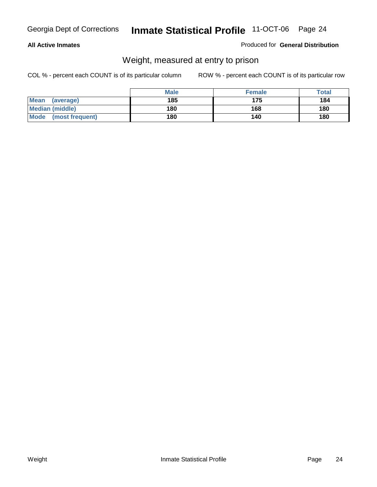#### **All Active Inmates**

#### Produced for **General Distribution**

### Weight, measured at entry to prison

|                                | <b>Male</b> | <b>Female</b> | Total |
|--------------------------------|-------------|---------------|-------|
| <b>Mean</b><br>(average)       | 185         | 175           | 184   |
| <b>Median (middle)</b>         | 180         | 168           | 180   |
| <b>Mode</b><br>(most frequent) | 180         | 140           | 180   |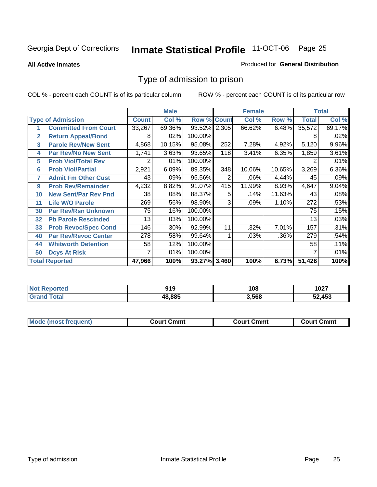**All Active Inmates**

#### Produced for **General Distribution**

### Type of admission to prison

|                          |                             |              | <b>Male</b> |                    |     | <b>Female</b> |        |              | <b>Total</b> |
|--------------------------|-----------------------------|--------------|-------------|--------------------|-----|---------------|--------|--------------|--------------|
| <b>Type of Admission</b> |                             | <b>Count</b> | Col %       | <b>Row % Count</b> |     | Col %         | Row %  | <b>Total</b> | Col %        |
| 1                        | <b>Committed From Court</b> | 33,267       | 69.36%      | 93.52% 2,305       |     | 66.62%        | 6.48%  | 35,572       | 69.17%       |
| $\mathbf{2}$             | <b>Return Appeal/Bond</b>   | 8            | .02%        | 100.00%            |     |               |        | 8            | .02%         |
| 3                        | <b>Parole Rev/New Sent</b>  | 4,868        | 10.15%      | 95.08%             | 252 | 7.28%         | 4.92%  | 5,120        | 9.96%        |
| 4                        | <b>Par Rev/No New Sent</b>  | 1,741        | 3.63%       | 93.65%             | 118 | 3.41%         | 6.35%  | 1,859        | 3.61%        |
| 5                        | <b>Prob Viol/Total Rev</b>  | 2            | .01%        | 100.00%            |     |               |        |              | .01%         |
| 6                        | <b>Prob Viol/Partial</b>    | 2,921        | 6.09%       | 89.35%             | 348 | 10.06%        | 10.65% | 3,269        | 6.36%        |
| 7                        | <b>Admit Fm Other Cust</b>  | 43           | .09%        | 95.56%             | 2   | .06%          | 4.44%  | 45           | .09%         |
| 9                        | <b>Prob Rev/Remainder</b>   | 4,232        | 8.82%       | 91.07%             | 415 | 11.99%        | 8.93%  | 4,647        | 9.04%        |
| 10                       | <b>New Sent/Par Rev Pnd</b> | 38           | .08%        | 88.37%             | 5   | .14%          | 11.63% | 43           | .08%         |
| 11                       | <b>Life W/O Parole</b>      | 269          | .56%        | 98.90%             | 3   | .09%          | 1.10%  | 272          | .53%         |
| 30                       | <b>Par Rev/Rsn Unknown</b>  | 75           | .16%        | 100.00%            |     |               |        | 75           | .15%         |
| 32                       | <b>Pb Parole Rescinded</b>  | 13           | .03%        | 100.00%            |     |               |        | 13           | .03%         |
| 33                       | <b>Prob Revoc/Spec Cond</b> | 146          | .30%        | 92.99%             | 11  | .32%          | 7.01%  | 157          | .31%         |
| 40                       | <b>Par Rev/Revoc Center</b> | 278          | .58%        | 99.64%             |     | .03%          | .36%   | 279          | .54%         |
| 44                       | <b>Whitworth Detention</b>  | 58           | .12%        | 100.00%            |     |               |        | 58           | .11%         |
| 50                       | <b>Dcys At Risk</b>         | 7            | .01%        | 100.00%            |     |               |        |              | .01%         |
| <b>Total Reported</b>    |                             | 47,966       | 100%        | 93.27% 3,460       |     | 100%          | 6.73%  | 51,426       | 100%         |

| Reported<br><b>NOT</b> | п.<br>JIJ | 108   | 1027 |
|------------------------|-----------|-------|------|
|                        | 18.885    | 3.568 | .453 |

| Mo<br>Cmmt<br>Cmmt<br>Court Cmmt<br>:nurt<br>∵∩urt เ<br>most trea |  |  |
|-------------------------------------------------------------------|--|--|
|                                                                   |  |  |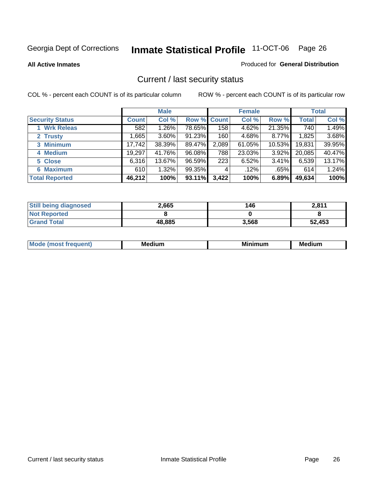**All Active Inmates**

#### Produced for **General Distribution**

### Current / last security status

|                        | <b>Male</b>  |        |                    | <b>Female</b> |        |        | <b>Total</b> |        |
|------------------------|--------------|--------|--------------------|---------------|--------|--------|--------------|--------|
| <b>Security Status</b> | <b>Count</b> | Col %  | <b>Row % Count</b> |               | Col %  | Row %  | <b>Total</b> | Col %  |
| 1 Wrk Releas           | 582          | 1.26%  | 78.65%             | 158           | 4.62%  | 21.35% | 740          | 1.49%  |
| 2 Trusty               | .665         | 3.60%  | 91.23%             | 160           | 4.68%  | 8.77%  | 1,825        | 3.68%  |
| 3 Minimum              | 17,742       | 38.39% | 89.47%             | 2,089         | 61.05% | 10.53% | 19,831       | 39.95% |
| 4 Medium               | 19,297       | 41.76% | 96.08%             | 788           | 23.03% | 3.92%  | 20,085       | 40.47% |
| 5 Close                | 6,316        | 13.67% | 96.59%             | 223           | 6.52%  | 3.41%  | 6,539        | 13.17% |
| 6 Maximum              | 610          | 1.32%  | 99.35%             | 4             | .12%   | .65%   | 614          | 1.24%  |
| <b>Total Reported</b>  | 46,212       | 100%   | 93.11%             | 3,422         | 100%   | 6.89%  | 49,634       | 100%   |

| <b>Still being diagnosed</b> | 2,665  | 146   | 2,811  |
|------------------------------|--------|-------|--------|
| <b>Not Reported</b>          |        |       |        |
| <b>Grand Total</b>           | 48,885 | 3,568 | 52,453 |

| M | <br><br>$  -$ | <br>- -<br>Me |
|---|---------------|---------------|
|   |               |               |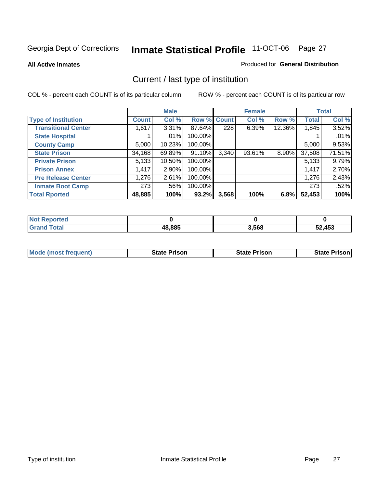**All Active Inmates**

#### Produced for **General Distribution**

### Current / last type of institution

|                            |              | <b>Male</b> |         |             | <b>Female</b> |        |              | <b>Total</b> |
|----------------------------|--------------|-------------|---------|-------------|---------------|--------|--------------|--------------|
| <b>Type of Institution</b> | <b>Count</b> | Col %       |         | Row % Count | Col %         | Row %  | <b>Total</b> | Col %        |
| <b>Transitional Center</b> | 1,617        | $3.31\%$    | 87.64%  | 228         | 6.39%         | 12.36% | 1,845        | 3.52%        |
| <b>State Hospital</b>      |              | .01%        | 100.00% |             |               |        |              | .01%         |
| <b>County Camp</b>         | 5,000        | 10.23%      | 100.00% |             |               |        | 5,000        | 9.53%        |
| <b>State Prison</b>        | 34,168       | 69.89%      | 91.10%  | 3,340       | 93.61%        | 8.90%  | 37,508       | 71.51%       |
| <b>Private Prison</b>      | 5,133        | 10.50%      | 100.00% |             |               |        | 5,133        | 9.79%        |
| <b>Prison Annex</b>        | 1,417        | 2.90%       | 100.00% |             |               |        | 1,417        | 2.70%        |
| <b>Pre Release Center</b>  | 1,276        | 2.61%       | 100.00% |             |               |        | 1,276        | 2.43%        |
| <b>Inmate Boot Camp</b>    | 273          | .56%        | 100.00% |             |               |        | 273          | .52%         |
| <b>Total Rported</b>       | 48,885       | 100%        | 93.2%   | 3,568       | 100%          | 6.8%   | 52,453       | 100%         |

| Reported<br><b>Not</b>    |        |       |        |
|---------------------------|--------|-------|--------|
| Гоtal<br>Gra <sup>r</sup> | 48,885 | 3,568 | 52,453 |

| <b>Mode (most frequent)</b> | State Prison | <b>State Prison</b> | <b>State Prison I</b> |
|-----------------------------|--------------|---------------------|-----------------------|
|                             |              |                     |                       |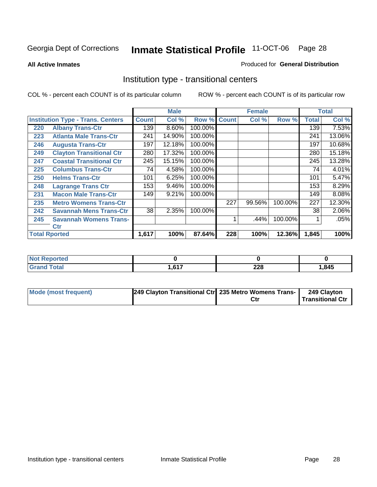**All Active Inmates**

#### Produced for **General Distribution**

### Institution type - transitional centers

|     |                                          |              | <b>Male</b> |             |     | <b>Female</b> |         |              | <b>Total</b> |
|-----|------------------------------------------|--------------|-------------|-------------|-----|---------------|---------|--------------|--------------|
|     | <b>Institution Type - Trans. Centers</b> | <b>Count</b> | Col %       | Row % Count |     | Col %         | Row %   | <b>Total</b> | Col %        |
| 220 | <b>Albany Trans-Ctr</b>                  | 139          | 8.60%       | 100.00%     |     |               |         | 139          | 7.53%        |
| 223 | <b>Atlanta Male Trans-Ctr</b>            | 241          | 14.90%      | 100.00%     |     |               |         | 241          | 13.06%       |
| 246 | <b>Augusta Trans-Ctr</b>                 | 197          | 12.18%      | 100.00%     |     |               |         | 197          | 10.68%       |
| 249 | <b>Clayton Transitional Ctr</b>          | 280          | 17.32%      | 100.00%     |     |               |         | 280          | 15.18%       |
| 247 | <b>Coastal Transitional Ctr</b>          | 245          | 15.15%      | 100.00%     |     |               |         | 245          | 13.28%       |
| 225 | <b>Columbus Trans-Ctr</b>                | 74           | 4.58%       | 100.00%     |     |               |         | 74           | 4.01%        |
| 250 | <b>Helms Trans-Ctr</b>                   | 101          | 6.25%       | 100.00%     |     |               |         | 101          | 5.47%        |
| 248 | <b>Lagrange Trans Ctr</b>                | 153          | 9.46%       | 100.00%     |     |               |         | 153          | 8.29%        |
| 231 | <b>Macon Male Trans-Ctr</b>              | 149          | 9.21%       | 100.00%     |     |               |         | 149          | 8.08%        |
| 235 | <b>Metro Womens Trans-Ctr</b>            |              |             |             | 227 | 99.56%        | 100.00% | 227          | 12.30%       |
| 242 | <b>Savannah Mens Trans-Ctr</b>           | 38           | 2.35%       | 100.00%     |     |               |         | 38           | 2.06%        |
| 245 | <b>Savannah Womens Trans-</b>            |              |             |             |     | .44%          | 100.00% |              | .05%         |
|     | Ctr                                      |              |             |             |     |               |         |              |              |
|     | <b>Total Rported</b>                     | 1,617        | 100%        | 87.64%      | 228 | 100%          | 12.36%  | 1,845        | 100%         |

| Reported<br>NOT             |      |     |        |
|-----------------------------|------|-----|--------|
| <b>Total</b>                | 0.47 | າາດ | 845. ا |
| $\mathbf{v}$ . $\mathbf{u}$ | .    | ZZO |        |

| Mode (most frequent) | [249 Clayton Transitional Ctr] 235 Metro Womens Trans- ) | 249 Clayton             |
|----------------------|----------------------------------------------------------|-------------------------|
|                      |                                                          | <b>Transitional Ctr</b> |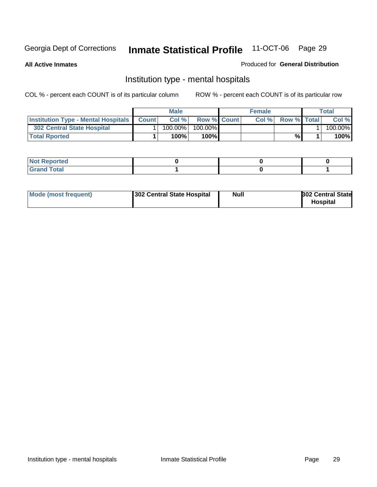**All Active Inmates**

#### Produced for **General Distribution**

### Institution type - mental hospitals

|                                                  | <b>Male</b> |                    | <b>Female</b> |                    | Total   |
|--------------------------------------------------|-------------|--------------------|---------------|--------------------|---------|
| <b>Institution Type - Mental Hospitals Count</b> | Col%        | <b>Row % Count</b> | Col%          | <b>Row % Total</b> | Col %   |
| <b>302 Central State Hospital</b>                | $100.00\%$  | 100.00%            |               |                    | 100.00% |
| <b>Total Rported</b>                             | 100%        | 100%               |               | %                  | 100%    |

| Not Reported |  |  |
|--------------|--|--|
| <b>otal</b>  |  |  |

| Mode (most frequent)<br>302 Central State Hospital | Null | <b>302 Central State</b><br><b>Hospital</b> |
|----------------------------------------------------|------|---------------------------------------------|
|----------------------------------------------------|------|---------------------------------------------|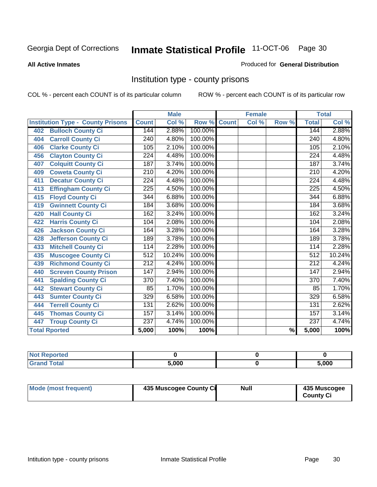#### **All Active Inmates**

#### Produced for **General Distribution**

### Institution type - county prisons

|                                          |                  | <b>Male</b> |         |              | <b>Female</b> |                          |                  | <b>Total</b> |
|------------------------------------------|------------------|-------------|---------|--------------|---------------|--------------------------|------------------|--------------|
| <b>Institution Type - County Prisons</b> | <b>Count</b>     | Col %       | Row %   | <b>Count</b> | Col %         | Row %                    | <b>Total</b>     | Col %        |
| <b>Bulloch County Ci</b><br>402          | 144              | 2.88%       | 100.00% |              |               |                          | 144              | 2.88%        |
| <b>Carroll County Ci</b><br>404          | $\overline{240}$ | 4.80%       | 100.00% |              |               |                          | $\overline{240}$ | 4.80%        |
| <b>Clarke County Ci</b><br>406           | 105              | 2.10%       | 100.00% |              |               |                          | 105              | 2.10%        |
| <b>Clayton County Ci</b><br>456          | 224              | 4.48%       | 100.00% |              |               |                          | 224              | 4.48%        |
| <b>Colquitt County Ci</b><br>407         | 187              | 3.74%       | 100.00% |              |               |                          | 187              | 3.74%        |
| <b>Coweta County Ci</b><br>409           | $\overline{210}$ | 4.20%       | 100.00% |              |               |                          | $\overline{210}$ | 4.20%        |
| <b>Decatur County Ci</b><br>411          | 224              | 4.48%       | 100.00% |              |               |                          | 224              | 4.48%        |
| <b>Effingham County Ci</b><br>413        | 225              | 4.50%       | 100.00% |              |               |                          | 225              | 4.50%        |
| <b>Floyd County Ci</b><br>415            | $\overline{344}$ | 6.88%       | 100.00% |              |               |                          | 344              | 6.88%        |
| <b>Gwinnett County Ci</b><br>419         | 184              | 3.68%       | 100.00% |              |               |                          | 184              | 3.68%        |
| <b>Hall County Ci</b><br>420             | 162              | 3.24%       | 100.00% |              |               |                          | 162              | 3.24%        |
| <b>Harris County Ci</b><br>422           | 104              | 2.08%       | 100.00% |              |               |                          | 104              | 2.08%        |
| Jackson County Ci<br>426                 | 164              | 3.28%       | 100.00% |              |               |                          | 164              | 3.28%        |
| <b>Jefferson County Ci</b><br>428        | 189              | 3.78%       | 100.00% |              |               |                          | 189              | 3.78%        |
| <b>Mitchell County Ci</b><br>433         | 114              | 2.28%       | 100.00% |              |               |                          | 114              | 2.28%        |
| <b>Muscogee County Ci</b><br>435         | 512              | 10.24%      | 100.00% |              |               |                          | 512              | 10.24%       |
| <b>Richmond County Ci</b><br>439         | $\overline{212}$ | 4.24%       | 100.00% |              |               |                          | 212              | 4.24%        |
| <b>Screven County Prison</b><br>440      | $\overline{147}$ | 2.94%       | 100.00% |              |               |                          | $\overline{147}$ | 2.94%        |
| <b>Spalding County Ci</b><br>441         | $\overline{370}$ | 7.40%       | 100.00% |              |               |                          | $\overline{370}$ | 7.40%        |
| <b>Stewart County Ci</b><br>442          | 85               | 1.70%       | 100.00% |              |               |                          | 85               | 1.70%        |
| <b>Sumter County Ci</b><br>443           | 329              | 6.58%       | 100.00% |              |               |                          | 329              | 6.58%        |
| <b>Terrell County Ci</b><br>444          | $\overline{131}$ | 2.62%       | 100.00% |              |               |                          | 131              | 2.62%        |
| <b>Thomas County Ci</b><br>445           | 157              | 3.14%       | 100.00% |              |               |                          | 157              | 3.14%        |
| <b>Troup County Ci</b><br>447            | $\overline{237}$ | 4.74%       | 100.00% |              |               |                          | $\overline{237}$ | 4.74%        |
| <b>Total Rported</b>                     | 5,000            | 100%        | 100%    |              |               | $\overline{\frac{9}{6}}$ | 5,000            | 100%         |

| τeα |       |       |
|-----|-------|-------|
|     | 5.000 | 5,000 |

| Mode (most frequent) | 435 Muscogee County Ci | Null | 435 Muscogee |
|----------------------|------------------------|------|--------------|
|                      |                        |      | County Ci    |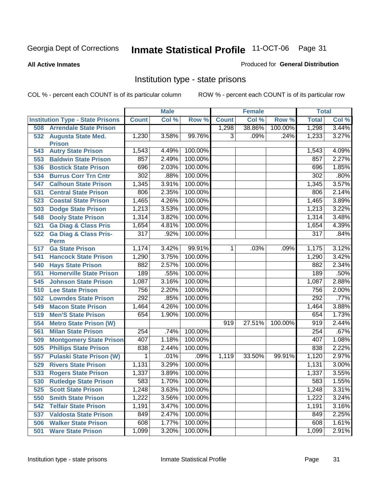#### **All Active Inmates**

#### Produced for **General Distribution**

### Institution type - state prisons

|     |                                                 |                  | <b>Male</b> |         |                | <b>Female</b> |         | <b>Total</b>     |       |
|-----|-------------------------------------------------|------------------|-------------|---------|----------------|---------------|---------|------------------|-------|
|     | <b>Institution Type - State Prisons</b>         | <b>Count</b>     | Col %       | Row %   | <b>Count</b>   | Col %         | Row %   | <b>Total</b>     | Col % |
| 508 | <b>Arrendale State Prison</b>                   |                  |             |         | 1,298          | 38.86%        | 100.00% | 1,298            | 3.44% |
|     | 532 Augusta State Med.<br><b>Prison</b>         | 1,230            | 3.58%       | 99.76%  | 3              | .09%          | .24%    | 1,233            | 3.27% |
| 543 | <b>Autry State Prison</b>                       | 1,543            | 4.49%       | 100.00% |                |               |         | 1,543            | 4.09% |
| 553 | <b>Baldwin State Prison</b>                     | 857              | 2.49%       | 100.00% |                |               |         | 857              | 2.27% |
| 536 | <b>Bostick State Prison</b>                     | 696              | 2.03%       | 100.00% |                |               |         | 696              | 1.85% |
| 534 | <b>Burrus Corr Trn Cntr</b>                     | 302              | .88%        | 100.00% |                |               |         | 302              | .80%  |
| 547 | <b>Calhoun State Prison</b>                     | 1,345            | 3.91%       | 100.00% |                |               |         | 1,345            | 3.57% |
| 531 | <b>Central State Prison</b>                     | 806              | 2.35%       | 100.00% |                |               |         | 806              | 2.14% |
| 523 | <b>Coastal State Prison</b>                     | 1,465            | 4.26%       | 100.00% |                |               |         | 1,465            | 3.89% |
| 503 | <b>Dodge State Prison</b>                       | 1,213            | 3.53%       | 100.00% |                |               |         | 1,213            | 3.22% |
| 548 | <b>Dooly State Prison</b>                       | 1,314            | 3.82%       | 100.00% |                |               |         | 1,314            | 3.48% |
| 521 | <b>Ga Diag &amp; Class Pris</b>                 | 1,654            | 4.81%       | 100.00% |                |               |         | 1,654            | 4.39% |
| 522 | <b>Ga Diag &amp; Class Pris-</b><br><b>Perm</b> | $\overline{317}$ | .92%        | 100.00% |                |               |         | $\overline{317}$ | .84%  |
| 517 | <b>Ga State Prison</b>                          | 1,174            | 3.42%       | 99.91%  | 1 <sup>1</sup> | .03%          | .09%    | 1,175            | 3.12% |
| 541 | <b>Hancock State Prison</b>                     | 1,290            | 3.75%       | 100.00% |                |               |         | 1,290            | 3.42% |
| 540 | <b>Hays State Prison</b>                        | 882              | 2.57%       | 100.00% |                |               |         | 882              | 2.34% |
| 551 | <b>Homerville State Prison</b>                  | 189              | .55%        | 100.00% |                |               |         | 189              | .50%  |
| 545 | <b>Johnson State Prison</b>                     | 1,087            | 3.16%       | 100.00% |                |               |         | 1,087            | 2.88% |
| 510 | <b>Lee State Prison</b>                         | 756              | 2.20%       | 100.00% |                |               |         | 756              | 2.00% |
| 502 | <b>Lowndes State Prison</b>                     | 292              | .85%        | 100.00% |                |               |         | 292              | .77%  |
| 549 | <b>Macon State Prison</b>                       | 1,464            | 4.26%       | 100.00% |                |               |         | 1,464            | 3.88% |
| 519 | <b>Men'S State Prison</b>                       | 654              | 1.90%       | 100.00% |                |               |         | 654              | 1.73% |
| 554 | <b>Metro State Prison (W)</b>                   |                  |             |         | 919            | 27.51%        | 100.00% | 919              | 2.44% |
| 561 | <b>Milan State Prison</b>                       | 254              | .74%        | 100.00% |                |               |         | 254              | .67%  |
| 509 | <b>Montgomery State Prison</b>                  | 407              | 1.18%       | 100.00% |                |               |         | 407              | 1.08% |
| 505 | <b>Phillips State Prison</b>                    | 838              | 2.44%       | 100.00% |                |               |         | 838              | 2.22% |
| 557 | <b>Pulaski State Prison (W)</b>                 | 1                | .01%        | .09%    | 1,119          | 33.50%        | 99.91%  | 1,120            | 2.97% |
| 529 | <b>Rivers State Prison</b>                      | 1,131            | 3.29%       | 100.00% |                |               |         | 1,131            | 3.00% |
| 533 | <b>Rogers State Prison</b>                      | 1,337            | 3.89%       | 100.00% |                |               |         | 1,337            | 3.55% |
| 530 | <b>Rutledge State Prison</b>                    | 583              | 1.70%       | 100.00% |                |               |         | 583              | 1.55% |
| 525 | <b>Scott State Prison</b>                       | 1,248            | 3.63%       | 100.00% |                |               |         | 1,248            | 3.31% |
| 550 | <b>Smith State Prison</b>                       | 1,222            | 3.56%       | 100.00% |                |               |         | 1,222            | 3.24% |
| 542 | <b>Telfair State Prison</b>                     | 1,191            | 3.47%       | 100.00% |                |               |         | 1,191            | 3.16% |
| 537 | <b>Valdosta State Prison</b>                    | 849              | 2.47%       | 100.00% |                |               |         | 849              | 2.25% |
| 506 | <b>Walker State Prison</b>                      | 608              | 1.77%       | 100.00% |                |               |         | 608              | 1.61% |
| 501 | <b>Ware State Prison</b>                        | 1,099            | 3.20%       | 100.00% |                |               |         | 1,099            | 2.91% |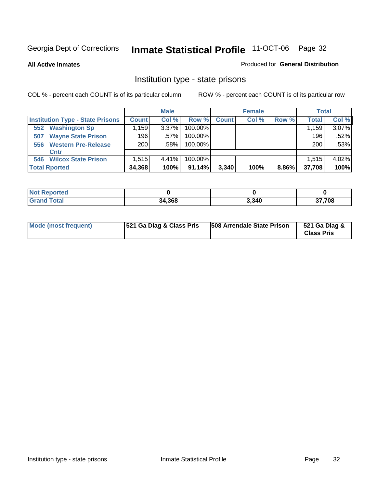**All Active Inmates**

#### Produced for **General Distribution**

### Institution type - state prisons

|                                         |                                  | <b>Male</b> |            |              | <b>Female</b> |       | <b>Total</b> |       |
|-----------------------------------------|----------------------------------|-------------|------------|--------------|---------------|-------|--------------|-------|
| <b>Institution Type - State Prisons</b> | <b>Count</b>                     | Col %       | Row %      | <b>Count</b> | Col %         | Row % | <b>Total</b> | Col % |
| <b>Washington Sp</b><br>552             | $.159$ <sup><math>+</math></sup> | $3.37\%$    | $100.00\%$ |              |               |       | 1.159        | 3.07% |
| <b>Wayne State Prison</b><br>507        | 196                              | $.57\%$     | $100.00\%$ |              |               |       | 196          | .52%  |
| <b>Western Pre-Release</b><br>556       | 200                              | $.58\%$     | $100.00\%$ |              |               |       | 200          | .53%  |
| Cntr                                    |                                  |             |            |              |               |       |              |       |
| <b>Wilcox State Prison</b><br>546       | 1,515                            | 4.41%       | $100.00\%$ |              |               |       | 1.515        | 4.02% |
| <b>Total Rported</b>                    | 34,368                           | 100%        | 91.14%     | 3,340        | 100%          | 8.86% | 37,708       | 100%  |

| *ted        |        |       |      |
|-------------|--------|-------|------|
| <b>otal</b> | 34,368 | 3,340 | ,708 |

| Mode (most frequent) | <b>521 Ga Diag &amp; Class Pris</b> | 508 Arrendale State Prison | 521 Ga Diag &<br><b>Class Pris</b> |
|----------------------|-------------------------------------|----------------------------|------------------------------------|
|----------------------|-------------------------------------|----------------------------|------------------------------------|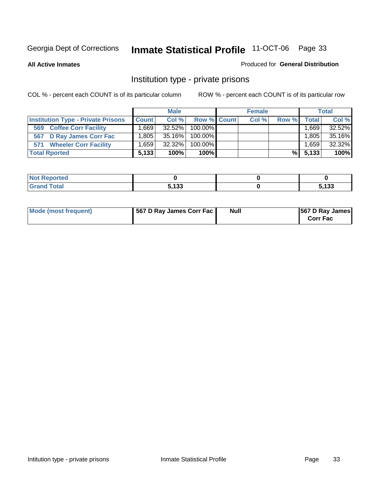**All Active Inmates**

#### Produced for **General Distribution**

### Institution type - private prisons

|                                           |                   | <b>Male</b> |             | <b>Female</b> |       |              | <b>Total</b> |
|-------------------------------------------|-------------------|-------------|-------------|---------------|-------|--------------|--------------|
| <b>Institution Type - Private Prisons</b> | <b>Count</b>      | Col %       | Row % Count | Col %         | Row % | <b>Total</b> | Col %        |
| <b>Coffee Corr Facility</b><br>569        | .6691             | $32.52\%$   | 100.00%     |               |       | ∃669، ،      | 32.52%       |
| 567 D Ray James Corr Fac                  | .805 <sub>1</sub> | 35.16%      | 100.00%     |               |       | 1.805        | 35.16%       |
| <b>Wheeler Corr Facility</b><br>571       | .659 <sub>1</sub> | 32.32%      | 100.00%     |               |       | 1,659        | 32.32%       |
| <b>Total Rported</b>                      | 5,133             | 100%        | 100%        |               | %Ⅰ    | 5,133        | 100%         |

| Reported           |                             |               |
|--------------------|-----------------------------|---------------|
| <b>Total</b><br>-- | <b>E 499</b><br>∣ ၁၁<br>- - | - 199<br>دد ا |

| Mode (most frequent) | 567 D Ray James Corr Fac | <b>Null</b> | <b>567 D Ray James</b><br><b>Corr Fac</b> |
|----------------------|--------------------------|-------------|-------------------------------------------|
|----------------------|--------------------------|-------------|-------------------------------------------|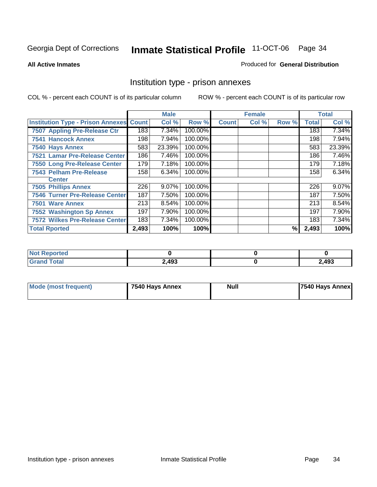#### **All Active Inmates**

#### Produced for **General Distribution**

### Institution type - prison annexes

|                                                |       | <b>Male</b> |         |              | <b>Female</b> |       |              | <b>Total</b> |
|------------------------------------------------|-------|-------------|---------|--------------|---------------|-------|--------------|--------------|
| <b>Institution Type - Prison Annexes Count</b> |       | Col %       | Row %   | <b>Count</b> | Col %         | Row % | <b>Total</b> | Col %        |
| 7507 Appling Pre-Release Ctr                   | 183   | 7.34%       | 100.00% |              |               |       | 183          | 7.34%        |
| <b>7541 Hancock Annex</b>                      | 198   | 7.94%       | 100.00% |              |               |       | 198          | 7.94%        |
| 7540 Hays Annex                                | 583   | 23.39%      | 100.00% |              |               |       | 583          | 23.39%       |
| 7521 Lamar Pre-Release Center                  | 186   | 7.46%       | 100.00% |              |               |       | 186          | 7.46%        |
| 7550 Long Pre-Release Center                   | 179   | 7.18%       | 100.00% |              |               |       | 179          | 7.18%        |
| <b>7543 Pelham Pre-Release</b>                 | 158   | 6.34%       | 100.00% |              |               |       | 158          | 6.34%        |
| <b>Center</b>                                  |       |             |         |              |               |       |              |              |
| <b>7505 Phillips Annex</b>                     | 226   | 9.07%       | 100.00% |              |               |       | 226          | 9.07%        |
| <b>7546 Turner Pre-Release Center</b>          | 187   | 7.50%       | 100.00% |              |               |       | 187          | 7.50%        |
| 7501 Ware Annex                                | 213   | 8.54%       | 100.00% |              |               |       | 213          | 8.54%        |
| <b>7552 Washington Sp Annex</b>                | 197   | 7.90%       | 100.00% |              |               |       | 197          | 7.90%        |
| 7572 Wilkes Pre-Release Center                 | 183   | 7.34%       | 100.00% |              |               |       | 183          | 7.34%        |
| <b>Total Rported</b>                           | 2,493 | 100%        | 100%    |              |               | %     | 2,493        | 100%         |

| Not Reported          |       |       |
|-----------------------|-------|-------|
| <b>Total</b><br>Grand | 2,493 | 2,493 |

| Mode (most frequent) | 7540 Hays Annex | <b>Null</b> | 7540 Hays Annex |
|----------------------|-----------------|-------------|-----------------|
|----------------------|-----------------|-------------|-----------------|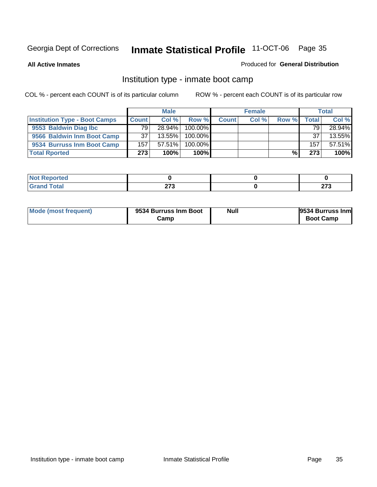**All Active Inmates**

#### Produced for **General Distribution**

### Institution type - inmate boot camp

|                                      |              | <b>Male</b> |            |              | <b>Female</b> |       |       | <b>Total</b> |
|--------------------------------------|--------------|-------------|------------|--------------|---------------|-------|-------|--------------|
| <b>Institution Type - Boot Camps</b> | <b>Count</b> | Col %       | Row %      | <b>Count</b> | Col %         | Row % | Total | Col %        |
| 9553 Baldwin Diag Ibc                | 79.          | $28.94\%$   | $100.00\%$ |              |               |       | 79    | 28.94%       |
| 9566 Baldwin Inm Boot Camp           | 37           | $13.55\%$   | 100.00%    |              |               |       | 37    | 13.55%       |
| 9534 Burruss Inm Boot Camp           | 157          | $57.51\%$   | $100.00\%$ |              |               |       | 157   | 57.51%       |
| <b>Total Rported</b>                 | 273          | 100%        | 100%       |              |               | %     | 273   | 100%         |

| . Reported<br><b>NOT</b><br>$\sim$ |             |              |
|------------------------------------|-------------|--------------|
| <b>ctal</b>                        | ヘラヘ<br>21 J | 0.70<br>21 J |

| <b>Mode (most frequent)</b> | 9534 Burruss Inm Boot<br>Camp | <b>Null</b> | 9534 Burruss Inm<br><b>Boot Camp</b> |
|-----------------------------|-------------------------------|-------------|--------------------------------------|
|-----------------------------|-------------------------------|-------------|--------------------------------------|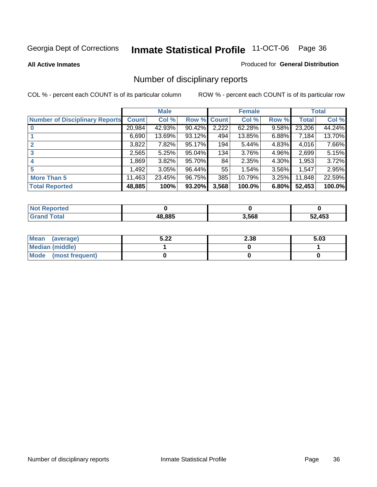#### **All Active Inmates**

#### Produced for **General Distribution**

### Number of disciplinary reports

|                                       |              | <b>Male</b> |        |       | <b>Female</b> |       |              | <b>Total</b> |
|---------------------------------------|--------------|-------------|--------|-------|---------------|-------|--------------|--------------|
| <b>Number of Disciplinary Reports</b> | <b>Count</b> | Col %       | Row %  | Count | Col %         | Row % | <b>Total</b> | Col %        |
|                                       | 20,984       | 42.93%      | 90.42% | 2,222 | 62.28%        | 9.58% | 23,206       | 44.24%       |
|                                       | 6,690        | 13.69%      | 93.12% | 494   | 13.85%        | 6.88% | 7,184        | 13.70%       |
|                                       | 3,822        | 7.82%       | 95.17% | 194   | 5.44%         | 4.83% | 4,016        | 7.66%        |
| 3                                     | 2,565        | 5.25%       | 95.04% | 134   | 3.76%         | 4.96% | 2,699        | 5.15%        |
|                                       | .869         | $3.82\%$    | 95.70% | 84    | 2.35%         | 4.30% | 1,953        | 3.72%        |
| 5                                     | ,492         | 3.05%       | 96.44% | 55    | 1.54%         | 3.56% | 1,547        | 2.95%        |
| <b>More Than 5</b>                    | 11,463       | 23.45%      | 96.75% | 385   | 10.79%        | 3.25% | 11,848       | 22.59%       |
| <b>Total Reported</b>                 | 48,885       | 100%        | 93.20% | 3,568 | 100.0%        | 6.80% | 52,453       | 100.0%       |

| N         |        |       |     |
|-----------|--------|-------|-----|
| $\sim$ 10 | AO OOF | 3.568 | ハドタ |
|           | ,,,    |       | --  |

| Mean (average)       | 5.22 | 2.38 | 5.03 |
|----------------------|------|------|------|
| Median (middle)      |      |      |      |
| Mode (most frequent) |      |      |      |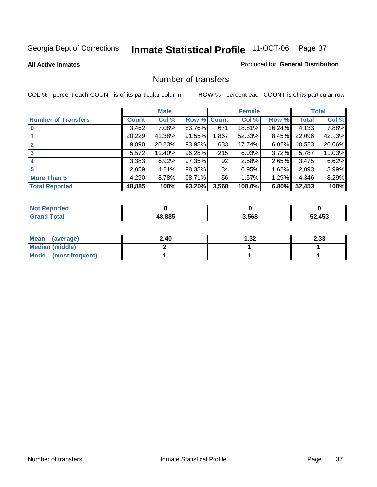#### **All Active Inmates**

#### Produced for **General Distribution**

## Number of transfers

|                            |         | <b>Male</b> |        |              | <b>Female</b> |          |              | <b>Total</b> |
|----------------------------|---------|-------------|--------|--------------|---------------|----------|--------------|--------------|
| <b>Number of Transfers</b> | Count l | Col %       | Row %  | <b>Count</b> | Col %         | Row %    | <b>Total</b> | Col %        |
|                            | 3,462   | $7.08\%$    | 83.76% | 671          | 18.81%        | 16.24%   | 4,133        | 7.88%        |
|                            | 20,229  | 41.38%      | 91.55% | .867         | 52.33%        | $8.45\%$ | 22,096       | 42.13%       |
|                            | 9,890   | 20.23%      | 93.98% | 633          | 17.74%        | $6.02\%$ | 10,523       | 20.06%       |
| 3                          | 5,572   | 11.40%      | 96.28% | 215          | 6.03%         | $3.72\%$ | 5,787        | 11.03%       |
|                            | 3,383   | 6.92%       | 97.35% | 92           | 2.58%         | $2.65\%$ | 3.475        | 6.62%        |
| 5                          | 2,059   | 4.21%       | 98.38% | 34           | 0.95%         | 1.62%    | 2,093        | 3.99%        |
| <b>More Than 5</b>         | 4,290   | 8.78%       | 98.71% | 56           | 1.57%         | 1.29%    | 4,346        | 8.29%        |
| <b>Total Reported</b>      | 48,885  | 100%        | 93.20% | 3,568        | 100.0%        | 6.80%    | 52,453       | 100%         |

| N         |        |       |     |
|-----------|--------|-------|-----|
| $\sim$ 10 | AO OOF | 3.568 | ハドタ |
|           | ,,,    |       | --  |

| Mean (average)       | 2.40 | 1.32 | 2.33 |
|----------------------|------|------|------|
| Median (middle)      |      |      |      |
| Mode (most frequent) |      |      |      |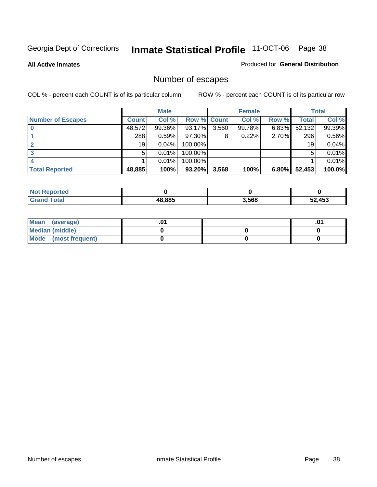**All Active Inmates**

#### Produced for **General Distribution**

# Number of escapes

|                          |              | <b>Male</b> |                    |       | <b>Female</b> |       |        | <b>Total</b> |
|--------------------------|--------------|-------------|--------------------|-------|---------------|-------|--------|--------------|
| <b>Number of Escapes</b> | <b>Count</b> | Col %       | <b>Row % Count</b> |       | Col %         | Row % | Total  | Col %        |
|                          | 48,572       | 99.36%      | 93.17%             | 3,560 | 99.78%        | 6.83% | 52,132 | 99.39%       |
|                          | 288          | 0.59%       | 97.30%             | 8     | 0.22%         | 2.70% | 296    | 0.56%        |
|                          | 19           | 0.04%       | 100.00%            |       |               |       | 19     | 0.04%        |
|                          | 5            | 0.01%       | 100.00%            |       |               |       | 5      | 0.01%        |
|                          |              | 0.01%       | $100.00\%$         |       |               |       |        | 0.01%        |
| <b>Total Reported</b>    | 48,885       | 100%        | 93.20%             | 3,568 | 100%          | 6.80% | 52,453 | 100.0%       |

| rted               |        |       |        |
|--------------------|--------|-------|--------|
| T <sub>of</sub> ol | 48.885 | 3,568 | 2.453ء |

| Mean (average)       |  | .01 |
|----------------------|--|-----|
| Median (middle)      |  |     |
| Mode (most frequent) |  |     |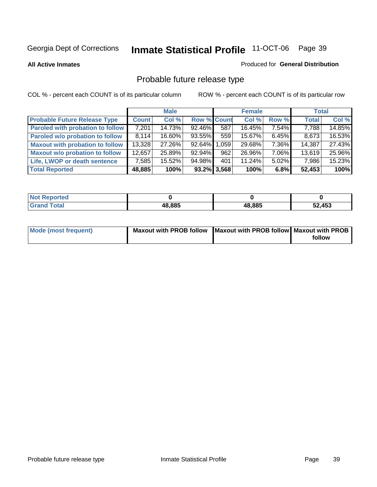**All Active Inmates**

#### Produced for **General Distribution**

# Probable future release type

|                                         |              | <b>Male</b> |                    |                | <b>Female</b> |          | <b>Total</b> |        |
|-----------------------------------------|--------------|-------------|--------------------|----------------|---------------|----------|--------------|--------|
| <b>Probable Future Release Type</b>     | <b>Count</b> | Col %       | <b>Row % Count</b> |                | Col %         | Row %    | <b>Total</b> | Col %  |
| <b>Paroled with probation to follow</b> | 7,201        | 14.73%      | 92.46%             | 587            | 16.45%        | 7.54%    | 7,788        | 14.85% |
| Paroled w/o probation to follow         | 8.114        | 16.60%      | 93.55%             | 559            | 15.67%        | $6.45\%$ | 8,673        | 16.53% |
| <b>Maxout with probation to follow</b>  | 13,328       | 27.26%      | 92.64%             | .059           | 29.68%        | 7.36%    | 14,387       | 27.43% |
| <b>Maxout w/o probation to follow</b>   | 12,657       | 25.89%      | 92.94%             | 962            | 26.96%        | 7.06%    | 13,619       | 25.96% |
| Life, LWOP or death sentence            | 7,585        | 15.52%      | 94.98%             | 401            | 11.24%        | $5.02\%$ | 7,986        | 15.23% |
| <b>Total Reported</b>                   | 48,885       | 100%        |                    | $93.2\%$ 3,568 | 100%          | 6.8%     | 52,453       | 100%   |

| <b>Not</b><br>Reported |        |        |        |
|------------------------|--------|--------|--------|
| Total<br><b>Grand</b>  | 48,885 | 48,885 | 52,453 |

| Mode (most frequent) | Maxout with PROB follow   Maxout with PROB follow   Maxout with PROB |        |
|----------------------|----------------------------------------------------------------------|--------|
|                      |                                                                      | follow |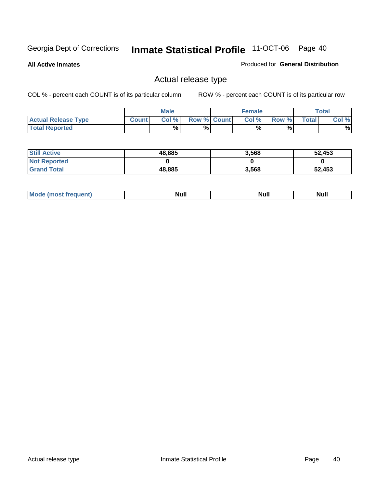**All Active Inmates**

Produced for **General Distribution**

## Actual release type

|                            |              | <b>Male</b> |                    | <b>Female</b> |        |       | $\tau$ otal |
|----------------------------|--------------|-------------|--------------------|---------------|--------|-------|-------------|
| <b>Actual Release Type</b> | <b>Count</b> | Col %       | <b>Row % Count</b> | Col %         | Row %I | Total | Col %       |
| <b>Total Reported</b>      |              | $\%$        | %                  | %             | %      |       | %           |

| <b>Still Active</b> | 48,885 | 3,568 | 52,453 |
|---------------------|--------|-------|--------|
| <b>Not Reported</b> |        |       |        |
| <b>Grand Total</b>  | 48,885 | 3,568 | 52,453 |

| īМ | м.<br>$-$ - $-$ - $-$ - $-$ | Null | $\cdots$ |
|----|-----------------------------|------|----------|
|    |                             |      |          |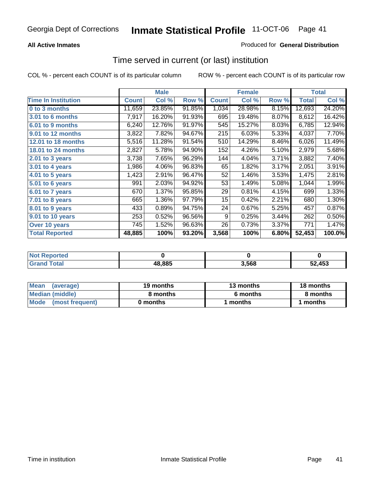## **All Active Inmates**

## Produced for **General Distribution**

## Time served in current (or last) institution

|                            |              | <b>Male</b> |        |              | <b>Female</b> |       |              | <b>Total</b> |
|----------------------------|--------------|-------------|--------|--------------|---------------|-------|--------------|--------------|
| <b>Time In Institution</b> | <b>Count</b> | Col %       | Row %  | <b>Count</b> | Col %         | Row % | <b>Total</b> | Col %        |
| 0 to 3 months              | 11,659       | 23.85%      | 91.85% | 1,034        | 28.98%        | 8.15% | 12,693       | 24.20%       |
| 3.01 to 6 months           | 7,917        | 16.20%      | 91.93% | 695          | 19.48%        | 8.07% | 8,612        | 16.42%       |
| 6.01 to 9 months           | 6,240        | 12.76%      | 91.97% | 545          | 15.27%        | 8.03% | 6,785        | 12.94%       |
| 9.01 to 12 months          | 3,822        | 7.82%       | 94.67% | 215          | 6.03%         | 5.33% | 4,037        | 7.70%        |
| <b>12.01 to 18 months</b>  | 5,516        | 11.28%      | 91.54% | 510          | 14.29%        | 8.46% | 6,026        | 11.49%       |
| <b>18.01 to 24 months</b>  | 2,827        | 5.78%       | 94.90% | 152          | 4.26%         | 5.10% | 2,979        | 5.68%        |
| $2.01$ to 3 years          | 3,738        | 7.65%       | 96.29% | 144          | 4.04%         | 3.71% | 3,882        | 7.40%        |
| 3.01 to 4 years            | 1,986        | 4.06%       | 96.83% | 65           | 1.82%         | 3.17% | 2,051        | 3.91%        |
| 4.01 to 5 years            | 1,423        | 2.91%       | 96.47% | 52           | 1.46%         | 3.53% | 1,475        | 2.81%        |
| 5.01 to 6 years            | 991          | 2.03%       | 94.92% | 53           | 1.49%         | 5.08% | 1,044        | 1.99%        |
| 6.01 to 7 years            | 670          | 1.37%       | 95.85% | 29           | 0.81%         | 4.15% | 699          | 1.33%        |
| 7.01 to 8 years            | 665          | 1.36%       | 97.79% | 15           | 0.42%         | 2.21% | 680          | 1.30%        |
| 8.01 to 9 years            | 433          | 0.89%       | 94.75% | 24           | 0.67%         | 5.25% | 457          | 0.87%        |
| 9.01 to 10 years           | 253          | 0.52%       | 96.56% | 9            | 0.25%         | 3.44% | 262          | 0.50%        |
| Over 10 years              | 745          | 1.52%       | 96.63% | 26           | 0.73%         | 3.37% | 771          | 1.47%        |
| <b>Total Reported</b>      | 48,885       | 100%        | 93.20% | 3,568        | 100%          | 6.80% | 52,453       | 100.0%       |

| <b>Not Reported</b> |        |      |        |
|---------------------|--------|------|--------|
| <b>Total</b>        | 48,885 | ,568 | 52.453 |

| Mean<br>(average)       | 19 months | 13 months | 18 months |  |
|-------------------------|-----------|-----------|-----------|--|
| Median (middle)         | 8 months  | 6 months  | 8 months  |  |
| Mode<br>(most frequent) | 0 months  | 1 months  | months    |  |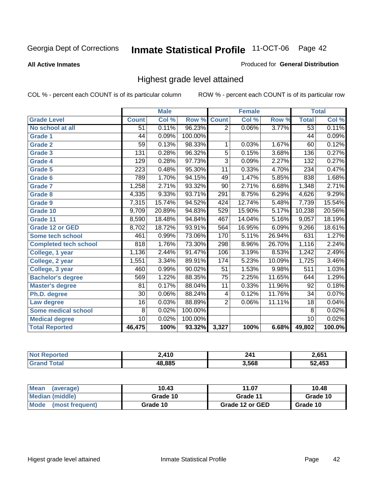**All Active Inmates**

#### Produced for **General Distribution**

## Highest grade level attained

|                              |                  | <b>Male</b> |         |                 | <b>Female</b> |        |                 | <b>Total</b> |
|------------------------------|------------------|-------------|---------|-----------------|---------------|--------|-----------------|--------------|
| <b>Grade Level</b>           | <b>Count</b>     | Col %       | Row %   | <b>Count</b>    | Col %         | Row %  | <b>Total</b>    | Col %        |
| No school at all             | 51               | 0.11%       | 96.23%  | $\overline{2}$  | 0.06%         | 3.77%  | $\overline{53}$ | 0.11%        |
| <b>Grade 1</b>               | 44               | 0.09%       | 100.00% |                 |               |        | $\overline{44}$ | 0.09%        |
| <b>Grade 2</b>               | $\overline{59}$  | 0.13%       | 98.33%  | 1               | 0.03%         | 1.67%  | 60              | 0.12%        |
| <b>Grade 3</b>               | 131              | 0.28%       | 96.32%  | 5               | 0.15%         | 3.68%  | 136             | 0.27%        |
| <b>Grade 4</b>               | 129              | 0.28%       | 97.73%  | $\overline{3}$  | 0.09%         | 2.27%  | 132             | 0.27%        |
| Grade 5                      | $\overline{223}$ | 0.48%       | 95.30%  | $\overline{11}$ | 0.33%         | 4.70%  | 234             | 0.47%        |
| Grade 6                      | 789              | 1.70%       | 94.15%  | 49              | 1.47%         | 5.85%  | 838             | 1.68%        |
| <b>Grade 7</b>               | 1,258            | 2.71%       | 93.32%  | $\overline{90}$ | 2.71%         | 6.68%  | 1,348           | 2.71%        |
| <b>Grade 8</b>               | 4,335            | 9.33%       | 93.71%  | 291             | 8.75%         | 6.29%  | 4,626           | 9.29%        |
| Grade 9                      | 7,315            | 15.74%      | 94.52%  | 424             | 12.74%        | 5.48%  | 7,739           | 15.54%       |
| Grade 10                     | 9,709            | 20.89%      | 94.83%  | 529             | 15.90%        | 5.17%  | 10,238          | 20.56%       |
| Grade 11                     | 8,590            | 18.48%      | 94.84%  | 467             | 14.04%        | 5.16%  | 9,057           | 18.19%       |
| <b>Grade 12 or GED</b>       | 8,702            | 18.72%      | 93.91%  | 564             | 16.95%        | 6.09%  | 9,266           | 18.61%       |
| <b>Some tech school</b>      | 461              | 0.99%       | 73.06%  | 170             | 5.11%         | 26.94% | 631             | 1.27%        |
| <b>Completed tech school</b> | 818              | 1.76%       | 73.30%  | 298             | 8.96%         | 26.70% | 1,116           | 2.24%        |
| College, 1 year              | 1,136            | 2.44%       | 91.47%  | 106             | 3.19%         | 8.53%  | 1,242           | 2.49%        |
| College, 2 year              | 1,551            | 3.34%       | 89.91%  | 174             | 5.23%         | 10.09% | 1,725           | 3.46%        |
| College, 3 year              | 460              | 0.99%       | 90.02%  | 51              | 1.53%         | 9.98%  | 511             | 1.03%        |
| <b>Bachelor's degree</b>     | 569              | 1.22%       | 88.35%  | $\overline{75}$ | 2.25%         | 11.65% | 644             | 1.29%        |
| <b>Master's degree</b>       | 81               | 0.17%       | 88.04%  | 11              | 0.33%         | 11.96% | 92              | 0.18%        |
| Ph.D. degree                 | $\overline{30}$  | 0.06%       | 88.24%  | 4               | 0.12%         | 11.76% | 34              | 0.07%        |
| Law degree                   | $\overline{16}$  | 0.03%       | 88.89%  | $\overline{2}$  | 0.06%         | 11.11% | $\overline{18}$ | 0.04%        |
| <b>Some medical school</b>   | 8                | 0.02%       | 100.00% |                 |               |        | 8               | 0.02%        |
| <b>Medical degree</b>        | $\overline{10}$  | 0.02%       | 100.00% |                 |               |        | 10              | 0.02%        |
| <b>Total Reported</b>        | 46,475           | 100%        | 93.32%  | 3,327           | 100%          | 6.68%  | 49,802          | 100.0%       |

| 0 A 1 N | 241   | C G51<br>v., |
|---------|-------|--------------|
| 48.885  | 3.568 | A52          |

| <b>Mean</b><br>(average)       | 10.43    | 11.07           | 10.48    |
|--------------------------------|----------|-----------------|----------|
| Median (middle)                | Grade 10 | Grade 11        | Grade 10 |
| <b>Mode</b><br>(most frequent) | Grade 10 | Grade 12 or GED | Grade 10 |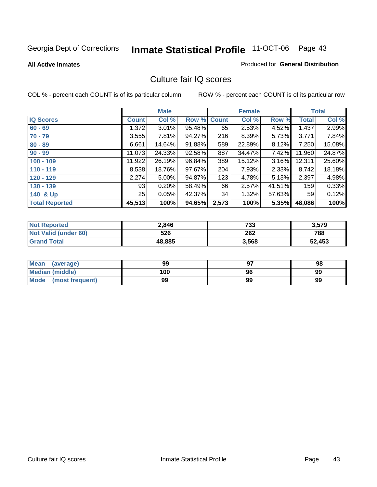**All Active Inmates**

#### Produced for **General Distribution**

## Culture fair IQ scores

|                       |              | <b>Male</b> |             |       | <b>Female</b> |        |              | <b>Total</b> |
|-----------------------|--------------|-------------|-------------|-------|---------------|--------|--------------|--------------|
| <b>IQ Scores</b>      | <b>Count</b> | Col %       | Row % Count |       | Col %         | Row %  | <b>Total</b> | Col %        |
| $60 - 69$             | 1,372        | 3.01%       | 95.48%      | 65    | 2.53%         | 4.52%  | 1,437        | 2.99%        |
| $70 - 79$             | 3,555        | 7.81%       | 94.27%      | 216   | 8.39%         | 5.73%  | 3,771        | 7.84%        |
| $80 - 89$             | 6,661        | 14.64%      | 91.88%      | 589   | 22.89%        | 8.12%  | 7,250        | 15.08%       |
| $90 - 99$             | 11,073       | 24.33%      | 92.58%      | 887   | 34.47%        | 7.42%  | 11,960       | 24.87%       |
| $100 - 109$           | 11,922       | 26.19%      | 96.84%      | 389   | 15.12%        | 3.16%  | 12,311       | 25.60%       |
| $110 - 119$           | 8,538        | 18.76%      | 97.67%      | 204   | 7.93%         | 2.33%  | 8,742        | 18.18%       |
| $120 - 129$           | 2,274        | 5.00%       | 94.87%      | 123   | 4.78%         | 5.13%  | 2,397        | 4.98%        |
| $130 - 139$           | 93           | 0.20%       | 58.49%      | 66    | 2.57%         | 41.51% | 159          | 0.33%        |
| 140 & Up              | 25           | 0.05%       | 42.37%      | 34    | 1.32%         | 57.63% | 59           | 0.12%        |
| <b>Total Reported</b> | 45,513       | 100%        | 94.65%      | 2,573 | 100%          | 5.35%  | 48,086       | 100%         |

| <b>Not Reported</b>  | 2,846  | 733   | 3,579  |
|----------------------|--------|-------|--------|
| Not Valid (under 60) | 526    | 262   | 788    |
| <b>Grand Total</b>   | 48,885 | 3,568 | 52,453 |

| <b>Mean</b><br>(average) | 99  | 97 | 98 |
|--------------------------|-----|----|----|
| Median (middle)          | 100 | 96 | 99 |
| Mode (most frequent)     | 99  | 99 | 99 |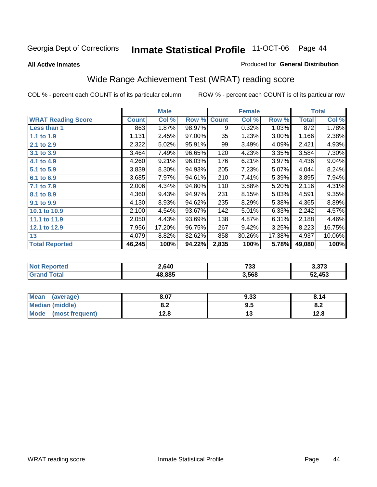#### **All Active Inmates**

#### Produced for **General Distribution**

# Wide Range Achievement Test (WRAT) reading score

|                           |              | <b>Male</b> |        |              | <b>Female</b> |        |              | <b>Total</b> |
|---------------------------|--------------|-------------|--------|--------------|---------------|--------|--------------|--------------|
| <b>WRAT Reading Score</b> | <b>Count</b> | Col %       | Row %  | <b>Count</b> | Col %         | Row %  | <b>Total</b> | Col %        |
| Less than 1               | 863          | 1.87%       | 98.97% | 9            | 0.32%         | 1.03%  | 872          | 1.78%        |
| 1.1 to 1.9                | 1,131        | 2.45%       | 97.00% | 35           | 1.23%         | 3.00%  | 1,166        | 2.38%        |
| 2.1 to 2.9                | 2,322        | 5.02%       | 95.91% | 99           | 3.49%         | 4.09%  | 2,421        | 4.93%        |
| 3.1 to 3.9                | 3,464        | 7.49%       | 96.65% | 120          | 4.23%         | 3.35%  | 3,584        | 7.30%        |
| 4.1 to 4.9                | 4,260        | 9.21%       | 96.03% | 176          | 6.21%         | 3.97%  | 4,436        | 9.04%        |
| 5.1 to 5.9                | 3,839        | 8.30%       | 94.93% | 205          | 7.23%         | 5.07%  | 4,044        | 8.24%        |
| 6.1 to 6.9                | 3,685        | 7.97%       | 94.61% | 210          | 7.41%         | 5.39%  | 3,895        | 7.94%        |
| 7.1 to 7.9                | 2,006        | 4.34%       | 94.80% | 110          | 3.88%         | 5.20%  | 2,116        | 4.31%        |
| 8.1 to 8.9                | 4,360        | 9.43%       | 94.97% | 231          | 8.15%         | 5.03%  | 4,591        | 9.35%        |
| 9.1 to 9.9                | 4,130        | 8.93%       | 94.62% | 235          | 8.29%         | 5.38%  | 4,365        | 8.89%        |
| 10.1 to 10.9              | 2,100        | 4.54%       | 93.67% | 142          | 5.01%         | 6.33%  | 2,242        | 4.57%        |
| 11.1 to 11.9              | 2,050        | 4.43%       | 93.69% | 138          | 4.87%         | 6.31%  | 2,188        | 4.46%        |
| 12.1 to 12.9              | 7,956        | 17.20%      | 96.75% | 267          | 9.42%         | 3.25%  | 8,223        | 16.75%       |
| 13                        | 4,079        | 8.82%       | 82.62% | 858          | 30.26%        | 17.38% | 4,937        | 10.06%       |
| <b>Total Reported</b>     | 46,245       | 100%        | 94.22% | 2,835        | 100%          | 5.78%  | 49,080       | 100%         |

| orted           | 2,640  | 723   | יים י   |
|-----------------|--------|-------|---------|
| NO <sub>1</sub> |        | دد ،  | ა.ა / ა |
| <b>otal</b>     | 18.885 | 3,568 | 52,453  |

| <b>Mean</b><br>(average) | 8.07          | 9.33 | 8.14 |
|--------------------------|---------------|------|------|
| Median (middle)          | י ה<br>0.Z    | ຩ.   | o.z  |
| Mode<br>(most frequent)  | 19 Q<br>I 4.0 | . .  | 12.8 |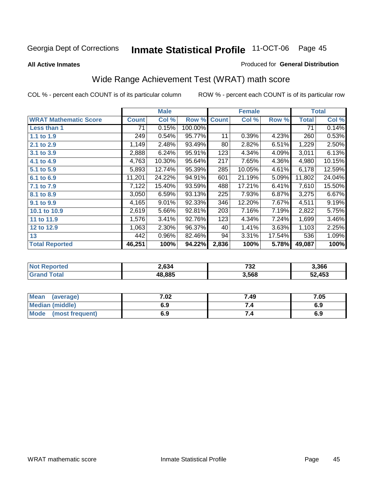#### **All Active Inmates**

#### Produced for **General Distribution**

# Wide Range Achievement Test (WRAT) math score

|                              |              | <b>Male</b> |         |              | <b>Female</b> |        |              | <b>Total</b> |
|------------------------------|--------------|-------------|---------|--------------|---------------|--------|--------------|--------------|
| <b>WRAT Mathematic Score</b> | <b>Count</b> | Col %       | Row %   | <b>Count</b> | Col %         | Row %  | <b>Total</b> | Col %        |
| Less than 1                  | 71           | 0.15%       | 100.00% |              |               |        | 71           | 0.14%        |
| 1.1 to 1.9                   | 249          | 0.54%       | 95.77%  | 11           | 0.39%         | 4.23%  | 260          | 0.53%        |
| 2.1 to 2.9                   | 1,149        | 2.48%       | 93.49%  | 80           | 2.82%         | 6.51%  | 1,229        | 2.50%        |
| 3.1 to 3.9                   | 2,888        | 6.24%       | 95.91%  | 123          | 4.34%         | 4.09%  | 3,011        | 6.13%        |
| 4.1 to 4.9                   | 4,763        | 10.30%      | 95.64%  | 217          | 7.65%         | 4.36%  | 4,980        | 10.15%       |
| 5.1 to 5.9                   | 5,893        | 12.74%      | 95.39%  | 285          | 10.05%        | 4.61%  | 6,178        | 12.59%       |
| 6.1 to 6.9                   | 11,201       | 24.22%      | 94.91%  | 601          | 21.19%        | 5.09%  | 11,802       | 24.04%       |
| 7.1 to 7.9                   | 7,122        | 15.40%      | 93.59%  | 488          | 17.21%        | 6.41%  | 7,610        | 15.50%       |
| 8.1 to 8.9                   | 3,050        | 6.59%       | 93.13%  | 225          | 7.93%         | 6.87%  | 3,275        | 6.67%        |
| 9.1 to 9.9                   | 4,165        | 9.01%       | 92.33%  | 346          | 12.20%        | 7.67%  | 4,511        | 9.19%        |
| 10.1 to 10.9                 | 2,619        | 5.66%       | 92.81%  | 203          | 7.16%         | 7.19%  | 2,822        | 5.75%        |
| 11 to 11.9                   | 1,576        | 3.41%       | 92.76%  | 123          | 4.34%         | 7.24%  | 1,699        | 3.46%        |
| 12 to 12.9                   | 1,063        | 2.30%       | 96.37%  | 40           | 1.41%         | 3.63%  | 1,103        | 2.25%        |
| 13                           | 442          | 0.96%       | 82.46%  | 94           | 3.31%         | 17.54% | 536          | 1.09%        |
| <b>Total Reported</b>        | 46,251       | 100%        | 94.22%  | 2,836        | 100%          | 5.78%  | 49,087       | 100%         |

| orted<br>NO1 | 2.634  | 723<br>ے ر | 3,366  |
|--------------|--------|------------|--------|
| <b>ota</b>   | 18.885 | 3,568      | 52,453 |

| Mean<br>(average)              | 7.02 | 7.49 | 7.05 |
|--------------------------------|------|------|------|
| Median (middle)                | 6.9  |      | 6.9  |
| <b>Mode</b><br>(most frequent) | 6.9  | 7.4  | 6.9  |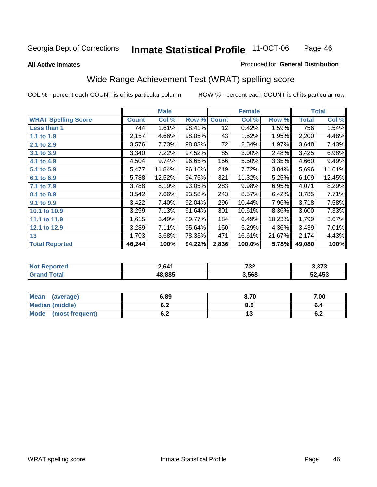**All Active Inmates**

#### Produced for **General Distribution**

## Wide Range Achievement Test (WRAT) spelling score

|                            |              | <b>Male</b> |        |                 | <b>Female</b> |        |              | <b>Total</b> |
|----------------------------|--------------|-------------|--------|-----------------|---------------|--------|--------------|--------------|
| <b>WRAT Spelling Score</b> | <b>Count</b> | Col %       | Row %  | <b>Count</b>    | Col %         | Row %  | <b>Total</b> | Col %        |
| Less than 1                | 744          | 1.61%       | 98.41% | $\overline{12}$ | 0.42%         | 1.59%  | 756          | 1.54%        |
| 1.1 to 1.9                 | 2,157        | 4.66%       | 98.05% | 43              | 1.52%         | 1.95%  | 2,200        | 4.48%        |
| 2.1 to 2.9                 | 3,576        | 7.73%       | 98.03% | 72              | 2.54%         | 1.97%  | 3,648        | 7.43%        |
| 3.1 to 3.9                 | 3,340        | 7.22%       | 97.52% | 85              | 3.00%         | 2.48%  | 3,425        | 6.98%        |
| 4.1 to 4.9                 | 4,504        | 9.74%       | 96.65% | 156             | 5.50%         | 3.35%  | 4,660        | 9.49%        |
| 5.1 to 5.9                 | 5,477        | 11.84%      | 96.16% | 219             | 7.72%         | 3.84%  | 5,696        | 11.61%       |
| 6.1 to 6.9                 | 5,788        | 12.52%      | 94.75% | 321             | 11.32%        | 5.25%  | 6,109        | 12.45%       |
| 7.1 to 7.9                 | 3,788        | 8.19%       | 93.05% | 283             | 9.98%         | 6.95%  | 4,071        | 8.29%        |
| 8.1 to 8.9                 | 3,542        | 7.66%       | 93.58% | 243             | 8.57%         | 6.42%  | 3,785        | 7.71%        |
| 9.1 to 9.9                 | 3,422        | 7.40%       | 92.04% | 296             | 10.44%        | 7.96%  | 3,718        | 7.58%        |
| 10.1 to 10.9               | 3,299        | 7.13%       | 91.64% | 301             | 10.61%        | 8.36%  | 3,600        | 7.33%        |
| 11.1 to 11.9               | 1,615        | 3.49%       | 89.77% | 184             | 6.49%         | 10.23% | 1,799        | 3.67%        |
| 12.1 to 12.9               | 3,289        | 7.11%       | 95.64% | 150             | 5.29%         | 4.36%  | 3,439        | 7.01%        |
| 13                         | 1,703        | 3.68%       | 78.33% | 471             | 16.61%        | 21.67% | 2,174        | 4.43%        |
| <b>Total Reported</b>      | 46,244       | 100%        | 94.22% | 2,836           | 100.0%        | 5.78%  | 49,080       | 100%         |

| 2,641  | 723<br>ےد ו<br>$\sim$ $\sim$ | cדc c<br>د ، د.د |
|--------|------------------------------|------------------|
| 18.885 | 3,568                        | 52,453           |

| <b>Mean</b><br>(average)       | 6.89       | 8.70 | 7.00       |
|--------------------------------|------------|------|------------|
| Median (middle)                | v.z        | Ծ. : | o.4        |
| <b>Mode</b><br>(most frequent) | . .<br>◡.∠ | ں ،  | . .<br>0.Z |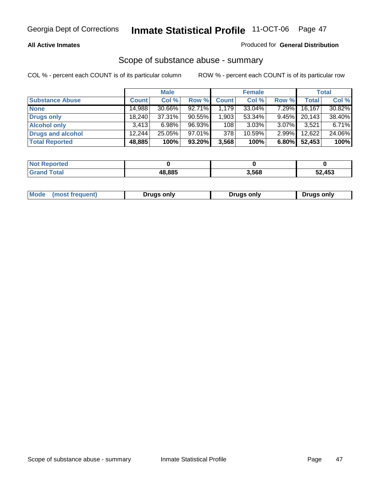#### **All Active Inmates**

## Produced for **General Distribution**

## Scope of substance abuse - summary

|                        |        | <b>Male</b> |        |              | <b>Female</b> |          |              | <b>Total</b> |
|------------------------|--------|-------------|--------|--------------|---------------|----------|--------------|--------------|
| <b>Substance Abuse</b> | Count  | Col %       | Row %  | <b>Count</b> | Col %         | Row %    | <b>Total</b> | Col %        |
| <b>None</b>            | 14,988 | $30.66\%$   | 92.71% | 1.179        | 33.04%        | $7.29\%$ | 16, 167      | 30.82%       |
| Drugs only             | 18.240 | 37.31%      | 90.55% | 1,903        | 53.34%        | $9.45\%$ | 20,143       | 38.40%       |
| <b>Alcohol only</b>    | 3,413  | 6.98%       | 96.93% | 108          | $3.03\%$      | $3.07\%$ | 3,521        | 6.71%        |
| Drugs and alcohol      | 12,244 | 25.05%      | 97.01% | 378          | 10.59%        | $2.99\%$ | 12,622       | 24.06%       |
| <b>Total Reported</b>  | 48,885 | 100%        | 93.20% | 3,568        | 100%          | 6.80%    | 52,453       | 100%         |

| <b>Not Reported</b> |        |       |        |
|---------------------|--------|-------|--------|
| Grand Total         | 48.885 | 3,568 | 52,453 |

| Drugs only | Mode<br>(most frequent) | Drugs only | Drugs only |
|------------|-------------------------|------------|------------|
|------------|-------------------------|------------|------------|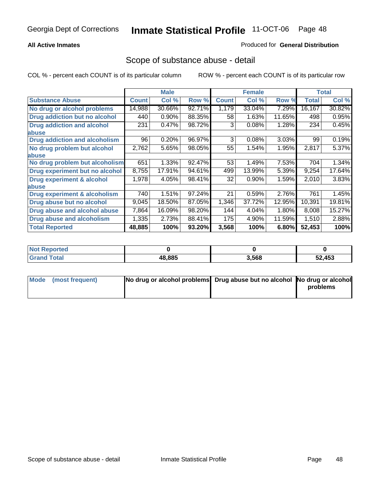## **All Active Inmates**

## Produced for **General Distribution**

## Scope of substance abuse - detail

|                                      |              | <b>Male</b> |        |              | <b>Female</b> |        |              | Total  |
|--------------------------------------|--------------|-------------|--------|--------------|---------------|--------|--------------|--------|
| <b>Substance Abuse</b>               | <b>Count</b> | Col %       | Row %  | <b>Count</b> | Col %         | Row %  | <b>Total</b> | Col %  |
| No drug or alcohol problems          | 14,988       | 30.66%      | 92.71% | 1,179        | 33.04%        | 7.29%  | 16,167       | 30.82% |
| Drug addiction but no alcohol        | 440          | 0.90%       | 88.35% | 58           | 1.63%         | 11.65% | 498          | 0.95%  |
| <b>Drug addiction and alcohol</b>    | 231          | 0.47%       | 98.72% | 3            | 0.08%         | 1.28%  | 234          | 0.45%  |
| <b>labuse</b>                        |              |             |        |              |               |        |              |        |
| <b>Drug addiction and alcoholism</b> | 96           | 0.20%       | 96.97% | 3            | 0.08%         | 3.03%  | 99           | 0.19%  |
| No drug problem but alcohol          | 2,762        | 5.65%       | 98.05% | 55           | 1.54%         | 1.95%  | 2,817        | 5.37%  |
| <b>labuse</b>                        |              |             |        |              |               |        |              |        |
| No drug problem but alcoholism       | 651          | 1.33%       | 92.47% | 53           | 1.49%         | 7.53%  | 704          | 1.34%  |
| Drug experiment but no alcohol       | 8,755        | 17.91%      | 94.61% | 499          | 13.99%        | 5.39%  | 9,254        | 17.64% |
| <b>Drug experiment &amp; alcohol</b> | 1,978        | 4.05%       | 98.41% | 32           | 0.90%         | 1.59%  | 2,010        | 3.83%  |
| <b>labuse</b>                        |              |             |        |              |               |        |              |        |
| Drug experiment & alcoholism         | 740          | 1.51%       | 97.24% | 21           | 0.59%         | 2.76%  | 761          | 1.45%  |
| Drug abuse but no alcohol            | 9,045        | 18.50%      | 87.05% | 1,346        | 37.72%        | 12.95% | 10,391       | 19.81% |
| Drug abuse and alcohol abuse         | 7,864        | 16.09%      | 98.20% | 144          | 4.04%         | 1.80%  | 8,008        | 15.27% |
| <b>Drug abuse and alcoholism</b>     | 1,335        | 2.73%       | 88.41% | 175          | 4.90%         | 11.59% | 1,510        | 2.88%  |
| <b>Total Reported</b>                | 48,885       | 100%        | 93.20% | 3,568        | 100%          | 6.80%  | 52,453       | 100%   |

| <b>Not Reported</b> |        |       |        |
|---------------------|--------|-------|--------|
| <b>cotal</b>        | 18.885 | 3.568 | 52.453 |

| Mode (most frequent) | No drug or alcohol problems Drug abuse but no alcohol No drug or alcohol |          |
|----------------------|--------------------------------------------------------------------------|----------|
|                      |                                                                          | problems |
|                      |                                                                          |          |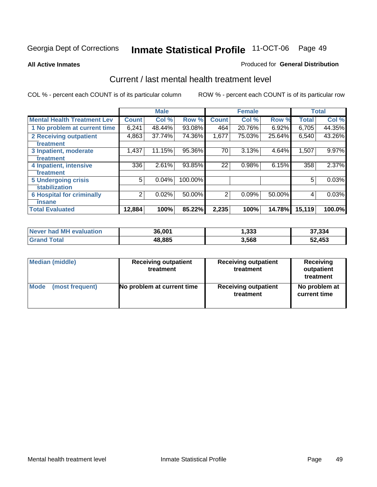#### **All Active Inmates**

#### Produced for **General Distribution**

## Current / last mental health treatment level

|                                    |              | <b>Male</b> |         |                | <b>Female</b> |          |              | <b>Total</b> |
|------------------------------------|--------------|-------------|---------|----------------|---------------|----------|--------------|--------------|
| <b>Mental Health Treatment Lev</b> | <b>Count</b> | Col %       | Row %   | <b>Count</b>   | Col %         | Row %    | <b>Total</b> | Col %        |
| 1 No problem at current time       | 6,241        | 48.44%      | 93.08%  | 464            | 20.76%        | $6.92\%$ | 6,705        | 44.35%       |
| 2 Receiving outpatient             | 4,863        | 37.74%      | 74.36%  | 1,677          | 75.03%        | 25.64%   | 6,540        | 43.26%       |
| treatment                          |              |             |         |                |               |          |              |              |
| 3 Inpatient, moderate              | 1,437        | 11.15%      | 95.36%  | 70             | 3.13%         | 4.64%    | 1,507        | 9.97%        |
| treatment                          |              |             |         |                |               |          |              |              |
| 4 Inpatient, intensive             | 336          | 2.61%       | 93.85%  | 22             | 0.98%         | 6.15%    | 358          | 2.37%        |
| treatment                          |              |             |         |                |               |          |              |              |
| <b>5 Undergoing crisis</b>         | 5            | 0.04%       | 100.00% |                |               |          | 5            | 0.03%        |
| stabilization                      |              |             |         |                |               |          |              |              |
| <b>6 Hospital for criminally</b>   | 2            | 0.02%       | 50.00%  | $\overline{2}$ | 0.09%         | 50.00%   | 4            | 0.03%        |
| insane                             |              |             |         |                |               |          |              |              |
| <b>Total Evaluated</b>             | 12,884       | 100%        | 85.22%  | 2,235          | 100%          | 14.78%   | 15,119       | 100.0%       |

| Never had MH evaluation | 36,001 | 1,333 | 37,334 |
|-------------------------|--------|-------|--------|
| <b>Grand Total</b>      | 48,885 | 3,568 | 52,453 |

| Median (middle) | <b>Receiving outpatient</b><br>treatment | <b>Receiving outpatient</b><br>treatment | <b>Receiving</b><br>outpatient<br>treatment |
|-----------------|------------------------------------------|------------------------------------------|---------------------------------------------|
| Mode            | No problem at current time               | <b>Receiving outpatient</b>              | No problem at                               |
| (most frequent) |                                          | treatment                                | current time                                |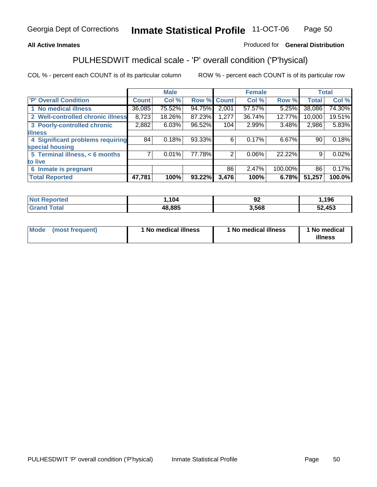## **All Active Inmates**

## Produced for **General Distribution**

## PULHESDWIT medical scale - 'P' overall condition ('P'hysical)

|                                   |              | <b>Male</b> |        |              | <b>Female</b> |         |              | <b>Total</b> |
|-----------------------------------|--------------|-------------|--------|--------------|---------------|---------|--------------|--------------|
| 'P' Overall Condition             | <b>Count</b> | Col %       | Row %  | <b>Count</b> | Col %         | Row %   | <b>Total</b> | Col %        |
| 1 No medical illness              | 36,085       | 75.52%      | 94.75% | 2,001        | 57.57%        | 5.25%   | 38,086       | 74.30%       |
| 2 Well-controlled chronic illness | 8,723        | 18.26%      | 87.23% | 1,277        | 36.74%        | 12.77%  | 10,000       | 19.51%       |
| 3 Poorly-controlled chronic       | 2,882        | 6.03%       | 96.52% | 104          | 2.99%         | 3.48%   | 2,986        | 5.83%        |
| <b>illness</b>                    |              |             |        |              |               |         |              |              |
| 4 Significant problems requiring  | 84           | 0.18%       | 93.33% | 6            | 0.17%         | 6.67%   | 90           | 0.18%        |
| special housing                   |              |             |        |              |               |         |              |              |
| 5 Terminal illness, < 6 months    | 7            | 0.01%       | 77.78% | 2            | 0.06%         | 22.22%  | 9            | 0.02%        |
| to live                           |              |             |        |              |               |         |              |              |
| Inmate is pregnant<br>6           |              |             |        | 86           | 2.47%         | 100.00% | 86           | 0.17%        |
| <b>Total Reported</b>             | 47,781       | 100%        | 93.22% | 3,476        | 100%          | 6.78%   | 51,257       | 100.0%       |

| <b>Not Reported</b> | .104   | 94    | ,196   |
|---------------------|--------|-------|--------|
| <b>Grand Total</b>  | 48,885 | 3.568 | 52,453 |

| Mode (most frequent) | 1 No medical illness | 1 No medical illness | 1 No medical |
|----------------------|----------------------|----------------------|--------------|
|                      |                      |                      | illness      |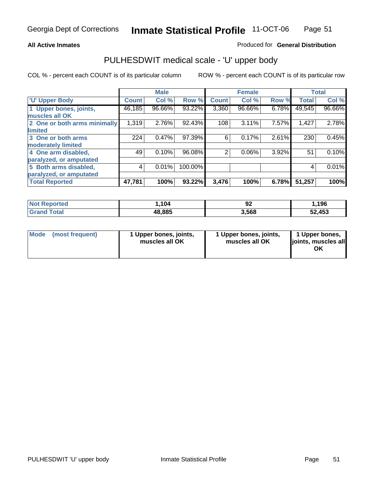#### **All Active Inmates**

#### Produced for **General Distribution**

## PULHESDWIT medical scale - 'U' upper body

|                              |              | <b>Male</b> |         |              | <b>Female</b> |       |              | <b>Total</b> |
|------------------------------|--------------|-------------|---------|--------------|---------------|-------|--------------|--------------|
| <b>U' Upper Body</b>         | <b>Count</b> | Col %       | Row %   | <b>Count</b> | Col %         | Row % | <b>Total</b> | Col %        |
| 1 Upper bones, joints,       | 46,185       | 96.66%      | 93.22%  | 3,360        | 96.66%        | 6.78% | 49,545       | 96.66%       |
| muscles all OK               |              |             |         |              |               |       |              |              |
| 2 One or both arms minimally | 1,319        | 2.76%       | 92.43%  | 108          | 3.11%         | 7.57% | 1,427        | 2.78%        |
| limited                      |              |             |         |              |               |       |              |              |
| 3 One or both arms           | 224          | 0.47%       | 97.39%  | 6            | 0.17%         | 2.61% | 230          | 0.45%        |
| moderately limited           |              |             |         |              |               |       |              |              |
| 4 One arm disabled,          | 49           | 0.10%       | 96.08%  | 2            | 0.06%         | 3.92% | 51           | 0.10%        |
| paralyzed, or amputated      |              |             |         |              |               |       |              |              |
| 5 Both arms disabled,        | 4            | 0.01%       | 100.00% |              |               |       | 4            | 0.01%        |
| paralyzed, or amputated      |              |             |         |              |               |       |              |              |
| <b>Total Reported</b>        | 47,781       | 100%        | 93.22%  | 3,476        | 100%          | 6.78% | 51,257       | 100%         |

| <b>Not Reported</b> | 104,   | ୬∠    | ,196   |
|---------------------|--------|-------|--------|
| Total<br>' Grand    | 48,885 | 3,568 | 52,453 |

| <b>Mode</b> | (most frequent) | 1 Upper bones, joints,<br>muscles all OK | 1 Upper bones, joints,<br>muscles all OK | 1 Upper bones,<br>joints, muscles all<br>ΟK |
|-------------|-----------------|------------------------------------------|------------------------------------------|---------------------------------------------|
|-------------|-----------------|------------------------------------------|------------------------------------------|---------------------------------------------|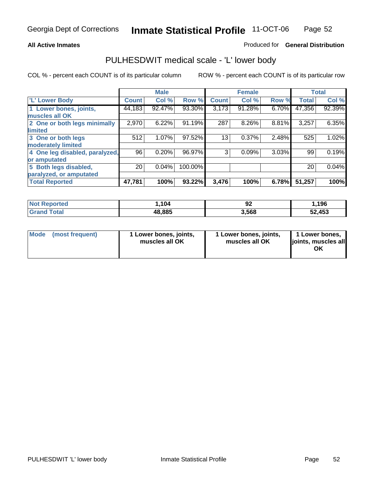#### **All Active Inmates**

## Produced for **General Distribution**

## PULHESDWIT medical scale - 'L' lower body

|                                |                 | <b>Male</b> |         |              | <b>Female</b> |       |              | <b>Total</b> |
|--------------------------------|-----------------|-------------|---------|--------------|---------------|-------|--------------|--------------|
| 'L' Lower Body                 | <b>Count</b>    | Col %       | Row %   | <b>Count</b> | Col %         | Row % | <b>Total</b> | Col %        |
| 1 Lower bones, joints,         | 44,183          | 92.47%      | 93.30%  | 3,173        | 91.28%        | 6.70% | 47,356       | 92.39%       |
| muscles all OK                 |                 |             |         |              |               |       |              |              |
| 2 One or both legs minimally   | 2,970           | 6.22%       | 91.19%  | 287          | 8.26%         | 8.81% | 3,257        | 6.35%        |
| limited                        |                 |             |         |              |               |       |              |              |
| 3 One or both legs             | 512             | 1.07%       | 97.52%  | 13           | 0.37%         | 2.48% | 525          | 1.02%        |
| moderately limited             |                 |             |         |              |               |       |              |              |
| 4 One leg disabled, paralyzed, | 96              | 0.20%       | 96.97%  | 3            | 0.09%         | 3.03% | 99           | 0.19%        |
| or amputated                   |                 |             |         |              |               |       |              |              |
| 5 Both legs disabled,          | 20 <sub>1</sub> | 0.04%       | 100.00% |              |               |       | 20           | 0.04%        |
| paralyzed, or amputated        |                 |             |         |              |               |       |              |              |
| <b>Total Reported</b>          | 47,781          | 100%        | 93.22%  | 3,476        | 100%          | 6.78% | 51,257       | 100%         |

| <b>Not Reported</b>    | 104,   | n۹<br>94 | ,196   |
|------------------------|--------|----------|--------|
| $\tau$ otal<br>' Grand | 48,885 | 3,568    | 52,453 |

|  | Mode (most frequent) | 1 Lower bones, joints,<br>muscles all OK | 1 Lower bones, joints,<br>muscles all OK | 1 Lower bones,<br>joints, muscles all<br>OK |
|--|----------------------|------------------------------------------|------------------------------------------|---------------------------------------------|
|--|----------------------|------------------------------------------|------------------------------------------|---------------------------------------------|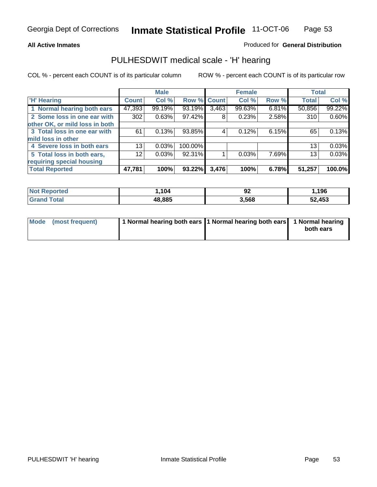#### **All Active Inmates**

## Produced for **General Distribution**

## PULHESDWIT medical scale - 'H' hearing

|                                |                 | <b>Male</b> |             |       | <b>Female</b> |       | <b>Total</b> |        |
|--------------------------------|-----------------|-------------|-------------|-------|---------------|-------|--------------|--------|
| <b>H'</b> Hearing              | <b>Count</b>    | Col %       | Row % Count |       | Col %         | Row % | <b>Total</b> | Col %  |
| 1 Normal hearing both ears     | 47,393          | 99.19%      | 93.19%      | 3,463 | 99.63%        | 6.81% | 50,856       | 99.22% |
| 2 Some loss in one ear with    | 302             | 0.63%       | 97.42%      | 8     | 0.23%         | 2.58% | 310          | 0.60%  |
| other OK, or mild loss in both |                 |             |             |       |               |       |              |        |
| 3 Total loss in one ear with   | 61              | 0.13%       | 93.85%      | 4     | 0.12%         | 6.15% | 65           | 0.13%  |
| mild loss in other             |                 |             |             |       |               |       |              |        |
| 4 Severe loss in both ears     | 13              | 0.03%       | 100.00%     |       |               |       | 13           | 0.03%  |
| 5 Total loss in both ears,     | 12 <sub>1</sub> | 0.03%       | 92.31%      |       | 0.03%         | 7.69% | 13           | 0.03%  |
| requiring special housing      |                 |             |             |       |               |       |              |        |
| <b>Total Reported</b>          | 47,781          | 100%        | 93.22%      | 3,476 | 100%          | 6.78% | 51,257       | 100.0% |

| orted     | 104    | ^^<br>JZ | ,196             |
|-----------|--------|----------|------------------|
| $\sim$ 40 | 48.885 | 3,568    | ,453<br>-0<br>JZ |

| Mode (most frequent) | 1 Normal hearing both ears   1 Normal hearing both ears   1 Normal hearing |           |
|----------------------|----------------------------------------------------------------------------|-----------|
|                      |                                                                            | both ears |
|                      |                                                                            |           |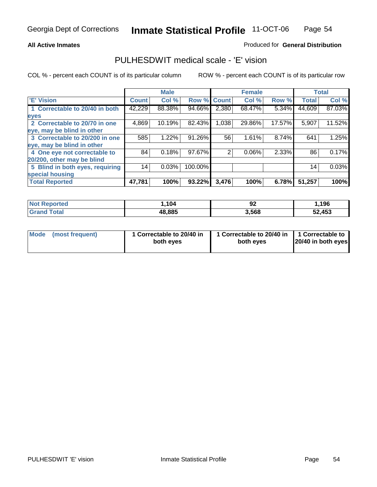## **All Active Inmates**

## Produced for **General Distribution**

## PULHESDWIT medical scale - 'E' vision

|                                 |              | <b>Male</b> |             |       | <b>Female</b> |        |              | <b>Total</b> |
|---------------------------------|--------------|-------------|-------------|-------|---------------|--------|--------------|--------------|
| 'E' Vision                      | <b>Count</b> | Col %       | Row % Count |       | Col %         | Row %  | <b>Total</b> | Col %        |
| 1 Correctable to 20/40 in both  | 42,229       | 88.38%      | 94.66%      | 2,380 | 68.47%        | 5.34%  | 44,609       | 87.03%       |
| eyes                            |              |             |             |       |               |        |              |              |
| 2 Correctable to 20/70 in one   | 4,869        | 10.19%      | 82.43%      | 1,038 | 29.86%        | 17.57% | 5,907        | 11.52%       |
| eye, may be blind in other      |              |             |             |       |               |        |              |              |
| 3 Correctable to 20/200 in one  | 585          | 1.22%       | 91.26%      | 56    | 1.61%         | 8.74%  | 641          | 1.25%        |
| eye, may be blind in other      |              |             |             |       |               |        |              |              |
| 4 One eye not correctable to    | 84           | 0.18%       | 97.67%      | 2     | 0.06%         | 2.33%  | 86           | 0.17%        |
| 20/200, other may be blind      |              |             |             |       |               |        |              |              |
| 5 Blind in both eyes, requiring | 14           | 0.03%       | 100.00%     |       |               |        | 14           | 0.03%        |
| special housing                 |              |             |             |       |               |        |              |              |
| <b>Total Reported</b>           | 47,781       | 100%        | 93.22%      | 3,476 | 100%          | 6.78%  | 51,257       | 100%         |

| <b>Not Reported</b>         | .104   | ∩″<br>ჟ∠ | ,196   |
|-----------------------------|--------|----------|--------|
| $\mathsf{Total}$<br>' Grand | 48,885 | 3,568    | 52,453 |

|  | Mode (most frequent) | 1 Correctable to 20/40 in<br>both eves | 1 Correctable to 20/40 in   1 Correctable to<br>both eves | 20/40 in both eyes |
|--|----------------------|----------------------------------------|-----------------------------------------------------------|--------------------|
|--|----------------------|----------------------------------------|-----------------------------------------------------------|--------------------|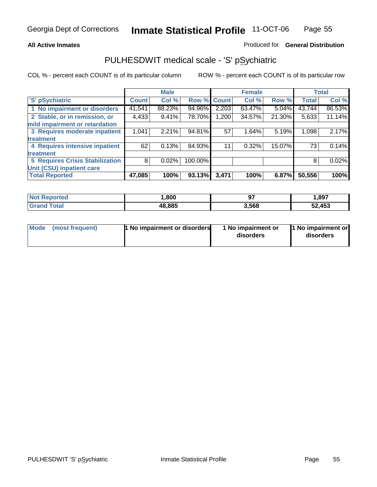#### **All Active Inmates**

#### Produced for **General Distribution**

## PULHESDWIT medical scale - 'S' pSychiatric

|                                        |              | <b>Male</b> |             |       | <b>Female</b> |          |              | <b>Total</b> |
|----------------------------------------|--------------|-------------|-------------|-------|---------------|----------|--------------|--------------|
| 'S' pSychiatric                        | <b>Count</b> | Col %       | Row % Count |       | Col %         | Row %    | <b>Total</b> | Col %        |
| 1 No impairment or disorders           | 41,541       | 88.23%      | 94.96%      | 2,203 | 63.47%        | $5.04\%$ | 43,744       | 86.53%       |
| 2 Stable, or in remission, or          | 4,433        | 9.41%       | 78.70%      | 1,200 | 34.57%        | 21.30%   | 5,633        | 11.14%       |
| mild impairment or retardation         |              |             |             |       |               |          |              |              |
| 3 Requires moderate inpatient          | 1,041        | 2.21%       | 94.81%      | 57    | 1.64%         | 5.19%    | 1,098        | 2.17%        |
| treatment                              |              |             |             |       |               |          |              |              |
| 4 Requires intensive inpatient         | 62           | 0.13%       | 84.93%      | 11    | 0.32%         | 15.07%   | 73           | 0.14%        |
| treatment                              |              |             |             |       |               |          |              |              |
| <b>5 Requires Crisis Stabilization</b> | 8            | 0.02%       | 100.00%     |       |               |          | 8            | 0.02%        |
| Unit (CSU) inpatient care              |              |             |             |       |               |          |              |              |
| <b>Total Reported</b>                  | 47,085       | 100%        | 93.13%      | 3,471 | 100%          | 6.87%    | 50,556       | 100%         |

| <b>Not Reported</b>                       | ,800   | 97    | ,897   |
|-------------------------------------------|--------|-------|--------|
| $\mathop{\mathsf{Total}}$<br><b>Grand</b> | 48,885 | 3,568 | 52,453 |

| Mode (most frequent) | <b>1</b> No impairment or disorders | 1 No impairment or<br>disorders | 1 No impairment or<br>disorders |
|----------------------|-------------------------------------|---------------------------------|---------------------------------|
|                      |                                     |                                 |                                 |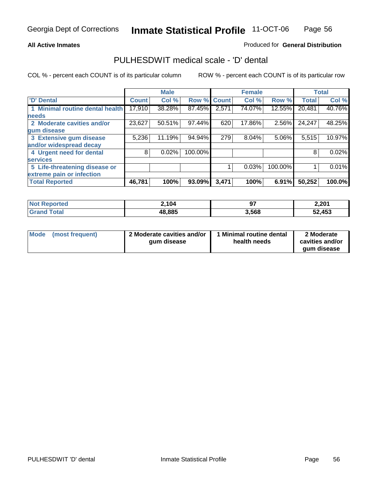#### **All Active Inmates**

## Produced for **General Distribution**

## PULHESDWIT medical scale - 'D' dental

|                                 |              | <b>Male</b> |             |       | <b>Female</b> |         |              | <b>Total</b> |
|---------------------------------|--------------|-------------|-------------|-------|---------------|---------|--------------|--------------|
| 'D' Dental                      | <b>Count</b> | Col %       | Row % Count |       | Col %         | Row %   | <b>Total</b> | Col %        |
| 1 Minimal routine dental health | 17,910       | 38.28%      | 87.45%      | 2,571 | 74.07%        | 12.55%  | 20,481       | 40.76%       |
| <b>needs</b>                    |              |             |             |       |               |         |              |              |
| 2 Moderate cavities and/or      | 23,627       | 50.51%      | 97.44%      | 620   | 17.86%        | 2.56%   | 24,247       | 48.25%       |
| gum disease                     |              |             |             |       |               |         |              |              |
| 3 Extensive gum disease         | 5,236        | 11.19%      | 94.94%      | 279   | 8.04%         | 5.06%   | 5,515        | 10.97%       |
| and/or widespread decay         |              |             |             |       |               |         |              |              |
| 4 Urgent need for dental        | 8            | 0.02%       | 100.00%     |       |               |         | 8            | 0.02%        |
| <b>services</b>                 |              |             |             |       |               |         |              |              |
| 5 Life-threatening disease or   |              |             |             |       | 0.03%         | 100.00% |              | 0.01%        |
| extreme pain or infection       |              |             |             |       |               |         |              |              |
| <b>Total Reported</b>           | 46,781       | 100%        | 93.09%      | 3,471 | 100%          | 6.91%   | 50,252       | 100.0%       |

| <b>Not Reported</b> | 2,104  | כח<br>J. | 2,201  |
|---------------------|--------|----------|--------|
| Total<br>Grand      | 48,885 | 3,568    | 52,453 |

| <b>Mode</b> | (most frequent) | 2 Moderate cavities and/or<br>qum disease | 1 Minimal routine dental<br>health needs | 2 Moderate<br>cavities and/or |
|-------------|-----------------|-------------------------------------------|------------------------------------------|-------------------------------|
|             |                 |                                           |                                          | aum disease                   |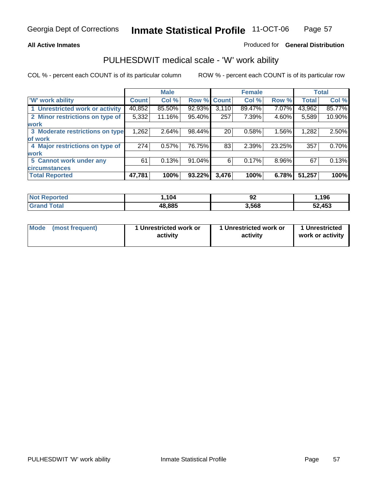#### **All Active Inmates**

#### Produced for **General Distribution**

## PULHESDWIT medical scale - 'W' work ability

|                                 |              | <b>Male</b> |        |              | <b>Female</b> |        |              | <b>Total</b> |
|---------------------------------|--------------|-------------|--------|--------------|---------------|--------|--------------|--------------|
| W' work ability                 | <b>Count</b> | Col %       | Row %  | <b>Count</b> | Col %         | Row %  | <b>Total</b> | Col %        |
| 1 Unrestricted work or activity | 40,852       | 85.50%      | 92.93% | 3,110        | 89.47%        | 7.07%  | 43,962       | 85.77%       |
| 2 Minor restrictions on type of | 5,332        | 11.16%      | 95.40% | 257          | 7.39%         | 4.60%  | 5,589        | 10.90%       |
| <b>work</b>                     |              |             |        |              |               |        |              |              |
| 3 Moderate restrictions on type | 1,262        | 2.64%       | 98.44% | 20           | 0.58%         | 1.56%  | 1,282        | 2.50%        |
| of work                         |              |             |        |              |               |        |              |              |
| 4 Major restrictions on type of | 274          | 0.57%       | 76.75% | 83           | 2.39%         | 23.25% | 357          | 0.70%        |
| <b>work</b>                     |              |             |        |              |               |        |              |              |
| 5 Cannot work under any         | 61           | 0.13%       | 91.04% | 6            | 0.17%         | 8.96%  | 67           | 0.13%        |
| <b>circumstances</b>            |              |             |        |              |               |        |              |              |
| <b>Total Reported</b>           | 47,781       | 100%        | 93.22% | 3,476        | 100%          | 6.78%  | 51,257       | 100%         |

| <b>Not Reported</b> | .104   | 92    | ,196   |
|---------------------|--------|-------|--------|
| <b>Grand Total</b>  | 48,885 | 3,568 | 52,453 |

| Mode            | 1 Unrestricted work or | 1 Unrestricted work or | 1 Unrestricted   |
|-----------------|------------------------|------------------------|------------------|
| (most frequent) | activity               | activity               | work or activity |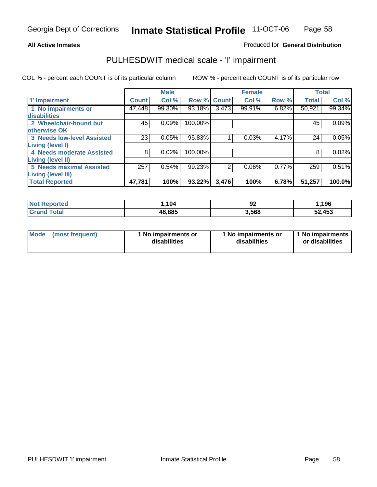## **All Active Inmates**

## Produced for **General Distribution**

## PULHESDWIT medical scale - 'I' impairment

|                                   |              | <b>Male</b> |             |       | <b>Female</b> |       | <b>Total</b> |        |
|-----------------------------------|--------------|-------------|-------------|-------|---------------|-------|--------------|--------|
| <b>T' Impairment</b>              | <b>Count</b> | Col %       | Row % Count |       | Col %         | Row % | <b>Total</b> | Col %  |
| 1 No impairments or               | 47,448       | 99.30%      | 93.18%      | 3,473 | 99.91%        | 6.82% | 50,921       | 99.34% |
| disabilities                      |              |             |             |       |               |       |              |        |
| 2 Wheelchair-bound but            | 45'          | 0.09%       | 100.00%     |       |               |       | 45           | 0.09%  |
| otherwise OK                      |              |             |             |       |               |       |              |        |
| <b>3 Needs low-level Assisted</b> | 23           | 0.05%       | 95.83%      |       | 0.03%         | 4.17% | 24           | 0.05%  |
| Living (level I)                  |              |             |             |       |               |       |              |        |
| 4 Needs moderate Assisted         | 8            | 0.02%       | 100.00%     |       |               |       | 8            | 0.02%  |
| <b>Living (level II)</b>          |              |             |             |       |               |       |              |        |
| <b>5 Needs maximal Assisted</b>   | 257          | 0.54%       | 99.23%      | 2     | 0.06%         | 0.77% | 259          | 0.51%  |
| <b>Living (level III)</b>         |              |             |             |       |               |       |              |        |
| <b>Total Reported</b>             | 47,781       | 100%        | 93.22%      | 3,476 | 100%          | 6.78% | 51,257       | 100.0% |

| oorted<br>NO. | ,104   | ^^<br>94 | ,196   |
|---------------|--------|----------|--------|
| otal          | 48,885 | .568     | 52,453 |

| Mode | (most frequent) | 1 No impairments or<br>disabilities | 1 No impairments or<br>disabilities | 1 No impairments<br>or disabilities |
|------|-----------------|-------------------------------------|-------------------------------------|-------------------------------------|
|------|-----------------|-------------------------------------|-------------------------------------|-------------------------------------|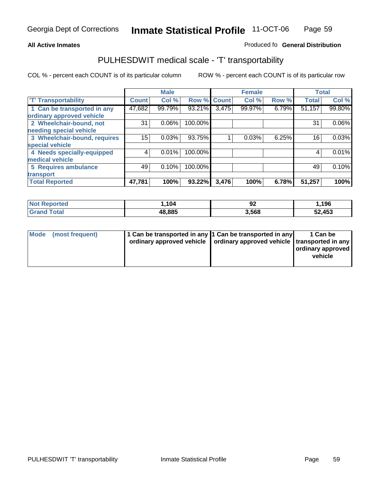#### **Inmate Statistical Profile** 11-OCT-06 Page Page 59

## **All Active Inmates Allowski** Produced fo **General Distribution**

## PULHESDWIT medical scale - 'T' transportability

|                              |              | <b>Male</b> |             |       | <b>Female</b> |       |              | <b>Total</b> |
|------------------------------|--------------|-------------|-------------|-------|---------------|-------|--------------|--------------|
| <b>'T' Transportability</b>  | <b>Count</b> | Col %       | Row % Count |       | Col %         | Row % | <b>Total</b> | Col %        |
| 1 Can be transported in any  | 47,682       | 99.79%      | 93.21%      | 3,475 | 99.97%        | 6.79% | 51,157       | 99.80%       |
| ordinary approved vehicle    |              |             |             |       |               |       |              |              |
| 2 Wheelchair-bound, not      | 31           | 0.06%       | 100.00%     |       |               |       | 31           | $0.06\%$     |
| needing special vehicle      |              |             |             |       |               |       |              |              |
| 3 Wheelchair-bound, requires | 15           | 0.03%       | 93.75%      |       | 0.03%         | 6.25% | 16           | 0.03%        |
| special vehicle              |              |             |             |       |               |       |              |              |
| 4 Needs specially-equipped   | 4            | 0.01%       | 100.00%     |       |               |       |              | 0.01%        |
| medical vehicle              |              |             |             |       |               |       |              |              |
| <b>5 Requires ambulance</b>  | 49           | 0.10%       | 100.00%     |       |               |       | 49           | 0.10%        |
| transport                    |              |             |             |       |               |       |              |              |
| <b>Total Reported</b>        | 47,781       | 100%        | 93.22%      | 3,476 | 100%          | 6.78% | 51,257       | 100%l        |

| <b>Not Reported</b>   | .104   | ^^<br>94 | 1,196  |
|-----------------------|--------|----------|--------|
| Total<br><b>Grand</b> | 48,885 | 3,568    | 52,453 |

| Mode (most frequent) | 1 Can be transported in any 1 Can be transported in any | ordinary approved vehicle   ordinary approved vehicle   transported in any | 1 Can be<br>  ordinary approved  <br>vehicle |
|----------------------|---------------------------------------------------------|----------------------------------------------------------------------------|----------------------------------------------|
|                      |                                                         |                                                                            |                                              |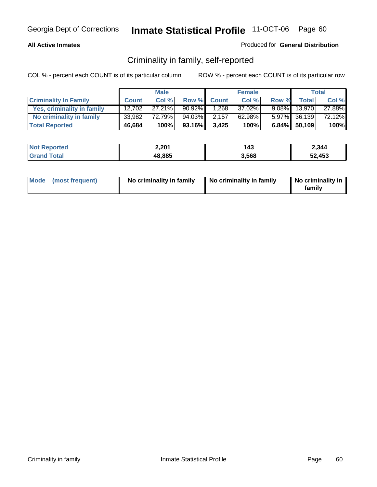#### **All Active Inmates**

## Produced for **General Distribution**

## Criminality in family, self-reported

|                              |              | <b>Male</b> |           |              | <b>Female</b> |       |                 | <b>Total</b> |
|------------------------------|--------------|-------------|-----------|--------------|---------------|-------|-----------------|--------------|
| <b>Criminality In Family</b> | <b>Count</b> | Col %       | Row %     | <b>Count</b> | Col %         | Row % | <b>Total</b>    | Col %        |
| Yes, criminality in family   | 12,702       | $27.21\%$   | $90.92\%$ | 1,268        | 37.02%        |       | $9.08\%$ 13,970 | 27.88%       |
| No criminality in family     | 33,982       | 72.79%      | 94.03%    | 2,157        | 62.98%        |       | 5.97% 36,139    | 72.12%       |
| <b>Total Reported</b>        | 46,684       | 100%        | 93.16%    | 3,425        | 100%          |       | 6.84% 50,109    | 100%         |

| <b>Not Reported</b> | 2,201  | 143   | 2,344  |
|---------------------|--------|-------|--------|
| <b>Grand Total</b>  | 48,885 | 3.568 | 52,453 |

|  | Mode (most frequent) | No criminality in family | No criminality in family | No criminality in<br>family |
|--|----------------------|--------------------------|--------------------------|-----------------------------|
|--|----------------------|--------------------------|--------------------------|-----------------------------|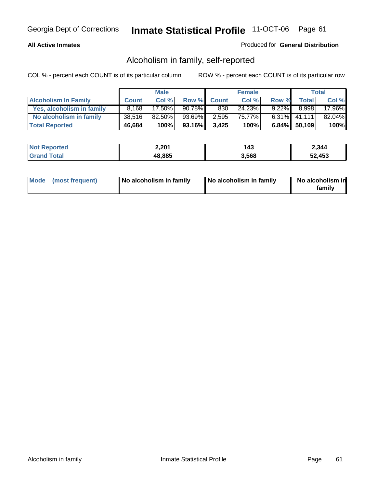## **All Active Inmates**

## Produced for **General Distribution**

## Alcoholism in family, self-reported

|                             |              | <b>Male</b> |        |              | <b>Female</b> |          |                 | <b>Total</b> |
|-----------------------------|--------------|-------------|--------|--------------|---------------|----------|-----------------|--------------|
| <b>Alcoholism In Family</b> | <b>Count</b> | Col %       | Row %  | <b>Count</b> | Col %         | Row %    | <b>Total</b>    | Col %        |
| Yes, alcoholism in family   | 8.168        | 17.50%      | 90.78% | 830          | 24.23%        | $9.22\%$ | 8.998           | 17.96%       |
| No alcoholism in family     | 38,516       | 82.50%      | 93.69% | 2,595        | 75.77%」       |          | $6.31\%$ 41,111 | 82.04%       |
| <b>Total Reported</b>       | 46,684       | 100%        | 93.16% | 3,425        | 100%          |          | 6.84% 50,109    | 100%         |

| <b>Not Reported</b> | 2,201  | 143   | 2,344  |
|---------------------|--------|-------|--------|
| <b>Grand Total</b>  | 48,885 | 3.568 | 52,453 |

|  | Mode (most frequent) | No alcoholism in family | No alcoholism in family | No alcoholism in<br>family |
|--|----------------------|-------------------------|-------------------------|----------------------------|
|--|----------------------|-------------------------|-------------------------|----------------------------|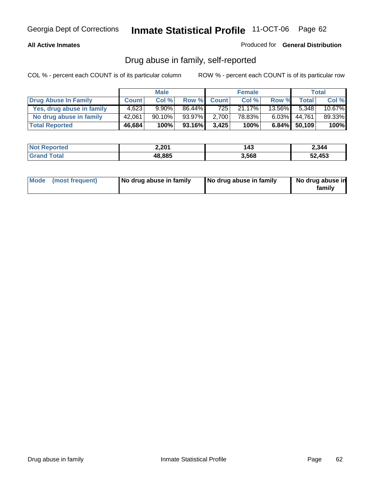## **All Active Inmates**

#### Produced for **General Distribution**

## Drug abuse in family, self-reported

|                           |              | <b>Male</b> |        |              | <b>Female</b> |           |              | Total  |
|---------------------------|--------------|-------------|--------|--------------|---------------|-----------|--------------|--------|
| Drug Abuse In Family      | <b>Count</b> | Col %       | Row %  | <b>Count</b> | Col %         | Row %     | Total        | Col %  |
| Yes, drug abuse in family | 4,623        | $9.90\%$    | 86.44% | 725          | 21.17%        | $13.56\%$ | 5.348        | 10.67% |
| No drug abuse in family   | 42,061       | $90.10\%$   | 93.97% | 2,700        | 78.83%        | $6.03\%$  | 44,761       | 89.33% |
| <b>Total Reported</b>     | 46,684       | 100%        | 93.16% | 3,425        | 100%          |           | 6.84% 50,109 | 100%   |

| <b>Not Reported</b> | 2,201  | 143   | 2,344  |
|---------------------|--------|-------|--------|
| Cotal               | 48,885 | 3,568 | 52,453 |

|  | Mode (most frequent) | No drug abuse in family | No drug abuse in family | No drug abuse in<br>family |
|--|----------------------|-------------------------|-------------------------|----------------------------|
|--|----------------------|-------------------------|-------------------------|----------------------------|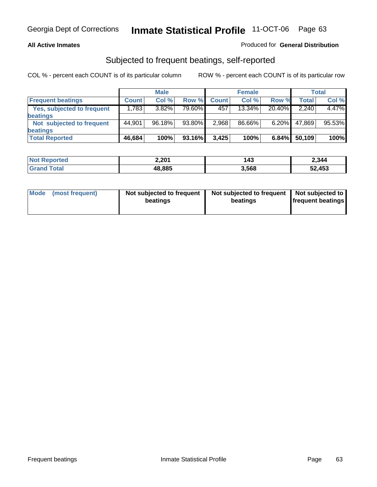#### **All Active Inmates**

## Produced for **General Distribution**

## Subjected to frequent beatings, self-reported

|                                   |              | <b>Male</b> |        |              | <b>Female</b> |          |        | Total  |
|-----------------------------------|--------------|-------------|--------|--------------|---------------|----------|--------|--------|
| <b>Frequent beatings</b>          | <b>Count</b> | Col %       | Row %  | <b>Count</b> | Col %         | Row %    | Total  | Col %  |
| <b>Yes, subjected to frequent</b> | 1,783        | $3.82\%$    | 79.60% | 457          | 13.34%        | 20.40%   | 2,240  | 4.47%  |
| <b>beatings</b>                   |              |             |        |              |               |          |        |        |
| Not subjected to frequent         | 44,901       | 96.18%      | 93.80% | 2,968        | 86.66%        | $6.20\%$ | 47,869 | 95.53% |
| <b>beatings</b>                   |              |             |        |              |               |          |        |        |
| <b>Total Reported</b>             | 46,684       | 100%        | 93.16% | 3,425        | 100%          | 6.84%    | 50,109 | 100%   |

| <b>Not Reported</b> | 2,201  | 143   | 2,344  |
|---------------------|--------|-------|--------|
| $\mathsf{Total}$    | 48,885 | 3,568 | 52,453 |

| <b>Mode</b> | (most frequent) | Not subjected to frequent<br>beatings | Not subjected to frequent<br>beatings | Not subjected to<br>frequent beatings |
|-------------|-----------------|---------------------------------------|---------------------------------------|---------------------------------------|
|             |                 |                                       |                                       |                                       |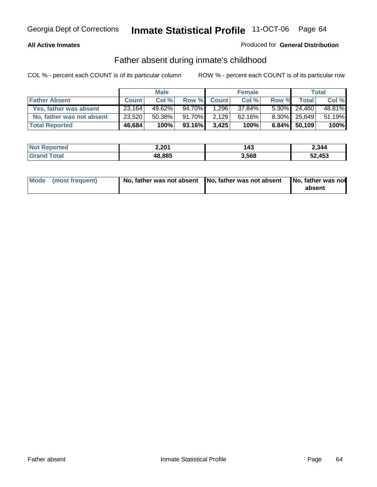## **All Active Inmates**

## Produced for **General Distribution**

## Father absent during inmate's childhood

|                           |              | <b>Male</b> |        |              | <b>Female</b> |       |                 | <b>Total</b> |
|---------------------------|--------------|-------------|--------|--------------|---------------|-------|-----------------|--------------|
| <b>Father Absent</b>      | <b>Count</b> | Col %       | Row %  | <b>Count</b> | Col %         | Row % | Total           | Col %        |
| Yes, father was absent    | 23,164       | 49.62%      | 94.70% | 1,296        | 37.84%        |       | $5.30\%$ 24,460 | 48.81%       |
| No, father was not absent | 23,520       | $50.38\%$   | 91.70% | 2,129        | 62.16%        |       | 8.30% 25,649    | 51.19%       |
| <b>Total Reported</b>     | 46,684       | 100%        | 93.16% | 3,425        | 100%          |       | 6.84% 50,109    | 100%         |

| <b>Not Reported</b> | 2,201  | 143   | 2,344  |
|---------------------|--------|-------|--------|
| <b>Grand Total</b>  | 48,885 | 3,568 | 52,453 |

| Mode (most frequent) |  | absent |
|----------------------|--|--------|
|                      |  |        |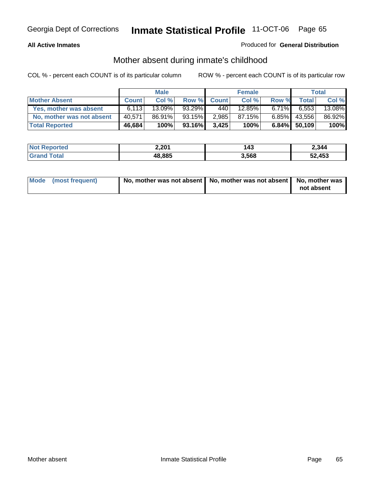## **All Active Inmates**

## Produced for **General Distribution**

## Mother absent during inmate's childhood

|                           | <b>Male</b>  |           |        | <b>Female</b> |        |          | Total           |        |
|---------------------------|--------------|-----------|--------|---------------|--------|----------|-----------------|--------|
| <b>Mother Absent</b>      | <b>Count</b> | Col %     | Row %  | <b>Count</b>  | Col %  | Row %    | <b>Total</b>    | Col %  |
| Yes, mother was absent    | 6.113        | $13.09\%$ | 93.29% | 440           | 12.85% | $6.71\%$ | 6,553           | 13.08% |
| No, mother was not absent | 40,571       | 86.91%    | 93.15% | 2,985         | 87.15% | 6.85%    | 43,556          | 86.92% |
| <b>Total Reported</b>     | 46,684       | 100%      | 93.16% | 3,425         | 100%   |          | $6.84\%$ 50,109 | 100%   |

| <b>Not Reported</b> | 2,201  | 143   | 2,344  |
|---------------------|--------|-------|--------|
| <b>Srand Total</b>  | 48,885 | 3,568 | 52,453 |

| Mode (most frequent) | No, mother was not absent   No, mother was not absent   No, mother was | not absent |
|----------------------|------------------------------------------------------------------------|------------|
|----------------------|------------------------------------------------------------------------|------------|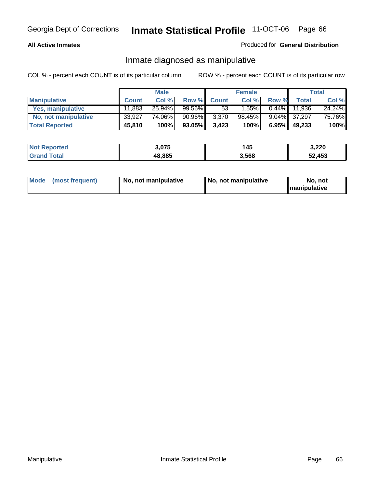## **All Active Inmates**

## Produced for **General Distribution**

## Inmate diagnosed as manipulative

|                       | <b>Male</b>  |        |        | <b>Female</b> |        |          | Total        |        |
|-----------------------|--------------|--------|--------|---------------|--------|----------|--------------|--------|
| <b>Manipulative</b>   | <b>Count</b> | Col %  | Row %  | <b>Count</b>  | Col %  | Row %    | <b>Total</b> | Col %  |
| Yes, manipulative     | 11,883       | 25.94% | 99.56% | 53            | l.55%  | $0.44\%$ | 11.936       | 24.24% |
| No, not manipulative  | 33,927       | 74.06% | 90.96% | 3,370         | 98.45% | $9.04\%$ | 37.297       | 75.76% |
| <b>Total Reported</b> | 45,810       | 100%   | 93.05% | 3,423         | 100%   | 6.95%    | 49,233       | 100%   |

| <b>Not Reported</b> | 3,075  | 145   | 3,220  |
|---------------------|--------|-------|--------|
| <b>Grand Total</b>  | 48,885 | 3,568 | 52,453 |

| <b>Mode</b><br>No, not manipulative<br>(most frequent) | No. not manipulative | No. not<br>I manipulative |
|--------------------------------------------------------|----------------------|---------------------------|
|--------------------------------------------------------|----------------------|---------------------------|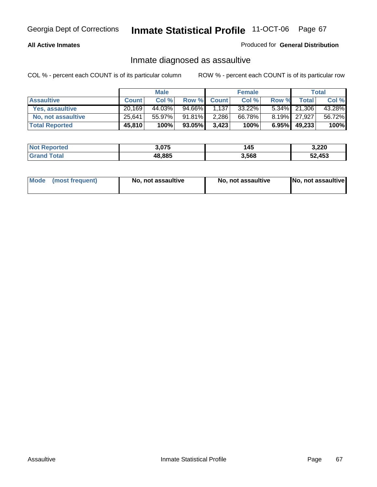#### **All Active Inmates**

#### Produced for **General Distribution**

## Inmate diagnosed as assaultive

|                       | <b>Male</b>  |        |        | <b>Female</b> |           |          | <b>Total</b> |        |
|-----------------------|--------------|--------|--------|---------------|-----------|----------|--------------|--------|
| <b>Assaultive</b>     | <b>Count</b> | Col %  | Row %  | <b>Count</b>  | Col %     | Row %    | Totall       | Col %  |
| Yes, assaultive       | 20.169       | 44.03% | 94.66% | 1,137         | $33.22\%$ |          | 5.34% 21,306 | 43.28% |
| No, not assaultive    | 25,641       | 55.97% | 91.81% | 2,286         | 66.78%    |          | 8.19% 27,927 | 56.72% |
| <b>Total Reported</b> | 45,810       | 100%   | 93.05% | 3,423         | 100%      | $6.95\%$ | 49,233       | 100%   |

| <b>Not Reported</b> | 3,075  | 145   | 3,220  |
|---------------------|--------|-------|--------|
| <b>Grand Total</b>  | 48,885 | 3,568 | 52,453 |

| Mode | ↑ (most frequent) | No, not assaultive | No, not assaultive | [No, not assaultive] |
|------|-------------------|--------------------|--------------------|----------------------|
|------|-------------------|--------------------|--------------------|----------------------|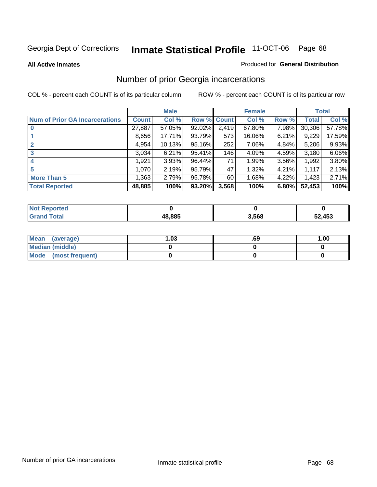#### **All Active Inmates**

#### Produced for **General Distribution**

## Number of prior Georgia incarcerations

|                                       |              | <b>Male</b> |                    |       | <b>Female</b> |       |        | <b>Total</b> |
|---------------------------------------|--------------|-------------|--------------------|-------|---------------|-------|--------|--------------|
| <b>Num of Prior GA Incarcerations</b> | <b>Count</b> | Col %       | <b>Row % Count</b> |       | Col %         | Row % | Total  | Col %        |
| $\bf{0}$                              | 27,887       | 57.05%      | 92.02%             | 2,419 | 67.80%        | 7.98% | 30,306 | 57.78%       |
|                                       | 8,656        | 17.71%      | 93.79%             | 573   | 16.06%        | 6.21% | 9,229  | 17.59%       |
|                                       | 4,954        | 10.13%      | 95.16%             | 252   | 7.06%         | 4.84% | 5,206  | 9.93%        |
| 3                                     | 3,034        | 6.21%       | 95.41%             | 146   | 4.09%         | 4.59% | 3,180  | 6.06%        |
|                                       | 1,921        | 3.93%       | 96.44%             | 71    | 1.99%         | 3.56% | 1,992  | $3.80\%$     |
| 5                                     | 1,070        | 2.19%       | 95.79%             | 47    | 1.32%         | 4.21% | 1,117  | 2.13%        |
| <b>More Than 5</b>                    | 1,363        | 2.79%       | 95.78%             | 60    | 1.68%         | 4.22% | 1,423  | 2.71%        |
| <b>Total Reported</b>                 | 48,885       | 100%        | 93.20%             | 3,568 | 100%          | 6.80% | 52,453 | 100%         |

| orted<br>NO.         |        |       |            |
|----------------------|--------|-------|------------|
| <b>c</b> otal<br>Gra | 18.885 | 3,568 | .453<br>-^ |

| Mean (average)       | l.O3 | .69 | 1.00 |
|----------------------|------|-----|------|
| Median (middle)      |      |     |      |
| Mode (most frequent) |      |     |      |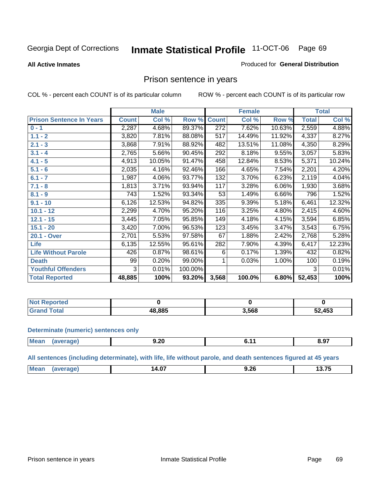#### **All Active Inmates**

#### Produced for **General Distribution**

## Prison sentence in years

COL % - percent each COUNT is of its particular column ROW % - percent each COUNT is of its particular row

|                                 | <b>Male</b>  |        |         | <b>Female</b> |        |        | <b>Total</b>       |        |
|---------------------------------|--------------|--------|---------|---------------|--------|--------|--------------------|--------|
| <b>Prison Sentence In Years</b> | <b>Count</b> | Col %  | Row %   | <b>Count</b>  | Col %  | Row %  | <b>Total</b>       | Col %  |
| $0 - 1$                         | 2,287        | 4.68%  | 89.37%  | 272           | 7.62%  | 10.63% | 2,559              | 4.88%  |
| $1.1 - 2$                       | 3,820        | 7.81%  | 88.08%  | 517           | 14.49% | 11.92% | 4,337              | 8.27%  |
| $2.1 - 3$                       | 3,868        | 7.91%  | 88.92%  | 482           | 13.51% | 11.08% | 4,350              | 8.29%  |
| $3.1 - 4$                       | 2,765        | 5.66%  | 90.45%  | 292           | 8.18%  | 9.55%  | $\overline{3,057}$ | 5.83%  |
| $4.1 - 5$                       | 4,913        | 10.05% | 91.47%  | 458           | 12.84% | 8.53%  | 5,371              | 10.24% |
| $5.1 - 6$                       | 2,035        | 4.16%  | 92.46%  | 166           | 4.65%  | 7.54%  | 2,201              | 4.20%  |
| $6.1 - 7$                       | 1,987        | 4.06%  | 93.77%  | 132           | 3.70%  | 6.23%  | 2,119              | 4.04%  |
| $7.1 - 8$                       | 1,813        | 3.71%  | 93.94%  | 117           | 3.28%  | 6.06%  | 1,930              | 3.68%  |
| $8.1 - 9$                       | 743          | 1.52%  | 93.34%  | 53            | 1.49%  | 6.66%  | 796                | 1.52%  |
| $9.1 - 10$                      | 6,126        | 12.53% | 94.82%  | 335           | 9.39%  | 5.18%  | 6,461              | 12.32% |
| $10.1 - 12$                     | 2,299        | 4.70%  | 95.20%  | 116           | 3.25%  | 4.80%  | 2,415              | 4.60%  |
| $12.1 - 15$                     | 3,445        | 7.05%  | 95.85%  | 149           | 4.18%  | 4.15%  | 3,594              | 6.85%  |
| $15.1 - 20$                     | 3,420        | 7.00%  | 96.53%  | 123           | 3.45%  | 3.47%  | $\overline{3,}543$ | 6.75%  |
| 20.1 - Over                     | 2,701        | 5.53%  | 97.58%  | 67            | 1.88%  | 2.42%  | 2,768              | 5.28%  |
| <b>Life</b>                     | 6,135        | 12.55% | 95.61%  | 282           | 7.90%  | 4.39%  | 6,417              | 12.23% |
| <b>Life Without Parole</b>      | 426          | 0.87%  | 98.61%  | 6             | 0.17%  | 1.39%  | 432                | 0.82%  |
| <b>Death</b>                    | 99           | 0.20%  | 99.00%  |               | 0.03%  | 1.00%  | 100                | 0.19%  |
| <b>Youthful Offenders</b>       | 3            | 0.01%  | 100.00% |               |        |        | 3                  | 0.01%  |
| <b>Total Reported</b>           | 48,885       | 100%   | 93.20%  | 3,568         | 100.0% | 6.80%  | 52,453             | 100%   |

| <b>Not Reported</b>   |       |       |        |
|-----------------------|-------|-------|--------|
| <b>otal</b><br>. Gror | 8.885 | 3,568 | 52,453 |

#### **Determinate (numeric) sentences only**

| Mean | "ane. | 9.20<br>$  -$ | . |  |
|------|-------|---------------|---|--|
|      |       |               |   |  |

**All sentences (including determinate), with life, life without parole, and death sentences figured at 45 years**

| 14.V.<br>J.ZU<br>-------<br>______<br>___<br>____ | $^{\dagger}$ Me: | $-$ | $\sim$ $\sim$ $\sim$ |
|---------------------------------------------------|------------------|-----|----------------------|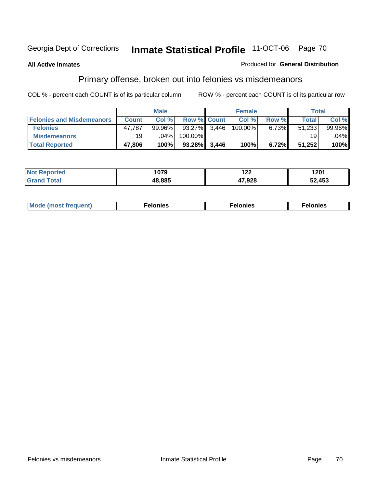#### **All Active Inmates**

#### Produced for **General Distribution**

# Primary offense, broken out into felonies vs misdemeanors

|                                  | <b>Male</b>  |           |                    | <b>Female</b> |         |          | Total        |        |
|----------------------------------|--------------|-----------|--------------------|---------------|---------|----------|--------------|--------|
| <b>Felonies and Misdemeanors</b> | <b>Count</b> | Col %     | <b>Row % Count</b> |               | Col%    | Row %    | <b>Total</b> | Col %  |
| <b>Felonies</b>                  | 47,787       | $99.96\%$ | 93.27%             | 3.446         | 100.00% | $6.73\%$ | 51,233       | 99.96% |
| <b>Misdemeanors</b>              | 19 l         | .04%      | 100.00%            |               |         |          | 19           | .04%   |
| <b>Total Reported</b>            | 47,806       | 100%      | 93.28%             | 3.446         | 100%    | 6.72%    | 51,252       | 100%   |

| N <sub>of</sub><br>ted <sup>-</sup><br>⋯ | 1079   | י ה<br>$\overline{1}$ | 1.201<br>I ZU I |
|------------------------------------------|--------|-----------------------|-----------------|
|                                          | IR RR5 | 17,928                | 2,453د          |

| Mode (most frequent) | elonies | elonies | onies<br>-е к |
|----------------------|---------|---------|---------------|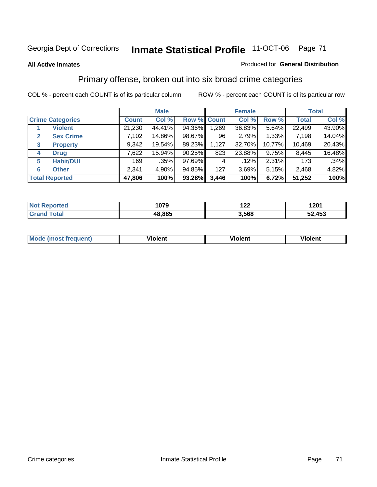#### **All Active Inmates**

#### Produced for **General Distribution**

## Primary offense, broken out into six broad crime categories

|                                  | <b>Male</b>  |         |             | <b>Female</b> |        |          | <b>Total</b> |        |
|----------------------------------|--------------|---------|-------------|---------------|--------|----------|--------------|--------|
| <b>Crime Categories</b>          | <b>Count</b> | Col %   | Row % Count |               | Col %  | Row %    | <b>Total</b> | Col %  |
| <b>Violent</b>                   | 21,230       | 44.41%  | 94.36%      | 1,269         | 36.83% | 5.64%    | 22,499       | 43.90% |
| <b>Sex Crime</b><br>$\mathbf{2}$ | 7,102        | 14.86%  | 98.67%      | 96            | 2.79%  | $1.33\%$ | 7,198        | 14.04% |
| $\mathbf{3}$<br><b>Property</b>  | 9,342        | 19.54%  | 89.23%      | 1,127         | 32.70% | 10.77%   | 10,469       | 20.43% |
| <b>Drug</b><br>4                 | 7,622        | 15.94%  | $90.25\%$   | 823           | 23.88% | $9.75\%$ | 8,445        | 16.48% |
| <b>Habit/DUI</b><br>5            | 169          | $.35\%$ | 97.69%      |               | .12%   | 2.31%    | 173          | .34%   |
| <b>Other</b><br>6                | 2,341        | 4.90%   | 94.85%      | 127           | 3.69%  | 5.15%    | 2,468        | 4.82%  |
| <b>Total Reported</b>            | 47,806       | 100%    | 93.28%      | 3,446         | 100%   | 6.72%    | 51,252       | 100%   |

| 1079   | 100<br>ॱ∠∠ | 1201<br>$\sim$ $\sim$ |
|--------|------------|-----------------------|
| 48.885 | 3,568      | 453<br>-0<br>JZ       |

| <b>Mou</b> | .<br>วient | วlent | ent |
|------------|------------|-------|-----|
|            |            |       |     |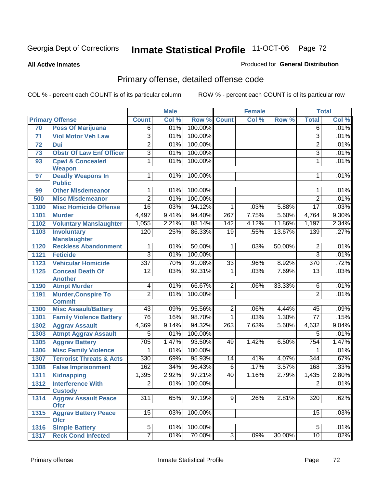#### **All Active Inmates**

## Produced for **General Distribution**

# Primary offense, detailed offense code

|                 |                                                    |                 | <b>Male</b> |         |                 | <b>Female</b> |        |                  | <b>Total</b> |
|-----------------|----------------------------------------------------|-----------------|-------------|---------|-----------------|---------------|--------|------------------|--------------|
|                 | <b>Primary Offense</b>                             | <b>Count</b>    | Col %       | Row %   | <b>Count</b>    | Col %         | Row %  | <b>Total</b>     | Col %        |
| 70              | <b>Poss Of Marijuana</b>                           | $\overline{6}$  | .01%        | 100.00% |                 |               |        | $\overline{6}$   | .01%         |
| 71              | <b>Viol Motor Veh Law</b>                          | 3               | .01%        | 100.00% |                 |               |        | $\overline{3}$   | .01%         |
| 72              | <b>Dui</b>                                         | $\overline{2}$  | .01%        | 100.00% |                 |               |        | $\overline{2}$   | .01%         |
| $\overline{73}$ | <b>Obstr Of Law Enf Officer</b>                    | $\overline{3}$  | .01%        | 100.00% |                 |               |        | $\overline{3}$   | .01%         |
| 93              | <b>Cpwl &amp; Concealed</b>                        | 1               | .01%        | 100.00% |                 |               |        | 1                | .01%         |
|                 | <b>Weapon</b>                                      |                 |             |         |                 |               |        |                  |              |
| 97              | <b>Deadly Weapons In</b>                           | 1               | .01%        | 100.00% |                 |               |        | 1                | .01%         |
|                 | <b>Public</b><br><b>Other Misdemeanor</b>          |                 | .01%        | 100.00% |                 |               |        |                  | .01%         |
| 99              |                                                    | 1               |             |         |                 |               |        | 1                |              |
| 500             | <b>Misc Misdemeanor</b>                            | $\overline{2}$  | .01%        | 100.00% |                 |               |        | $\overline{2}$   | .01%         |
| 1100            | <b>Misc Homicide Offense</b>                       | $\overline{16}$ | .03%        | 94.12%  | 1               | .03%          | 5.88%  | $\overline{17}$  | .03%         |
| 1101            | <b>Murder</b>                                      | 4,497           | 9.41%       | 94.40%  | 267             | 7.75%         | 5.60%  | 4,764            | $9.30\%$     |
| 1102            | <b>Voluntary Manslaughter</b>                      | 1,055           | 2.21%       | 88.14%  | 142             | 4.12%         | 11.86% | 1,197            | 2.34%        |
| 1103            | <b>Involuntary</b>                                 | 120             | .25%        | 86.33%  | 19              | .55%          | 13.67% | 139              | .27%         |
| 1120            | <b>Manslaughter</b><br><b>Reckless Abandonment</b> | 1               | .01%        | 50.00%  | 1               | .03%          | 50.00% | $\overline{2}$   | .01%         |
| 1121            | <b>Feticide</b>                                    | 3               | .01%        | 100.00% |                 |               |        | $\overline{3}$   | .01%         |
| 1123            | <b>Vehicular Homicide</b>                          | 337             | .70%        | 91.08%  | $\overline{33}$ | .96%          | 8.92%  | $\overline{370}$ | .72%         |
| 1125            | <b>Conceal Death Of</b>                            | $\overline{12}$ | .03%        | 92.31%  | $\mathbf 1$     | .03%          | 7.69%  | $\overline{13}$  | .03%         |
|                 | <b>Another</b>                                     |                 |             |         |                 |               |        |                  |              |
| 1190            | <b>Atmpt Murder</b>                                | 4               | .01%        | 66.67%  | $\overline{2}$  | .06%          | 33.33% | 6                | .01%         |
| 1191            | <b>Murder, Conspire To</b>                         | $\overline{2}$  | .01%        | 100.00% |                 |               |        | $\overline{2}$   | .01%         |
|                 | <b>Commit</b>                                      |                 |             |         |                 |               |        |                  |              |
| 1300            | <b>Misc Assault/Battery</b>                        | $\overline{43}$ | .09%        | 95.56%  | $\overline{2}$  | .06%          | 4.44%  | 45               | .09%         |
| 1301            | <b>Family Violence Battery</b>                     | $\overline{76}$ | .16%        | 98.70%  | $\mathbf{1}$    | .03%          | 1.30%  | $\overline{77}$  | .15%         |
| 1302            | <b>Aggrav Assault</b>                              | 4,369           | 9.14%       | 94.32%  | 263             | 7.63%         | 5.68%  | 4,632            | 9.04%        |
| 1303            | <b>Atmpt Aggrav Assault</b>                        | 5               | .01%        | 100.00% |                 |               |        | 5                | .01%         |
| 1305            | <b>Aggrav Battery</b>                              | 705             | 1.47%       | 93.50%  | 49              | 1.42%         | 6.50%  | 754              | 1.47%        |
| 1306            | <b>Misc Family Violence</b>                        | 1               | .01%        | 100.00% |                 |               |        | 1                | .01%         |
| 1307            | <b>Terrorist Threats &amp; Acts</b>                | 330             | .69%        | 95.93%  | 14              | .41%          | 4.07%  | $\overline{344}$ | .67%         |
| 1308            | <b>False Imprisonment</b>                          | 162             | .34%        | 96.43%  | 6               | .17%          | 3.57%  | 168              | .33%         |
| 1311            | <b>Kidnapping</b>                                  | 1,395           | 2.92%       | 97.21%  | 40              | 1.16%         | 2.79%  | 1,435            | 2.80%        |
| 1312            | <b>Interference With</b>                           | $\overline{2}$  | .01%        | 100.00% |                 |               |        | $\overline{2}$   | .01%         |
|                 | <b>Custody</b>                                     |                 |             |         |                 |               |        |                  |              |
| 1314            | <b>Aggrav Assault Peace</b>                        | 311             | .65%        | 97.19%  | 9               | .26%          | 2.81%  | 320              | .62%         |
|                 | <b>Ofcr</b>                                        |                 |             |         |                 |               |        |                  |              |
| 1315            | <b>Aggrav Battery Peace</b><br><b>Ofcr</b>         | $\overline{15}$ | .03%        | 100.00% |                 |               |        | 15               | .03%         |
| 1316            | <b>Simple Battery</b>                              | $\overline{5}$  | .01%        | 100.00% |                 |               |        | $\overline{5}$   | .01%         |
| 1317            | <b>Reck Cond Infected</b>                          | $\overline{7}$  | .01%        | 70.00%  | $\overline{3}$  | .09%          | 30.00% | 10               | .02%         |
|                 |                                                    |                 |             |         |                 |               |        |                  |              |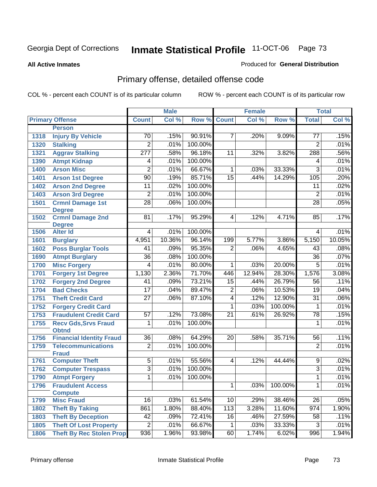#### **All Active Inmates**

#### Produced for **General Distribution**

# Primary offense, detailed offense code

|      |                                  |                  | <b>Male</b> |         |                 | <b>Female</b> |         |                 | <b>Total</b> |
|------|----------------------------------|------------------|-------------|---------|-----------------|---------------|---------|-----------------|--------------|
|      | <b>Primary Offense</b>           | <b>Count</b>     | Col %       | Row %   | <b>Count</b>    | Col %         | Row %   | <b>Total</b>    | Col %        |
|      | <b>Person</b>                    |                  |             |         |                 |               |         |                 |              |
| 1318 | <b>Injury By Vehicle</b>         | 70               | .15%        | 90.91%  | 7               | .20%          | 9.09%   | 77              | .15%         |
| 1320 | <b>Stalking</b>                  | $\overline{2}$   | .01%        | 100.00% |                 |               |         | $\overline{2}$  | .01%         |
| 1321 | <b>Aggrav Stalking</b>           | $\overline{277}$ | .58%        | 96.18%  | 11              | .32%          | 3.82%   | 288             | .56%         |
| 1390 | <b>Atmpt Kidnap</b>              | 4                | .01%        | 100.00% |                 |               |         | 4               | .01%         |
| 1400 | <b>Arson Misc</b>                | $\overline{2}$   | .01%        | 66.67%  | $\mathbf{1}$    | .03%          | 33.33%  | $\overline{3}$  | .01%         |
| 1401 | <b>Arson 1st Degree</b>          | $\overline{90}$  | .19%        | 85.71%  | 15              | .44%          | 14.29%  | 105             | .20%         |
| 1402 | <b>Arson 2nd Degree</b>          | $\overline{11}$  | .02%        | 100.00% |                 |               |         | $\overline{11}$ | .02%         |
| 1403 | <b>Arson 3rd Degree</b>          | $\overline{2}$   | .01%        | 100.00% |                 |               |         | $\overline{2}$  | .01%         |
| 1501 | <b>Crmnl Damage 1st</b>          | $\overline{28}$  | .06%        | 100.00% |                 |               |         | $\overline{28}$ | .05%         |
|      | <b>Degree</b>                    |                  |             |         |                 |               |         |                 |              |
| 1502 | <b>Crmnl Damage 2nd</b>          | 81               | .17%        | 95.29%  | $\overline{4}$  | .12%          | 4.71%   | 85              | .17%         |
| 1506 | <b>Degree</b><br><b>Alter Id</b> | $\overline{4}$   | .01%        | 100.00% |                 |               |         | 4               | .01%         |
| 1601 | <b>Burglary</b>                  | 4,951            | 10.36%      | 96.14%  | 199             | 5.77%         | 3.86%   | 5,150           | 10.05%       |
| 1602 | <b>Poss Burglar Tools</b>        | 41               | .09%        | 95.35%  | $\overline{2}$  | .06%          | 4.65%   | 43              | .08%         |
| 1690 | <b>Atmpt Burglary</b>            | $\overline{36}$  | .08%        | 100.00% |                 |               |         | 36              | .07%         |
| 1700 | <b>Misc Forgery</b>              | 4                | .01%        | 80.00%  | 1               | .03%          | 20.00%  | $\overline{5}$  | .01%         |
| 1701 | <b>Forgery 1st Degree</b>        | 1,130            | 2.36%       | 71.70%  | 446             | 12.94%        | 28.30%  | 1,576           | 3.08%        |
| 1702 | <b>Forgery 2nd Degree</b>        | 41               | .09%        | 73.21%  | 15              | .44%          | 26.79%  | $\overline{56}$ | .11%         |
| 1704 | <b>Bad Checks</b>                | 17               | .04%        | 89.47%  | $\overline{2}$  | .06%          | 10.53%  | 19              | .04%         |
| 1751 | <b>Theft Credit Card</b>         | $\overline{27}$  | .06%        | 87.10%  | $\overline{4}$  | .12%          | 12.90%  | $\overline{31}$ | .06%         |
| 1752 | <b>Forgery Credit Card</b>       |                  |             |         | 1               | .03%          | 100.00% | 1               | .01%         |
| 1753 | <b>Fraudulent Credit Card</b>    | 57               | .12%        | 73.08%  | $\overline{21}$ | .61%          | 26.92%  | 78              | .15%         |
| 1755 | <b>Recv Gds, Srvs Fraud</b>      | 1                | .01%        | 100.00% |                 |               |         | 1               | .01%         |
|      | <b>Obtnd</b>                     |                  |             |         |                 |               |         |                 |              |
| 1756 | <b>Financial Identity Fraud</b>  | $\overline{36}$  | .08%        | 64.29%  | $\overline{20}$ | .58%          | 35.71%  | $\overline{56}$ | .11%         |
| 1759 | <b>Telecommunications</b>        | $\overline{2}$   | .01%        | 100.00% |                 |               |         | $\overline{2}$  | .01%         |
|      | <b>Fraud</b>                     |                  |             |         |                 |               |         |                 |              |
| 1761 | <b>Computer Theft</b>            | $\overline{5}$   | .01%        | 55.56%  | $\overline{4}$  | .12%          | 44.44%  | $\overline{9}$  | .02%         |
| 1762 | <b>Computer Trespass</b>         | $\overline{3}$   | .01%        | 100.00% |                 |               |         | $\overline{3}$  | .01%         |
| 1790 | <b>Atmpt Forgery</b>             | 1                | .01%        | 100.00% |                 |               |         | $\mathbf{1}$    | .01%         |
| 1796 | <b>Fraudulent Access</b>         |                  |             |         | 1.              | .03%          | 100.00% | 1               | .01%         |
|      | <b>Compute</b>                   |                  |             |         |                 |               |         |                 |              |
| 1799 | <b>Misc Fraud</b>                | 16               | .03%        | 61.54%  | 10              | .29%          | 38.46%  | 26              | .05%         |
| 1802 | <b>Theft By Taking</b>           | 861              | 1.80%       | 88.40%  | 113             | 3.28%         | 11.60%  | 974             | 1.90%        |
| 1803 | <b>Theft By Deception</b>        | $\overline{42}$  | .09%        | 72.41%  | 16              | .46%          | 27.59%  | 58              | .11%         |
| 1805 | <b>Theft Of Lost Property</b>    | $\overline{2}$   | .01%        | 66.67%  | 1               | .03%          | 33.33%  | 3               | .01%         |
| 1806 | <b>Theft By Rec Stolen Prop</b>  | 936              | 1.96%       | 93.98%  | 60              | 1.74%         | 6.02%   | 996             | 1.94%        |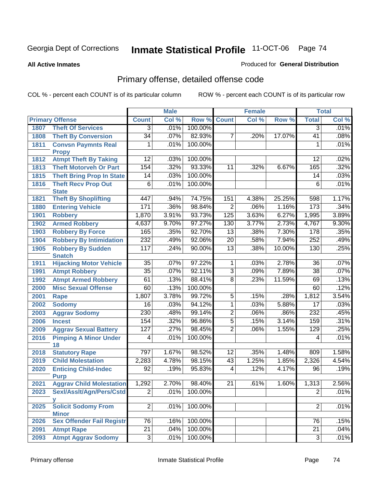#### **All Active Inmates**

#### Produced for **General Distribution**

# Primary offense, detailed offense code

|      |                                                  |                 | <b>Male</b> |         |                 | <b>Female</b> |        |                 | <b>Total</b> |
|------|--------------------------------------------------|-----------------|-------------|---------|-----------------|---------------|--------|-----------------|--------------|
|      | <b>Primary Offense</b>                           | <b>Count</b>    | Col %       | Row %   | <b>Count</b>    | Col %         | Row %  | <b>Total</b>    | Col %        |
| 1807 | <b>Theft Of Services</b>                         | $\overline{3}$  | .01%        | 100.00% |                 |               |        | $\overline{3}$  | .01%         |
| 1808 | <b>Theft By Conversion</b>                       | $\overline{34}$ | .07%        | 82.93%  | 7               | .20%          | 17.07% | $\overline{41}$ | .08%         |
| 1811 | <b>Convsn Paymnts Real</b>                       | 1               | .01%        | 100.00% |                 |               |        | 1               | .01%         |
|      | <b>Propy</b>                                     |                 |             |         |                 |               |        |                 |              |
| 1812 | <b>Atmpt Theft By Taking</b>                     | 12              | .03%        | 100.00% |                 |               |        | 12              | .02%         |
| 1813 | <b>Theft Motorveh Or Part</b>                    | 154             | .32%        | 93.33%  | 11              | .32%          | 6.67%  | 165             | .32%         |
| 1815 | <b>Theft Bring Prop In State</b>                 | 14              | .03%        | 100.00% |                 |               |        | 14              | .03%         |
| 1816 | <b>Theft Recv Prop Out</b>                       | 6               | .01%        | 100.00% |                 |               |        | 6               | .01%         |
| 1821 | <b>State</b>                                     | 447             | .94%        | 74.75%  | 151             | 4.38%         | 25.25% | 598             | 1.17%        |
| 1880 | <b>Theft By Shoplifting</b>                      | 171             | .36%        | 98.84%  | $\overline{2}$  | .06%          | 1.16%  | 173             | .34%         |
|      | <b>Entering Vehicle</b><br><b>Robbery</b>        | 1,870           | 3.91%       | 93.73%  | 125             | 3.63%         | 6.27%  |                 | 3.89%        |
| 1901 |                                                  | 4,637           |             | 97.27%  | 130             |               | 2.73%  | 1,995           | 9.30%        |
| 1902 | <b>Armed Robbery</b>                             |                 | 9.70%       |         |                 | 3.77%         |        | 4,767           |              |
| 1903 | <b>Robbery By Force</b>                          | 165             | .35%        | 92.70%  | 13              | .38%          | 7.30%  | 178             | .35%         |
| 1904 | <b>Robbery By Intimidation</b>                   | 232             | .49%        | 92.06%  | $\overline{20}$ | .58%          | 7.94%  | 252             | .49%         |
| 1905 | <b>Robbery By Sudden</b><br><b>Snatch</b>        | 117             | .24%        | 90.00%  | $\overline{13}$ | .38%          | 10.00% | 130             | .25%         |
| 1911 | <b>Hijacking Motor Vehicle</b>                   | $\overline{35}$ | .07%        | 97.22%  | 1               | .03%          | 2.78%  | 36              | .07%         |
| 1991 | <b>Atmpt Robbery</b>                             | $\overline{35}$ | .07%        | 92.11%  | $\overline{3}$  | .09%          | 7.89%  | $\overline{38}$ | .07%         |
| 1992 | <b>Atmpt Armed Robbery</b>                       | 61              | .13%        | 88.41%  | $\overline{8}$  | .23%          | 11.59% | 69              | .13%         |
| 2000 | <b>Misc Sexual Offense</b>                       | 60              | .13%        | 100.00% |                 |               |        | 60              | .12%         |
| 2001 | Rape                                             | 1,807           | 3.78%       | 99.72%  | 5               | .15%          | .28%   | 1,812           | 3.54%        |
| 2002 | <b>Sodomy</b>                                    | 16              | .03%        | 94.12%  | $\overline{1}$  | .03%          | 5.88%  | $\overline{17}$ | .03%         |
| 2003 | <b>Aggrav Sodomy</b>                             | 230             | .48%        | 99.14%  | $\overline{2}$  | .06%          | .86%   | 232             | .45%         |
| 2006 | <b>Incest</b>                                    | 154             | .32%        | 96.86%  | $\overline{5}$  | .15%          | 3.14%  | 159             | .31%         |
| 2009 | <b>Aggrav Sexual Battery</b>                     | 127             | .27%        | 98.45%  | $\overline{2}$  | .06%          | 1.55%  | 129             | .25%         |
| 2016 | <b>Pimping A Minor Under</b>                     | $\overline{4}$  | .01%        | 100.00% |                 |               |        | 4               | .01%         |
|      | 18                                               |                 |             |         |                 |               |        |                 |              |
| 2018 | <b>Statutory Rape</b>                            | 797             | 1.67%       | 98.52%  | $\overline{12}$ | .35%          | 1.48%  | 809             | 1.58%        |
| 2019 | <b>Child Molestation</b>                         | 2,283           | 4.78%       | 98.15%  | 43              | 1.25%         | 1.85%  | 2,326           | 4.54%        |
| 2020 | <b>Enticing Child-Indec</b>                      | 92              | .19%        | 95.83%  | $\overline{4}$  | .12%          | 4.17%  | 96              | .19%         |
|      | <b>Purp</b>                                      |                 |             |         |                 |               |        |                 |              |
| 2021 | <b>Aggrav Child Molestation</b>                  | 1,292           | 2.70%       | 98.40%  | 21              | .61%          | 1.60%  | 1,313           | 2.56%        |
| 2023 | Sexl/AssIt/Agn/Pers/Cstd                         | $\overline{2}$  | .01%        | 100.00% |                 |               |        | $\overline{2}$  | .01%         |
|      | У                                                |                 |             |         |                 |               |        |                 |              |
| 2025 | <b>Solicit Sodomy From</b>                       | $\overline{2}$  | .01%        | 100.00% |                 |               |        | $\overline{2}$  | .01%         |
| 2026 | <b>Minor</b><br><b>Sex Offender Fail Registr</b> | $\overline{76}$ | .16%        | 100.00% |                 |               |        | 76              | .15%         |
|      |                                                  | $\overline{21}$ | .04%        | 100.00% |                 |               |        | 21              | .04%         |
| 2091 | <b>Atmpt Rape</b>                                |                 |             | 100.00% |                 |               |        |                 | .01%         |
| 2093 | <b>Atmpt Aggrav Sodomy</b>                       | $\overline{3}$  | .01%        |         |                 |               |        | 3               |              |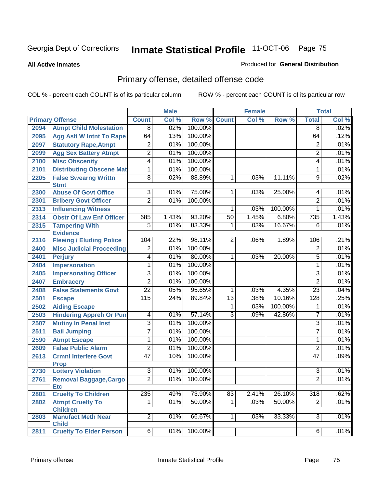**All Active Inmates**

#### Produced for **General Distribution**

# Primary offense, detailed offense code

|      |                                            |                 | <b>Male</b> |         |                 | <b>Female</b> |         |                  | <b>Total</b> |
|------|--------------------------------------------|-----------------|-------------|---------|-----------------|---------------|---------|------------------|--------------|
|      | <b>Primary Offense</b>                     | <b>Count</b>    | Col %       | Row %   | <b>Count</b>    | Col %         | Row %   | <b>Total</b>     | Col %        |
| 2094 | <b>Atmpt Child Molestation</b>             | $\overline{8}$  | .02%        | 100.00% |                 |               |         | $\overline{8}$   | .02%         |
| 2095 | <b>Agg Aslt W Intnt To Rape</b>            | 64              | .13%        | 100.00% |                 |               |         | 64               | .12%         |
| 2097 | <b>Statutory Rape, Atmpt</b>               | $\overline{2}$  | .01%        | 100.00% |                 |               |         | $\overline{2}$   | .01%         |
| 2099 | <b>Agg Sex Battery Atmpt</b>               | $\overline{2}$  | .01%        | 100.00% |                 |               |         | 2                | .01%         |
| 2100 | <b>Misc Obscenity</b>                      | $\overline{4}$  | .01%        | 100.00% |                 |               |         | 4                | .01%         |
| 2101 | <b>Distributing Obscene Mat</b>            | $\overline{1}$  | .01%        | 100.00% |                 |               |         | 1                | .01%         |
| 2205 | <b>False Swearng Writtn</b><br><b>Stmt</b> | $\overline{8}$  | .02%        | 88.89%  | $\mathbf{1}$    | .03%          | 11.11%  | $\overline{9}$   | .02%         |
| 2300 | <b>Abuse Of Govt Office</b>                | $\overline{3}$  | .01%        | 75.00%  | 1               | .03%          | 25.00%  | 4                | .01%         |
| 2301 | <b>Bribery Govt Officer</b>                | $\overline{2}$  | .01%        | 100.00% |                 |               |         | $\overline{2}$   | .01%         |
| 2313 | <b>Influencing Witness</b>                 |                 |             |         | 1               | .03%          | 100.00% | 1                | .01%         |
| 2314 | <b>Obstr Of Law Enf Officer</b>            | 685             | 1.43%       | 93.20%  | 50              | 1.45%         | 6.80%   | 735              | 1.43%        |
| 2315 | <b>Tampering With</b><br><b>Evidence</b>   | $\overline{5}$  | .01%        | 83.33%  | 1               | .03%          | 16.67%  | 6                | .01%         |
| 2316 | <b>Fleeing / Eluding Police</b>            | 104             | .22%        | 98.11%  | $\overline{2}$  | .06%          | 1.89%   | 106              | .21%         |
| 2400 | <b>Misc Judicial Proceeding</b>            | $\overline{2}$  | .01%        | 100.00% |                 |               |         | $\overline{2}$   | .01%         |
| 2401 | <b>Perjury</b>                             | $\overline{4}$  | .01%        | 80.00%  | 1               | .03%          | 20.00%  | $\overline{5}$   | .01%         |
| 2404 | <b>Impersonation</b>                       | $\overline{1}$  | .01%        | 100.00% |                 |               |         | 1                | .01%         |
| 2405 | <b>Impersonating Officer</b>               | $\overline{3}$  | .01%        | 100.00% |                 |               |         | $\overline{3}$   | .01%         |
| 2407 | <b>Embracery</b>                           | $\overline{2}$  | .01%        | 100.00% |                 |               |         | $\overline{2}$   | .01%         |
| 2408 | <b>False Statements Govt</b>               | $\overline{22}$ | .05%        | 95.65%  | 1               | .03%          | 4.35%   | $\overline{23}$  | .04%         |
| 2501 | <b>Escape</b>                              | 115             | .24%        | 89.84%  | $\overline{13}$ | .38%          | 10.16%  | 128              | .25%         |
| 2502 | <b>Aiding Escape</b>                       |                 |             |         | 1               | .03%          | 100.00% | 1                | .01%         |
| 2503 | <b>Hindering Appreh Or Pun</b>             | 4               | .01%        | 57.14%  | $\overline{3}$  | .09%          | 42.86%  | $\overline{7}$   | .01%         |
| 2507 | <b>Mutiny In Penal Inst</b>                | $\overline{3}$  | .01%        | 100.00% |                 |               |         | $\overline{3}$   | .01%         |
| 2511 | <b>Bail Jumping</b>                        | $\overline{7}$  | .01%        | 100.00% |                 |               |         | $\overline{7}$   | .01%         |
| 2590 | <b>Atmpt Escape</b>                        | $\overline{1}$  | .01%        | 100.00% |                 |               |         | 1                | .01%         |
| 2609 | <b>False Public Alarm</b>                  | $\overline{2}$  | .01%        | 100.00% |                 |               |         | $\overline{2}$   | .01%         |
| 2613 | <b>Crmnl Interfere Govt</b><br><b>Prop</b> | $\overline{47}$ | .10%        | 100.00% |                 |               |         | 47               | .09%         |
| 2730 | <b>Lottery Violation</b>                   | $\overline{3}$  | .01%        | 100.00% |                 |               |         | $\overline{3}$   | .01%         |
| 2761 | Removal Baggage, Cargo<br><b>Etc</b>       | $\overline{2}$  | .01%        | 100.00% |                 |               |         | $\overline{2}$   | .01%         |
| 2801 | <b>Cruelty To Children</b>                 | 235             | .49%        | 73.90%  | 83              | 2.41%         | 26.10%  | $\overline{318}$ | .62%         |
| 2802 | <b>Atmpt Cruelty To</b><br><b>Children</b> | 1               | .01%        | 50.00%  | $\overline{1}$  | .03%          | 50.00%  | $\overline{2}$   | .01%         |
| 2803 | <b>Manufact Meth Near</b><br><b>Child</b>  | $\overline{2}$  | .01%        | 66.67%  | 1 <sup>1</sup>  | .03%          | 33.33%  | $\overline{3}$   | .01%         |
| 2811 | <b>Cruelty To Elder Person</b>             | $\overline{6}$  | .01%        | 100.00% |                 |               |         | 6                | .01%         |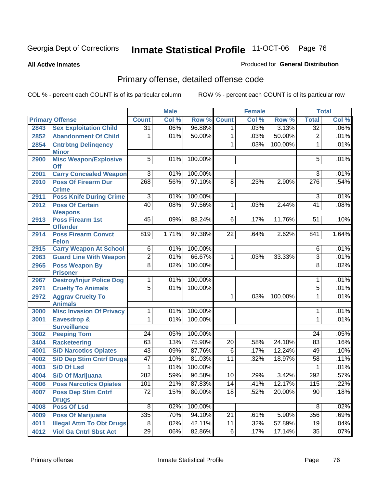**All Active Inmates**

#### Produced for **General Distribution**

# Primary offense, detailed offense code

|      |                                                              |                 | <b>Male</b> |                   |                 | Female       |         |                       | <b>Total</b> |
|------|--------------------------------------------------------------|-----------------|-------------|-------------------|-----------------|--------------|---------|-----------------------|--------------|
|      | <b>Primary Offense</b>                                       | <b>Count</b>    | Col %       | Row %             | <b>Count</b>    | Col %        | Row %   | <b>Total</b>          | Col %        |
| 2843 | <b>Sex Exploitation Child</b>                                | $\overline{31}$ | .06%        | 96.88%            | $\mathbf{1}$    | .03%         | 3.13%   | $\overline{32}$       | .06%         |
| 2852 | <b>Abandonment Of Child</b>                                  | 1               | .01%        | 50.00%            | 1               | .03%         | 50.00%  | $\overline{2}$        | .01%         |
| 2854 | <b>Cntrbtng Delingency</b>                                   |                 |             |                   | 1               | .03%         | 100.00% | 1                     | .01%         |
| 2900 | <b>Minor</b><br><b>Misc Weapon/Explosive</b>                 | 5               | .01%        | 100.00%           |                 |              |         | 5                     | .01%         |
|      | <b>Off</b>                                                   |                 |             |                   |                 |              |         |                       |              |
| 2901 | <b>Carry Concealed Weapon</b>                                | $\overline{3}$  | .01%        | 100.00%           |                 |              |         | 3                     | .01%         |
| 2910 | <b>Poss Of Firearm Dur</b>                                   | 268             | .56%        | 97.10%            | $\overline{8}$  | .23%         | 2.90%   | 276                   | .54%         |
|      | <b>Crime</b>                                                 |                 |             |                   |                 |              |         |                       |              |
| 2911 | <b>Poss Knife During Crime</b>                               | $\overline{3}$  | .01%        | 100.00%           |                 |              |         | $\overline{3}$        | .01%         |
| 2912 | <b>Poss Of Certain</b>                                       | 40              | .08%        | 97.56%            | 1               | .03%         | 2.44%   | 41                    | .08%         |
|      | <b>Weapons</b><br><b>Poss Firearm 1st</b>                    | $\overline{45}$ | .09%        | 88.24%            | $\overline{6}$  |              | 11.76%  | 51                    | .10%         |
| 2913 | <b>Offender</b>                                              |                 |             |                   |                 | .17%         |         |                       |              |
| 2914 | <b>Poss Firearm Convct</b>                                   | 819             | 1.71%       | 97.38%            | $\overline{22}$ | .64%         | 2.62%   | 841                   | 1.64%        |
|      | <b>Felon</b>                                                 |                 |             |                   |                 |              |         |                       |              |
| 2915 | <b>Carry Weapon At School</b>                                | $\overline{6}$  | .01%        | 100.00%           |                 |              |         | $\overline{6}$        | .01%         |
| 2963 | <b>Guard Line With Weapon</b>                                | $\overline{2}$  | .01%        | 66.67%            | $\mathbf{1}$    | .03%         | 33.33%  | $\overline{3}$        | .01%         |
| 2965 | <b>Poss Weapon By</b>                                        | $\overline{8}$  | .02%        | 100.00%           |                 |              |         | $\overline{8}$        | .02%         |
| 2967 | <b>Prisoner</b><br><b>Destroy/Injur Police Dog</b>           | 1               | .01%        | 100.00%           |                 |              |         | 1                     | .01%         |
| 2971 | <b>Cruelty To Animals</b>                                    | $\overline{5}$  | .01%        | 100.00%           |                 |              |         | 5                     | .01%         |
| 2972 | <b>Aggrav Cruelty To</b>                                     |                 |             |                   | 1               | .03%         | 100.00% | $\mathbf{1}$          | .01%         |
|      | <b>Animals</b>                                               |                 |             |                   |                 |              |         |                       |              |
| 3000 | <b>Misc Invasion Of Privacy</b>                              | 1               | .01%        | 100.00%           |                 |              |         | 1                     | .01%         |
| 3001 | <b>Eavesdrop &amp;</b>                                       | 1               | .01%        | 100.00%           |                 |              |         | 1                     | .01%         |
|      | <b>Surveillance</b>                                          |                 |             |                   |                 |              |         |                       |              |
| 3002 | <b>Peeping Tom</b>                                           | $\overline{24}$ | .05%        | 100.00%           |                 |              |         | $\overline{24}$       | .05%         |
| 3404 | <b>Racketeering</b>                                          | 63              | .13%        | 75.90%            | $\overline{20}$ | .58%         | 24.10%  | 83                    | .16%         |
| 4001 | <b>S/D Narcotics Opiates</b>                                 | $\overline{43}$ | .09%        | 87.76%            | $\overline{6}$  | .17%         | 12.24%  | 49                    | .10%         |
| 4002 | <b>S/D Dep Stim Cntrf Drugs</b>                              | $\overline{47}$ | .10%        | 81.03%            | $\overline{11}$ | .32%         | 18.97%  | 58                    | .11%         |
| 4003 | <b>S/D Of Lsd</b>                                            | $\mathbf{1}$    | .01%        | 100.00%           |                 |              |         | $\mathbf{1}$          | .01%         |
| 4004 | <b>S/D Of Marijuana</b>                                      | 282             | .59%        | 96.58%            | 10              | .29%         | 3.42%   | 292                   | .57%         |
| 4006 | <b>Poss Narcotics Opiates</b>                                | 101             | .21%        | 87.83%            | 14              | .41%         | 12.17%  | 115                   | .22%         |
| 4007 | <b>Poss Dep Stim Cntrf</b>                                   | $\overline{72}$ | .15%        | 80.00%            | 18              | .52%         | 20.00%  | 90                    | .18%         |
|      | <b>Drugs</b>                                                 | $\overline{8}$  |             |                   |                 |              |         |                       |              |
| 4008 | <b>Poss Of Lsd</b>                                           | 335             | .02%        | 100.00%<br>94.10% | $\overline{21}$ |              | 5.90%   | $\overline{8}$<br>356 | .02%         |
| 4009 | <b>Poss Of Marijuana</b><br><b>Illegal Attm To Obt Drugs</b> | $\overline{8}$  | .70%        | 42.11%            | 11              | .61%<br>.32% | 57.89%  | 19                    | .69%<br>.04% |
| 4011 |                                                              |                 | .02%        |                   |                 | .17%         |         |                       |              |
| 4012 | <b>Viol Ga Cntrl Sbst Act</b>                                | $\overline{29}$ | .06%        | 82.86%            | 6               |              | 17.14%  | 35                    | .07%         |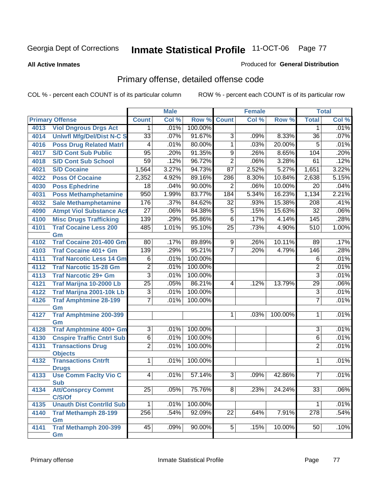**All Active Inmates**

#### Produced for **General Distribution**

# Primary offense, detailed offense code

|      |                                           | <b>Male</b>     |       |         | <b>Female</b>   |       | <b>Total</b> |                  |       |
|------|-------------------------------------------|-----------------|-------|---------|-----------------|-------|--------------|------------------|-------|
|      | <b>Primary Offense</b>                    | <b>Count</b>    | Col % | Row %   | <b>Count</b>    | Col % | Row %        | <b>Total</b>     | Col % |
| 4013 | <b>Viol Dngrous Drgs Act</b>              | 1               | .01%  | 100.00% |                 |       |              | 1                | .01%  |
| 4014 | <b>Uniwfl Mfg/Del/Dist N-C S</b>          | $\overline{33}$ | .07%  | 91.67%  | $\overline{3}$  | .09%  | 8.33%        | $\overline{36}$  | .07%  |
| 4016 | <b>Poss Drug Related Matri</b>            | 4               | .01%  | 80.00%  | $\overline{1}$  | .03%  | 20.00%       | 5                | .01%  |
| 4017 | <b>S/D Cont Sub Public</b>                | $\overline{95}$ | .20%  | 91.35%  | $\overline{9}$  | .26%  | 8.65%        | 104              | .20%  |
| 4018 | <b>S/D Cont Sub School</b>                | 59              | .12%  | 96.72%  | $\overline{2}$  | .06%  | 3.28%        | 61               | .12%  |
| 4021 | <b>S/D Cocaine</b>                        | 1,564           | 3.27% | 94.73%  | $\overline{87}$ | 2.52% | 5.27%        | 1,651            | 3.22% |
| 4022 | <b>Poss Of Cocaine</b>                    | 2,352           | 4.92% | 89.16%  | 286             | 8.30% | 10.84%       | 2,638            | 5.15% |
| 4030 | <b>Poss Ephedrine</b>                     | $\overline{18}$ | .04%  | 90.00%  | $\overline{2}$  | .06%  | 10.00%       | $\overline{20}$  | .04%  |
| 4031 | <b>Poss Methamphetamine</b>               | 950             | 1.99% | 83.77%  | 184             | 5.34% | 16.23%       | 1,134            | 2.21% |
| 4032 | <b>Sale Methamphetamine</b>               | 176             | .37%  | 84.62%  | 32              | .93%  | 15.38%       | 208              | .41%  |
| 4090 | <b>Atmpt Viol Substance Act</b>           | $\overline{27}$ | .06%  | 84.38%  | $\overline{5}$  | .15%  | 15.63%       | $\overline{32}$  | .06%  |
| 4100 | <b>Misc Drugs Trafficking</b>             | 139             | .29%  | 95.86%  | $\overline{6}$  | .17%  | 4.14%        | 145              | .28%  |
| 4101 | <b>Traf Cocaine Less 200</b>              | 485             | 1.01% | 95.10%  | $\overline{25}$ | .73%  | 4.90%        | 510              | 1.00% |
|      | Gm                                        |                 |       |         |                 |       |              |                  |       |
| 4102 | <b>Traf Cocaine 201-400 Gm</b>            | $\overline{80}$ | .17%  | 89.89%  | $\overline{9}$  | .26%  | 10.11%       | 89               | .17%  |
| 4103 | <b>Traf Cocaine 401+ Gm</b>               | 139             | .29%  | 95.21%  | $\overline{7}$  | .20%  | 4.79%        | 146              | .28%  |
| 4111 | <b>Traf Narcotic Less 14 Gm</b>           | 6               | .01%  | 100.00% |                 |       |              | 6                | .01%  |
| 4112 | <b>Traf Narcotic 15-28 Gm</b>             | $\overline{2}$  | .01%  | 100.00% |                 |       |              | 2                | .01%  |
| 4113 | <b>Traf Narcotic 29+ Gm</b>               | $\overline{3}$  | .01%  | 100.00% |                 |       |              | 3                | .01%  |
| 4121 | Traf Marijna 10-2000 Lb                   | $\overline{25}$ | .05%  | 86.21%  | 4               | .12%  | 13.79%       | 29               | .06%  |
| 4122 | Traf Marijna 2001-10k Lb                  | 3               | .01%  | 100.00% |                 |       |              | $\overline{3}$   | .01%  |
| 4126 | <b>Traf Amphtmine 28-199</b>              | $\overline{7}$  | .01%  | 100.00% |                 |       |              | $\overline{7}$   | .01%  |
|      | Gm                                        |                 |       |         |                 |       |              |                  |       |
| 4127 | <b>Traf Amphtmine 200-399</b><br>Gm       |                 |       |         | $\mathbf 1$     | .03%  | 100.00%      | 1                | .01%  |
| 4128 | Traf Amphtmine 400+ Gm                    | $\overline{3}$  | .01%  | 100.00% |                 |       |              | $\overline{3}$   | .01%  |
| 4130 | <b>Cnspire Traffic Cntrl Sub</b>          | $\overline{6}$  | .01%  | 100.00% |                 |       |              | $\overline{6}$   | .01%  |
| 4131 | <b>Transactions Drug</b>                  | $\overline{2}$  | .01%  | 100.00% |                 |       |              | $\overline{2}$   | .01%  |
|      | <b>Objects</b>                            |                 |       |         |                 |       |              |                  |       |
| 4132 | <b>Transactions Cntrft</b>                | $\overline{1}$  | .01%  | 100.00% |                 |       |              | 1                | .01%  |
|      | <b>Drugs</b>                              |                 |       |         |                 |       |              |                  |       |
| 4133 | <b>Use Comm Facity Vio C</b>              | $\overline{4}$  | .01%  | 57.14%  | $\overline{3}$  | .09%  | 42.86%       | $\overline{7}$   | .01%  |
|      | <b>Sub</b>                                |                 |       |         |                 |       |              |                  |       |
| 4134 | <b>Att/Consprcy Commt</b>                 | $\overline{25}$ | .05%  | 75.76%  | $\overline{8}$  | .23%  | 24.24%       | $\overline{33}$  | .06%  |
|      | C/S/Of<br><b>Unauth Dist Contrild Sub</b> | 1               | .01%  | 100.00% |                 |       |              | 1                | .01%  |
| 4135 |                                           |                 |       |         |                 |       |              |                  |       |
| 4140 | <b>Traf Methamph 28-199</b><br>Gm         | 256             | .54%  | 92.09%  | $\overline{22}$ | .64%  | 7.91%        | $\overline{278}$ | .54%  |
| 4141 | <b>Traf Methamph 200-399</b>              | 45              | .09%  | 90.00%  | 5 <sup>2</sup>  | .15%  | 10.00%       | 50               | .10%  |
|      | Gm                                        |                 |       |         |                 |       |              |                  |       |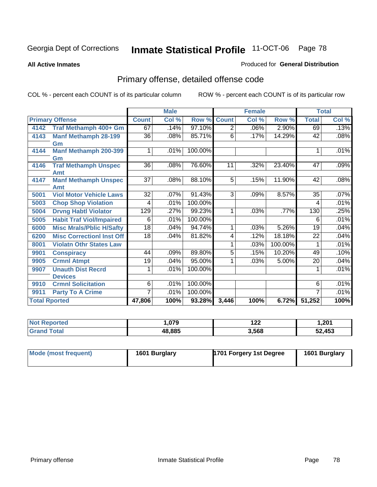**All Active Inmates**

#### Produced for **General Distribution**

# Primary offense, detailed offense code

|                      |                                  | <b>Male</b>     |       |         | <b>Female</b>  |       | <b>Total</b> |                 |       |
|----------------------|----------------------------------|-----------------|-------|---------|----------------|-------|--------------|-----------------|-------|
|                      | <b>Primary Offense</b>           | <b>Count</b>    | Col % | Row %   | <b>Count</b>   | Col % | Row %        | <b>Total</b>    | Col % |
| 4142                 | Traf Methamph 400+ Gm            | 67              | .14%  | 97.10%  | $\overline{2}$ | .06%  | 2.90%        | 69              | .13%  |
| 4143                 | <b>Manf Methamph 28-199</b>      | 36              | .08%  | 85.71%  | 6              | .17%  | 14.29%       | 42              | .08%  |
|                      | Gm                               |                 |       |         |                |       |              |                 |       |
| 4144                 | <b>Manf Methamph 200-399</b>     |                 | .01%  | 100.00% |                |       |              |                 | .01%  |
|                      | Gm                               |                 |       |         |                |       |              |                 |       |
| 4146                 | <b>Traf Methamph Unspec</b>      | 36              | .08%  | 76.60%  | 11             | .32%  | 23.40%       | 47              | .09%  |
|                      | Amt                              |                 |       |         |                |       |              |                 |       |
| 4147                 | <b>Manf Methamph Unspec</b>      | $\overline{37}$ | .08%  | 88.10%  | $\overline{5}$ | .15%  | 11.90%       | 42              | .08%  |
|                      | Amt                              |                 |       |         |                |       |              |                 |       |
| 5001                 | <b>Viol Motor Vehicle Laws</b>   | $\overline{32}$ | .07%  | 91.43%  | $\overline{3}$ | .09%  | 8.57%        | $\overline{35}$ | .07%  |
| 5003                 | <b>Chop Shop Violation</b>       | 4               | .01%  | 100.00% |                |       |              | 4               | .01%  |
| 5004                 | <b>Drvng Habtl Violator</b>      | 129             | .27%  | 99.23%  | 1              | .03%  | .77%         | 130             | .25%  |
| 5005                 | <b>Habit Traf Viol/Impaired</b>  | 6               | .01%  | 100.00% |                |       |              | 6               | .01%  |
| 6000                 | <b>Misc Mrals/Pblic H/Safty</b>  | $\overline{18}$ | .04%  | 94.74%  | 1              | .03%  | 5.26%        | $\overline{19}$ | .04%  |
| 6200                 | <b>Misc Correctionl Inst Off</b> | 18              | .04%  | 81.82%  | 4              | .12%  | 18.18%       | 22              | .04%  |
| 8001                 | <b>Violatn Othr States Law</b>   |                 |       |         | 1              | .03%  | 100.00%      | 1               | .01%  |
| 9901                 | <b>Conspiracy</b>                | 44              | .09%  | 89.80%  | 5              | .15%  | 10.20%       | 49              | .10%  |
| 9905                 | <b>Crmnl Atmpt</b>               | 19              | .04%  | 95.00%  | 1              | .03%  | 5.00%        | 20              | .04%  |
| 9907                 | <b>Unauth Dist Recrd</b>         |                 | .01%  | 100.00% |                |       |              |                 | .01%  |
|                      | <b>Devices</b>                   |                 |       |         |                |       |              |                 |       |
| 9910                 | <b>Crmnl Solicitation</b>        | 6               | .01%  | 100.00% |                |       |              | 6               | .01%  |
| 9911                 | <b>Party To A Crime</b>          |                 | .01%  | 100.00% |                |       |              |                 | .01%  |
| <b>Total Rported</b> |                                  | 47,806          | 100%  | 93.28%  | 3,446          | 100%  | 6.72%        | 51,252          | 100%  |

| . 070<br>. . U / J | 100<br>17 L | 201,   |
|--------------------|-------------|--------|
| 48,885             | 3,568       | 52,453 |

| Mode (most frequent) | 1601 Burglary | 1701 Forgery 1st Degree | 1601 Burglary |
|----------------------|---------------|-------------------------|---------------|
|----------------------|---------------|-------------------------|---------------|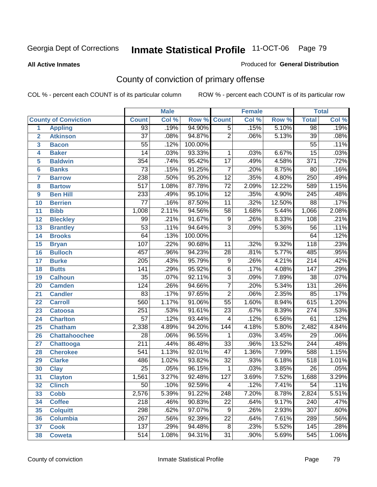#### **All Active Inmates**

#### Produced for **General Distribution**

# County of conviction of primary offense

|                         |                             |                  | <b>Male</b> |         |                  | <b>Female</b> |        |                  | <b>Total</b> |
|-------------------------|-----------------------------|------------------|-------------|---------|------------------|---------------|--------|------------------|--------------|
|                         | <b>County of Conviction</b> | <b>Count</b>     | Col %       | Row %   | <b>Count</b>     | Col %         | Row %  | <b>Total</b>     | Col %        |
| 1                       | <b>Appling</b>              | $\overline{93}$  | .19%        | 94.90%  | $\overline{5}$   | .15%          | 5.10%  | 98               | .19%         |
| $\overline{2}$          | <b>Atkinson</b>             | $\overline{37}$  | .08%        | 94.87%  | $\overline{2}$   | .06%          | 5.13%  | $\overline{39}$  | .08%         |
| $\overline{\mathbf{3}}$ | <b>Bacon</b>                | $\overline{55}$  | .12%        | 100.00% |                  |               |        | $\overline{55}$  | .11%         |
| 4                       | <b>Baker</b>                | $\overline{14}$  | .03%        | 93.33%  | 1                | .03%          | 6.67%  | $\overline{15}$  | .03%         |
| 5                       | <b>Baldwin</b>              | 354              | .74%        | 95.42%  | $\overline{17}$  | .49%          | 4.58%  | $\overline{371}$ | .72%         |
| 6                       | <b>Banks</b>                | $\overline{73}$  | .15%        | 91.25%  | $\overline{7}$   | .20%          | 8.75%  | 80               | .16%         |
| $\overline{\mathbf{7}}$ | <b>Barrow</b>               | 238              | .50%        | 95.20%  | $\overline{12}$  | .35%          | 4.80%  | $\overline{250}$ | .49%         |
| 8                       | <b>Bartow</b>               | $\overline{517}$ | 1.08%       | 87.78%  | $\overline{72}$  | 2.09%         | 12.22% | 589              | 1.15%        |
| 9                       | <b>Ben Hill</b>             | 233              | .49%        | 95.10%  | $\overline{12}$  | .35%          | 4.90%  | $\overline{245}$ | .48%         |
| 10                      | <b>Berrien</b>              | $\overline{77}$  | .16%        | 87.50%  | $\overline{11}$  | .32%          | 12.50% | $\overline{88}$  | .17%         |
| 11                      | <b>Bibb</b>                 | 1,008            | 2.11%       | 94.56%  | $\overline{58}$  | 1.68%         | 5.44%  | 1,066            | 2.08%        |
| 12                      | <b>Bleckley</b>             | $\overline{99}$  | .21%        | 91.67%  | $\overline{9}$   | .26%          | 8.33%  | 108              | .21%         |
| $\overline{13}$         | <b>Brantley</b>             | $\overline{53}$  | .11%        | 94.64%  | $\overline{3}$   | .09%          | 5.36%  | 56               | .11%         |
| $\overline{14}$         | <b>Brooks</b>               | 64               | .13%        | 100.00% |                  |               |        | 64               | .12%         |
| 15                      | <b>Bryan</b>                | 107              | .22%        | 90.68%  | $\overline{11}$  | .32%          | 9.32%  | 118              | .23%         |
| 16                      | <b>Bulloch</b>              | 457              | .96%        | 94.23%  | 28               | .81%          | 5.77%  | 485              | .95%         |
| $\overline{17}$         | <b>Burke</b>                | $\overline{205}$ | .43%        | 95.79%  | $\overline{9}$   | .26%          | 4.21%  | $\overline{214}$ | .42%         |
| 18                      | <b>Butts</b>                | 141              | .29%        | 95.92%  | $\overline{6}$   | .17%          | 4.08%  | $\overline{147}$ | .29%         |
| 19                      | <b>Calhoun</b>              | $\overline{35}$  | .07%        | 92.11%  | $\overline{3}$   | .09%          | 7.89%  | $\overline{38}$  | .07%         |
| 20                      | <b>Camden</b>               | $\overline{124}$ | .26%        | 94.66%  | $\overline{7}$   | .20%          | 5.34%  | $\overline{131}$ | .26%         |
| 21                      | <b>Candler</b>              | 83               | .17%        | 97.65%  | $\overline{2}$   | .06%          | 2.35%  | 85               | .17%         |
| $\overline{22}$         | <b>Carroll</b>              | 560              | 1.17%       | 91.06%  | $\overline{55}$  | 1.60%         | 8.94%  | 615              | 1.20%        |
| 23                      | <b>Catoosa</b>              | $\overline{251}$ | .53%        | 91.61%  | $\overline{23}$  | .67%          | 8.39%  | $\overline{274}$ | .53%         |
| 24                      | <b>Charlton</b>             | $\overline{57}$  | .12%        | 93.44%  | $\overline{4}$   | .12%          | 6.56%  | 61               | .12%         |
| 25                      | <b>Chatham</b>              | 2,338            | 4.89%       | 94.20%  | $\overline{144}$ | 4.18%         | 5.80%  | 2,482            | 4.84%        |
| 26                      | <b>Chattahoochee</b>        | $\overline{28}$  | .06%        | 96.55%  | 1                | .03%          | 3.45%  | $\overline{29}$  | .06%         |
| 27                      | <b>Chattooga</b>            | $\overline{211}$ | .44%        | 86.48%  | $\overline{33}$  | .96%          | 13.52% | $\overline{244}$ | .48%         |
| 28                      | <b>Cherokee</b>             | $\overline{541}$ | 1.13%       | 92.01%  | $\overline{47}$  | 1.36%         | 7.99%  | 588              | 1.15%        |
| 29                      | <b>Clarke</b>               | 486              | 1.02%       | 93.82%  | $\overline{32}$  | .93%          | 6.18%  | 518              | 1.01%        |
| 30                      | <b>Clay</b>                 | $\overline{25}$  | .05%        | 96.15%  | 1                | .03%          | 3.85%  | $\overline{26}$  | .05%         |
| $\overline{31}$         | <b>Clayton</b>              | 1,561            | 3.27%       | 92.48%  | 127              | 3.69%         | 7.52%  | 1,688            | 3.29%        |
| 32                      | <b>Clinch</b>               | 50               | .10%        | 92.59%  | 4                | .12%          | 7.41%  | 54               | .11%         |
| 33                      | <b>Cobb</b>                 | 2,576            | 5.39%       | 91.22%  | 248              | 7.20%         | 8.78%  | 2,824            | 5.51%        |
| 34                      | <b>Coffee</b>               | $\overline{218}$ | .46%        | 90.83%  | $\overline{22}$  | .64%          | 9.17%  | $\overline{240}$ | .47%         |
| 35                      | <b>Colquitt</b>             | 298              | .62%        | 97.07%  | 9                | .26%          | 2.93%  | $\overline{307}$ | .60%         |
| 36                      | <b>Columbia</b>             | $\overline{267}$ | .56%        | 92.39%  | $\overline{22}$  | .64%          | 7.61%  | 289              | .56%         |
| 37                      | <b>Cook</b>                 | 137              | .29%        | 94.48%  | 8                | .23%          | 5.52%  | 145              | .28%         |
| 38                      | <b>Coweta</b>               | $\overline{514}$ | 1.08%       | 94.31%  | $\overline{31}$  | $.90\%$       | 5.69%  | 545              | 1.06%        |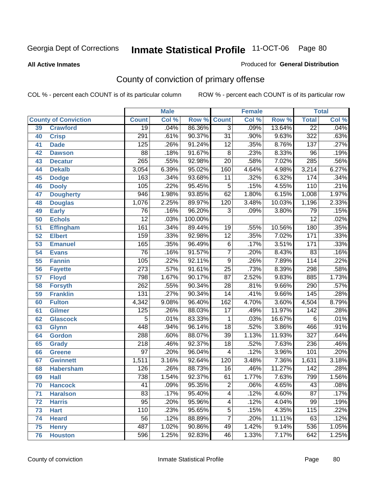#### **All Active Inmates**

#### Produced for **General Distribution**

# County of conviction of primary offense

|                 |                             |                  | <b>Male</b> |         | <b>Female</b>    |       |        |                  | <b>Total</b> |
|-----------------|-----------------------------|------------------|-------------|---------|------------------|-------|--------|------------------|--------------|
|                 | <b>County of Conviction</b> | <b>Count</b>     | Col %       | Row %   | <b>Count</b>     | Col % | Row %  | <b>Total</b>     | Col %        |
| 39              | <b>Crawford</b>             | $\overline{19}$  | .04%        | 86.36%  | $\overline{3}$   | .09%  | 13.64% | $\overline{22}$  | .04%         |
| 40              | <b>Crisp</b>                | 291              | .61%        | 90.37%  | $\overline{31}$  | .90%  | 9.63%  | $\overline{322}$ | .63%         |
| 41              | <b>Dade</b>                 | 125              | .26%        | 91.24%  | $\overline{12}$  | .35%  | 8.76%  | 137              | .27%         |
| 42              | <b>Dawson</b>               | $\overline{88}$  | .18%        | 91.67%  | $\overline{8}$   | .23%  | 8.33%  | $\overline{96}$  | .19%         |
| 43              | <b>Decatur</b>              | $\overline{265}$ | .55%        | 92.98%  | $\overline{20}$  | .58%  | 7.02%  | 285              | .56%         |
| 44              | <b>Dekalb</b>               | 3,054            | 6.39%       | 95.02%  | 160              | 4.64% | 4.98%  | 3,214            | 6.27%        |
| 45              | <b>Dodge</b>                | 163              | .34%        | 93.68%  | 11               | .32%  | 6.32%  | 174              | .34%         |
| 46              | <b>Dooly</b>                | 105              | .22%        | 95.45%  | $\overline{5}$   | .15%  | 4.55%  | 110              | .21%         |
| 47              | <b>Dougherty</b>            | $\overline{946}$ | 1.98%       | 93.85%  | 62               | 1.80% | 6.15%  | 1,008            | 1.97%        |
| 48              | <b>Douglas</b>              | 1,076            | 2.25%       | 89.97%  | 120              | 3.48% | 10.03% | 1,196            | 2.33%        |
| 49              | <b>Early</b>                | 76               | .16%        | 96.20%  | 3                | .09%  | 3.80%  | 79               | .15%         |
| 50              | <b>Echols</b>               | $\overline{12}$  | .03%        | 100.00% |                  |       |        | $\overline{12}$  | .02%         |
| $\overline{51}$ | <b>Effingham</b>            | 161              | .34%        | 89.44%  | 19               | .55%  | 10.56% | 180              | .35%         |
| 52              | <b>Elbert</b>               | 159              | .33%        | 92.98%  | $\overline{12}$  | .35%  | 7.02%  | 171              | .33%         |
| 53              | <b>Emanuel</b>              | 165              | .35%        | 96.49%  | $\overline{6}$   | .17%  | 3.51%  | 171              | .33%         |
| $\overline{54}$ | <b>Evans</b>                | $\overline{76}$  | .16%        | 91.57%  | $\overline{7}$   | .20%  | 8.43%  | 83               | .16%         |
| 55              | <b>Fannin</b>               | 105              | .22%        | 92.11%  | $\overline{9}$   | .26%  | 7.89%  | 114              | .22%         |
| 56              | <b>Fayette</b>              | $\overline{273}$ | .57%        | 91.61%  | $\overline{25}$  | .73%  | 8.39%  | 298              | .58%         |
| 57              | <b>Floyd</b>                | 798              | 1.67%       | 90.17%  | $\overline{87}$  | 2.52% | 9.83%  | 885              | 1.73%        |
| 58              | <b>Forsyth</b>              | $\overline{262}$ | .55%        | 90.34%  | $\overline{28}$  | .81%  | 9.66%  | $\overline{290}$ | .57%         |
| 59              | <b>Franklin</b>             | 131              | .27%        | 90.34%  | $\overline{14}$  | .41%  | 9.66%  | $\overline{145}$ | .28%         |
| 60              | <b>Fulton</b>               | 4,342            | 9.08%       | 96.40%  | $\overline{162}$ | 4.70% | 3.60%  | 4,504            | 8.79%        |
| 61              | Gilmer                      | $\overline{125}$ | .26%        | 88.03%  | $\overline{17}$  | .49%  | 11.97% | $\overline{142}$ | .28%         |
| 62              | <b>Glascock</b>             | $\overline{5}$   | .01%        | 83.33%  | $\mathbf{1}$     | .03%  | 16.67% | $\overline{6}$   | .01%         |
| 63              | <b>Glynn</b>                | 448              | .94%        | 96.14%  | $\overline{18}$  | .52%  | 3.86%  | 466              | .91%         |
| 64              | <b>Gordon</b>               | 288              | .60%        | 88.07%  | $\overline{39}$  | 1.13% | 11.93% | $\overline{327}$ | .64%         |
| 65              | <b>Grady</b>                | $\overline{218}$ | .46%        | 92.37%  | $\overline{18}$  | .52%  | 7.63%  | 236              | .46%         |
| 66              | <b>Greene</b>               | $\overline{97}$  | .20%        | 96.04%  | 4                | .12%  | 3.96%  | 101              | .20%         |
| 67              | <b>Gwinnett</b>             | 1,511            | 3.16%       | 92.64%  | 120              | 3.48% | 7.36%  | 1,631            | 3.18%        |
| 68              | <b>Habersham</b>            | 126              | .26%        | 88.73%  | 16               | .46%  | 11.27% | $\overline{142}$ | .28%         |
| 69              | <b>Hall</b>                 | 738              | 1.54%       | 92.37%  | 61               | 1.77% | 7.63%  | 799              | 1.56%        |
| 70              | <b>Hancock</b>              | 41               | .09%        | 95.35%  | 2                | .06%  | 4.65%  | 43               | .08%         |
| 71              | <b>Haralson</b>             | 83               | .17%        | 95.40%  | 4                | .12%  | 4.60%  | $\overline{87}$  | .17%         |
| 72              | <b>Harris</b>               | $\overline{95}$  | .20%        | 95.96%  | $\overline{4}$   | .12%  | 4.04%  | 99               | .19%         |
| 73              | <b>Hart</b>                 | 110              | .23%        | 95.65%  | $\overline{5}$   | .15%  | 4.35%  | 115              | .22%         |
| 74              | <b>Heard</b>                | $\overline{56}$  | .12%        | 88.89%  | $\overline{7}$   | .20%  | 11.11% | 63               | .12%         |
| 75              | <b>Henry</b>                | 487              | 1.02%       | 90.86%  | 49               | 1.42% | 9.14%  | 536              | 1.05%        |
| 76              | <b>Houston</b>              | 596              | 1.25%       | 92.83%  | 46               | 1.33% | 7.17%  | 642              | 1.25%        |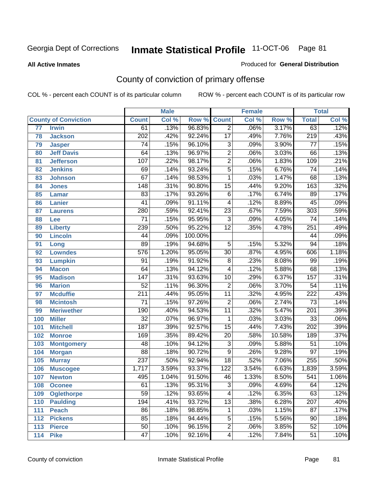#### **All Active Inmates**

#### Produced for **General Distribution**

# County of conviction of primary offense

|                 |                             |                  | <b>Male</b> |         |                  | <b>Female</b> |                  |                  | <b>Total</b>               |
|-----------------|-----------------------------|------------------|-------------|---------|------------------|---------------|------------------|------------------|----------------------------|
|                 | <b>County of Conviction</b> | <b>Count</b>     | Col %       | Row %   | <b>Count</b>     | Col %         | Row <sup>%</sup> | <b>Total</b>     | $\overline{\text{Col }\%}$ |
| $\overline{77}$ | <b>Irwin</b>                | 61               | .13%        | 96.83%  | $\overline{2}$   | .06%          | 3.17%            | 63               | .12%                       |
| 78              | <b>Jackson</b>              | $\overline{202}$ | .42%        | 92.24%  | $\overline{17}$  | .49%          | 7.76%            | $\overline{219}$ | .43%                       |
| 79              | <b>Jasper</b>               | 74               | .15%        | 96.10%  | $\overline{3}$   | .09%          | 3.90%            | $\overline{77}$  | .15%                       |
| 80              | <b>Jeff Davis</b>           | 64               | .13%        | 96.97%  | $\overline{2}$   | .06%          | 3.03%            | 66               | .13%                       |
| 81              | <b>Jefferson</b>            | 107              | .22%        | 98.17%  | $\overline{2}$   | .06%          | 1.83%            | 109              | .21%                       |
| 82              | <b>Jenkins</b>              | 69               | .14%        | 93.24%  | $\overline{5}$   | .15%          | 6.76%            | $\overline{74}$  | .14%                       |
| 83              | <b>Johnson</b>              | 67               | .14%        | 98.53%  | $\mathbf{1}$     | .03%          | 1.47%            | 68               | .13%                       |
| 84              | <b>Jones</b>                | $\overline{148}$ | .31%        | 90.80%  | $\overline{15}$  | .44%          | 9.20%            | 163              | .32%                       |
| 85              | <b>Lamar</b>                | 83               | .17%        | 93.26%  | $\overline{6}$   | .17%          | 6.74%            | 89               | .17%                       |
| 86              | <b>Lanier</b>               | $\overline{41}$  | .09%        | 91.11%  | $\overline{4}$   | .12%          | 8.89%            | $\overline{45}$  | .09%                       |
| 87              | <b>Laurens</b>              | 280              | .59%        | 92.41%  | $\overline{23}$  | .67%          | 7.59%            | $\overline{303}$ | .59%                       |
| 88              | Lee                         | $\overline{71}$  | .15%        | 95.95%  | $\overline{3}$   | .09%          | 4.05%            | $\overline{74}$  | .14%                       |
| 89              | <b>Liberty</b>              | 239              | .50%        | 95.22%  | $\overline{12}$  | .35%          | 4.78%            | $\overline{251}$ | .49%                       |
| 90              | <b>Lincoln</b>              | $\overline{44}$  | .09%        | 100.00% |                  |               |                  | 44               | .09%                       |
| 91              | Long                        | 89               | .19%        | 94.68%  | $\overline{5}$   | .15%          | 5.32%            | $\overline{94}$  | .18%                       |
| 92              | <b>Lowndes</b>              | $\overline{576}$ | 1.20%       | 95.05%  | $\overline{30}$  | .87%          | 4.95%            | 606              | 1.18%                      |
| 93              | <b>Lumpkin</b>              | $\overline{91}$  | .19%        | 91.92%  | $\overline{8}$   | .23%          | 8.08%            | 99               | .19%                       |
| 94              | <b>Macon</b>                | 64               | .13%        | 94.12%  | $\overline{4}$   | .12%          | 5.88%            | 68               | .13%                       |
| 95              | <b>Madison</b>              | 147              | .31%        | 93.63%  | 10               | .29%          | 6.37%            | 157              | .31%                       |
| 96              | <b>Marion</b>               | $\overline{52}$  | .11%        | 96.30%  | $\overline{2}$   | .06%          | 3.70%            | $\overline{54}$  | .11%                       |
| 97              | <b>Mcduffie</b>             | $\overline{211}$ | .44%        | 95.05%  | $\overline{11}$  | .32%          | 4.95%            | $\overline{222}$ | .43%                       |
| 98              | <b>Mcintosh</b>             | $\overline{71}$  | .15%        | 97.26%  | $\overline{2}$   | .06%          | 2.74%            | $\overline{73}$  | .14%                       |
| 99              | <b>Meriwether</b>           | 190              | .40%        | 94.53%  | $\overline{11}$  | .32%          | 5.47%            | $\overline{201}$ | .39%                       |
| 100             | <b>Miller</b>               | $\overline{32}$  | .07%        | 96.97%  | $\mathbf{1}$     | .03%          | 3.03%            | $\overline{33}$  | .06%                       |
| 101             | <b>Mitchell</b>             | 187              | .39%        | 92.57%  | $\overline{15}$  | .44%          | 7.43%            | $\overline{202}$ | .39%                       |
| 102             | <b>Monroe</b>               | 169              | .35%        | 89.42%  | $\overline{20}$  | .58%          | 10.58%           | 189              | .37%                       |
| 103             | <b>Montgomery</b>           | 48               | .10%        | 94.12%  | $\overline{3}$   | .09%          | 5.88%            | $\overline{51}$  | .10%                       |
| 104             | <b>Morgan</b>               | $\overline{88}$  | .18%        | 90.72%  | $\overline{9}$   | .26%          | 9.28%            | $\overline{97}$  | .19%                       |
| 105             | <b>Murray</b>               | 237              | .50%        | 92.94%  | $\overline{18}$  | .52%          | 7.06%            | 255              | .50%                       |
| 106             | <b>Muscogee</b>             | 1,717            | 3.59%       | 93.37%  | $\overline{122}$ | 3.54%         | 6.63%            | 1,839            | 3.59%                      |
| 107             | <b>Newton</b>               | 495              | 1.04%       | 91.50%  | 46               | 1.33%         | 8.50%            | 541              | 1.06%                      |
| 108             | <b>Oconee</b>               | 61               | .13%        | 95.31%  | 3                | .09%          | 4.69%            | 64               | .12%                       |
| 109             | <b>Oglethorpe</b>           | $\overline{59}$  | .12%        | 93.65%  | 4                | .12%          | 6.35%            | 63               | .12%                       |
| 110             | <b>Paulding</b>             | 194              | .41%        | 93.72%  | $\overline{13}$  | .38%          | 6.28%            | $\overline{207}$ | .40%                       |
| 111             | <b>Peach</b>                | 86               | .18%        | 98.85%  | 1                | .03%          | 1.15%            | 87               | .17%                       |
| 112             | <b>Pickens</b>              | 85               | .18%        | 94.44%  | $\overline{5}$   | .15%          | 5.56%            | 90               | .18%                       |
| 113             | <b>Pierce</b>               | $\overline{50}$  | .10%        | 96.15%  | $\overline{2}$   | .06%          | 3.85%            | $\overline{52}$  | .10%                       |
| 114             | <b>Pike</b>                 | $\overline{47}$  | .10%        | 92.16%  | $\overline{4}$   | .12%          | 7.84%            | $\overline{51}$  | .10%                       |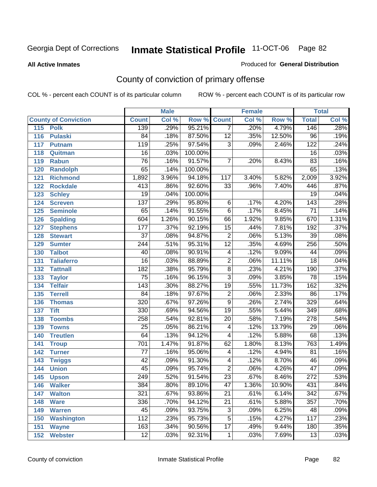#### **All Active Inmates**

#### Produced for **General Distribution**

# County of conviction of primary offense

|                             |                  | <b>Male</b> |         | <b>Female</b>            |       |        |                  | <b>Total</b> |
|-----------------------------|------------------|-------------|---------|--------------------------|-------|--------|------------------|--------------|
| <b>County of Conviction</b> | <b>Count</b>     | Col %       | Row %   | <b>Count</b>             | Col % | Row %  | <b>Total</b>     | Col %        |
| 115<br><b>Polk</b>          | 139              | .29%        | 95.21%  | $\overline{7}$           | .20%  | 4.79%  | 146              | .28%         |
| <b>Pulaski</b><br>116       | $\overline{84}$  | .18%        | 87.50%  | $\overline{12}$          | .35%  | 12.50% | $\overline{96}$  | .19%         |
| 117<br><b>Putnam</b>        | $\overline{119}$ | .25%        | 97.54%  | $\overline{3}$           | .09%  | 2.46%  | 122              | .24%         |
| 118<br>Quitman              | $\overline{16}$  | .03%        | 100.00% |                          |       |        | $\overline{16}$  | .03%         |
| 119<br><b>Rabun</b>         | $\overline{76}$  | .16%        | 91.57%  | $\overline{7}$           | .20%  | 8.43%  | 83               | .16%         |
| 120<br><b>Randolph</b>      | 65               | .14%        | 100.00% |                          |       |        | 65               | .13%         |
| <b>Richmond</b><br>121      | 1,892            | 3.96%       | 94.18%  | 117                      | 3.40% | 5.82%  | 2,009            | 3.92%        |
| 122<br><b>Rockdale</b>      | $\overline{413}$ | .86%        | 92.60%  | $\overline{33}$          | .96%  | 7.40%  | 446              | .87%         |
| 123<br><b>Schley</b>        | $\overline{19}$  | .04%        | 100.00% |                          |       |        | $\overline{19}$  | .04%         |
| 124<br><b>Screven</b>       | 137              | .29%        | 95.80%  | 6                        | .17%  | 4.20%  | $\overline{143}$ | .28%         |
| 125<br><b>Seminole</b>      | 65               | .14%        | 91.55%  | $\overline{6}$           | .17%  | 8.45%  | $\overline{71}$  | .14%         |
| <b>Spalding</b><br>126      | 604              | 1.26%       | 90.15%  | 66                       | 1.92% | 9.85%  | 670              | 1.31%        |
| 127<br><b>Stephens</b>      | $\overline{177}$ | .37%        | 92.19%  | $\overline{15}$          | .44%  | 7.81%  | 192              | .37%         |
| 128<br><b>Stewart</b>       | $\overline{37}$  | .08%        | 94.87%  | $\overline{2}$           | .06%  | 5.13%  | $\overline{39}$  | .08%         |
| 129<br><b>Sumter</b>        | 244              | .51%        | 95.31%  | $\overline{12}$          | .35%  | 4.69%  | 256              | .50%         |
| <b>Talbot</b><br>130        | 40               | .08%        | 90.91%  | $\overline{\mathbf{4}}$  | .12%  | 9.09%  | 44               | .09%         |
| 131<br><b>Taliaferro</b>    | $\overline{16}$  | .03%        | 88.89%  | $\overline{2}$           | .06%  | 11.11% | $\overline{18}$  | .04%         |
| 132<br><b>Tattnall</b>      | $\overline{182}$ | .38%        | 95.79%  | $\overline{8}$           | .23%  | 4.21%  | 190              | .37%         |
| 133<br><b>Taylor</b>        | $\overline{75}$  | .16%        | 96.15%  | $\overline{3}$           | .09%  | 3.85%  | $\overline{78}$  | .15%         |
| <b>Telfair</b><br>134       | $\overline{143}$ | .30%        | 88.27%  | $\overline{19}$          | .55%  | 11.73% | 162              | .32%         |
| 135<br><b>Terrell</b>       | $\overline{84}$  | .18%        | 97.67%  | $\overline{2}$           | .06%  | 2.33%  | $\overline{86}$  | .17%         |
| 136<br><b>Thomas</b>        | $\overline{320}$ | .67%        | 97.26%  | $\overline{9}$           | .26%  | 2.74%  | 329              | .64%         |
| 137<br><b>Tift</b>          | 330              | .69%        | 94.56%  | $\overline{19}$          | .55%  | 5.44%  | 349              | .68%         |
| <b>Toombs</b><br>138        | 258              | .54%        | 92.81%  | $\overline{20}$          | .58%  | 7.19%  | $\overline{278}$ | .54%         |
| 139<br><b>Towns</b>         | $\overline{25}$  | .05%        | 86.21%  | $\overline{\mathcal{A}}$ | .12%  | 13.79% | $\overline{29}$  | .06%         |
| 140<br><b>Treutlen</b>      | 64               | .13%        | 94.12%  | $\overline{\mathcal{A}}$ | .12%  | 5.88%  | 68               | .13%         |
| 141<br><b>Troup</b>         | 701              | 1.47%       | 91.87%  | 62                       | 1.80% | 8.13%  | 763              | 1.49%        |
| 142<br><b>Turner</b>        | $\overline{77}$  | .16%        | 95.06%  | $\overline{\mathcal{A}}$ | .12%  | 4.94%  | $\overline{81}$  | .16%         |
| 143<br><b>Twiggs</b>        | $\overline{42}$  | .09%        | 91.30%  | $\overline{\mathcal{A}}$ | .12%  | 8.70%  | 46               | .09%         |
| 144<br><b>Union</b>         | $\overline{45}$  | .09%        | 95.74%  | $\overline{2}$           | .06%  | 4.26%  | $\overline{47}$  | .09%         |
| 145<br><b>Upson</b>         | 249              | .52%        | 91.54%  | $\overline{23}$          | .67%  | 8.46%  | $\overline{272}$ | .53%         |
| 146<br><b>Walker</b>        | 384              | .80%        | 89.10%  | 47                       | 1.36% | 10.90% | 431              | .84%         |
| <b>Walton</b><br>147        | $\overline{321}$ | .67%        | 93.86%  | $\overline{21}$          | .61%  | 6.14%  | $\overline{342}$ | .67%         |
| <b>Ware</b><br>148          | 336              | .70%        | 94.12%  | $\overline{21}$          | .61%  | 5.88%  | 357              | .70%         |
| <b>Warren</b><br>149        | 45               | .09%        | 93.75%  | $\overline{3}$           | .09%  | 6.25%  | 48               | .09%         |
| <b>Washington</b><br>150    | $\overline{112}$ | .23%        | 95.73%  | $\overline{5}$           | .15%  | 4.27%  | 117              | .23%         |
| 151<br><b>Wayne</b>         | 163              | .34%        | 90.56%  | $\overline{17}$          | .49%  | 9.44%  | 180              | .35%         |
| 152<br><b>Webster</b>       | $\overline{12}$  | .03%        | 92.31%  | $\mathbf{1}$             | .03%  | 7.69%  | $\overline{13}$  | .03%         |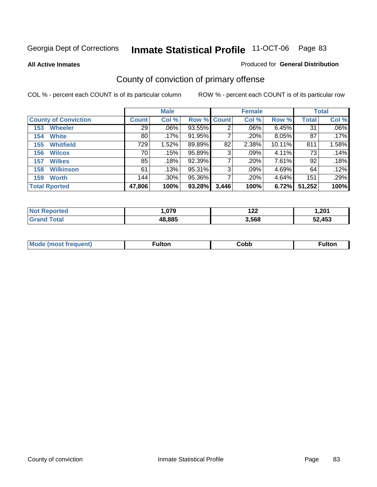**All Active Inmates**

#### Produced for **General Distribution**

# County of conviction of primary offense

|                             |              | <b>Male</b> |             |       | <b>Female</b> |          |              | <b>Total</b> |
|-----------------------------|--------------|-------------|-------------|-------|---------------|----------|--------------|--------------|
| <b>County of Conviction</b> | <b>Count</b> | Col %       | Row % Count |       | Col %         | Row %    | <b>Total</b> | Col %        |
| <b>Wheeler</b><br>153       | 29           | $.06\%$     | 93.55%      | 2     | .06%          | $6.45\%$ | 31           | $.06\%$      |
| <b>White</b><br>154         | 80           | .17%        | 91.95%      |       | .20%          | 8.05%    | 87           | .17%         |
| <b>Whitfield</b><br>155     | 729          | 1.52%       | 89.89%      | 82    | 2.38%         | 10.11%   | 811          | 1.58%        |
| <b>Wilcox</b><br>156        | 70           | .15%        | 95.89%      | 3     | $.09\%$       | 4.11%    | 73           | .14%         |
| <b>Wilkes</b><br>157        | 85           | .18%        | 92.39%      |       | .20%          | 7.61%    | 92           | .18%         |
| <b>Wilkinson</b><br>158     | 61           | .13%        | 95.31%      | 3     | .09%          | 4.69%    | 64           | $.12\%$      |
| <b>Worth</b><br>159         | 144          | $.30\%$     | 95.36%      |       | .20%          | 4.64%    | 151          | .29%         |
| <b>Total Rported</b>        | 47,806       | 100%        | 93.28%      | 3,446 | 100%          | 6.72%    | 51,252       | 100%         |

| тео | 070    | . הי  | .201   |
|-----|--------|-------|--------|
| NI. | .v/ 3  | 1 L L |        |
|     | 48.885 | 3.568 | 52.453 |

| <b>Mo</b><br>uenti<br>. | ∙ulton<br>____ | Cobb | <b>ultor</b> |
|-------------------------|----------------|------|--------------|
|                         |                |      |              |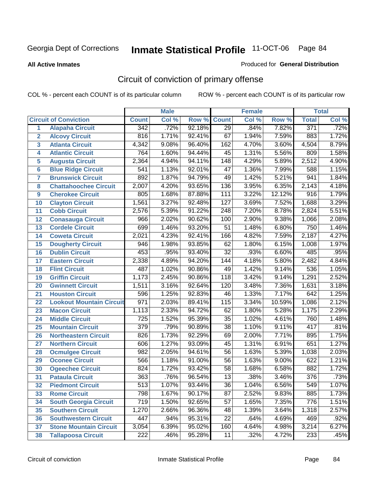**All Active Inmates**

#### Produced for **General Distribution**

# Circuit of conviction of primary offense

|                         |                                 |                  | <b>Male</b> |        |                  | <b>Female</b> |        |                  | <b>Total</b> |
|-------------------------|---------------------------------|------------------|-------------|--------|------------------|---------------|--------|------------------|--------------|
|                         | <b>Circuit of Conviction</b>    | <b>Count</b>     | Col %       | Row %  | <b>Count</b>     | Col %         | Row %  | <b>Total</b>     | Col %        |
| 1                       | <b>Alapaha Circuit</b>          | 342              | .72%        | 92.18% | $\overline{29}$  | .84%          | 7.82%  | 371              | .72%         |
| $\overline{2}$          | <b>Alcovy Circuit</b>           | 816              | 1.71%       | 92.41% | 67               | 1.94%         | 7.59%  | 883              | 1.72%        |
| $\overline{\mathbf{3}}$ | <b>Atlanta Circuit</b>          | 4,342            | 9.08%       | 96.40% | 162              | 4.70%         | 3.60%  | 4,504            | 8.79%        |
| 4                       | <b>Atlantic Circuit</b>         | 764              | 1.60%       | 94.44% | 45               | 1.31%         | 5.56%  | 809              | 1.58%        |
| 5                       | <b>Augusta Circuit</b>          | 2,364            | 4.94%       | 94.11% | $\overline{148}$ | 4.29%         | 5.89%  | 2,512            | 4.90%        |
| $6\phantom{a}$          | <b>Blue Ridge Circuit</b>       | 541              | 1.13%       | 92.01% | $\overline{47}$  | 1.36%         | 7.99%  | 588              | 1.15%        |
| $\overline{\mathbf{7}}$ | <b>Brunswick Circuit</b>        | 892              | 1.87%       | 94.79% | 49               | 1.42%         | 5.21%  | 941              | 1.84%        |
| 8                       | <b>Chattahoochee Circuit</b>    | 2,007            | 4.20%       | 93.65% | 136              | 3.95%         | 6.35%  | 2,143            | 4.18%        |
| 9                       | <b>Cherokee Circuit</b>         | 805              | 1.68%       | 87.88% | 111              | 3.22%         | 12.12% | $\overline{916}$ | 1.79%        |
| 10                      | <b>Clayton Circuit</b>          | 1,561            | 3.27%       | 92.48% | $\overline{127}$ | 3.69%         | 7.52%  | 1,688            | 3.29%        |
| 11                      | <b>Cobb Circuit</b>             | 2,576            | 5.39%       | 91.22% | 248              | 7.20%         | 8.78%  | 2,824            | 5.51%        |
| 12                      | <b>Conasauga Circuit</b>        | 966              | 2.02%       | 90.62% | 100              | 2.90%         | 9.38%  | 1,066            | 2.08%        |
| 13                      | <b>Cordele Circuit</b>          | 699              | 1.46%       | 93.20% | $\overline{51}$  | 1.48%         | 6.80%  | 750              | 1.46%        |
| 14                      | <b>Coweta Circuit</b>           | 2,021            | 4.23%       | 92.41% | 166              | 4.82%         | 7.59%  | 2,187            | 4.27%        |
| 15                      | <b>Dougherty Circuit</b>        | 946              | 1.98%       | 93.85% | 62               | 1.80%         | 6.15%  | 1,008            | 1.97%        |
| 16                      | <b>Dublin Circuit</b>           | 453              | .95%        | 93.40% | $\overline{32}$  | .93%          | 6.60%  | 485              | .95%         |
| 17                      | <b>Eastern Circuit</b>          | 2,338            | 4.89%       | 94.20% | 144              | 4.18%         | 5.80%  | 2,482            | 4.84%        |
| 18                      | <b>Flint Circuit</b>            | 487              | 1.02%       | 90.86% | 49               | 1.42%         | 9.14%  | 536              | 1.05%        |
| 19                      | <b>Griffin Circuit</b>          | 1,173            | 2.45%       | 90.86% | 118              | 3.42%         | 9.14%  | 1,291            | 2.52%        |
| 20                      | <b>Gwinnett Circuit</b>         | 1,511            | 3.16%       | 92.64% | 120              | 3.48%         | 7.36%  | 1,631            | 3.18%        |
| 21                      | <b>Houston Circuit</b>          | 596              | 1.25%       | 92.83% | $\overline{46}$  | 1.33%         | 7.17%  | 642              | 1.25%        |
| $\overline{22}$         | <b>Lookout Mountain Circuit</b> | $\overline{971}$ | 2.03%       | 89.41% | 115              | 3.34%         | 10.59% | 1,086            | 2.12%        |
| 23                      | <b>Macon Circuit</b>            | 1,113            | 2.33%       | 94.72% | 62               | 1.80%         | 5.28%  | 1,175            | 2.29%        |
| 24                      | <b>Middle Circuit</b>           | $\overline{725}$ | 1.52%       | 95.39% | $\overline{35}$  | 1.02%         | 4.61%  | 760              | 1.48%        |
| 25                      | <b>Mountain Circuit</b>         | $\overline{379}$ | .79%        | 90.89% | $\overline{38}$  | 1.10%         | 9.11%  | 417              | .81%         |
| 26                      | <b>Northeastern Circuit</b>     | 826              | 1.73%       | 92.29% | 69               | 2.00%         | 7.71%  | 895              | 1.75%        |
| 27                      | <b>Northern Circuit</b>         | 606              | 1.27%       | 93.09% | 45               | 1.31%         | 6.91%  | 651              | 1.27%        |
| 28                      | <b>Ocmulgee Circuit</b>         | 982              | 2.05%       | 94.61% | $\overline{56}$  | 1.63%         | 5.39%  | 1,038            | 2.03%        |
| 29                      | <b>Oconee Circuit</b>           | 566              | 1.18%       | 91.00% | $\overline{56}$  | 1.63%         | 9.00%  | 622              | 1.21%        |
| 30                      | <b>Ogeechee Circuit</b>         | 824              | 1.72%       | 93.42% | $\overline{58}$  | 1.68%         | 6.58%  | 882              | 1.72%        |
| $\overline{31}$         | <b>Pataula Circuit</b>          | 363              | .76%        | 96.54% | $\overline{13}$  | .38%          | 3.46%  | 376              | .73%         |
| 32                      | <b>Piedmont Circuit</b>         | 513              | 1.07%       | 93.44% | 36               | 1.04%         | 6.56%  | 549              | $1.07\%$     |
| 33                      | <b>Rome Circuit</b>             | 798              | 1.67%       | 90.17% | $\overline{87}$  | 2.52%         | 9.83%  | 885              | 1.73%        |
| 34                      | <b>South Georgia Circuit</b>    | $\overline{719}$ | 1.50%       | 92.65% | $\overline{57}$  | 1.65%         | 7.35%  | 776              | 1.51%        |
| 35                      | <b>Southern Circuit</b>         | 1,270            | 2.66%       | 96.36% | 48               | 1.39%         | 3.64%  | 1,318            | 2.57%        |
| 36                      | <b>Southwestern Circuit</b>     | 447              | .94%        | 95.31% | 22               | .64%          | 4.69%  | 469              | .92%         |
| 37                      | <b>Stone Mountain Circuit</b>   | 3,054            | 6.39%       | 95.02% | 160              | 4.64%         | 4.98%  | 3,214            | 6.27%        |
| 38                      | <b>Tallapoosa Circuit</b>       | $\overline{222}$ | .46%        | 95.28% | 11               | .32%          | 4.72%  | 233              | .45%         |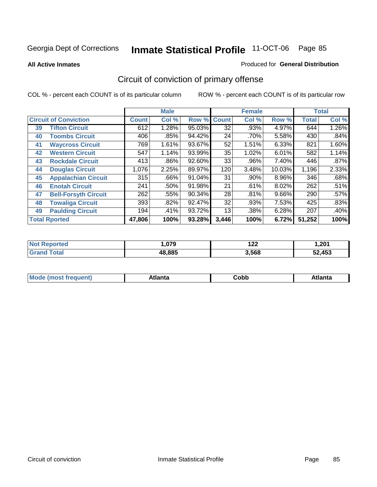**All Active Inmates**

#### Produced for **General Distribution**

# Circuit of conviction of primary offense

|    |                              |              | <b>Male</b> |        |              | <b>Female</b> |          |              | <b>Total</b> |
|----|------------------------------|--------------|-------------|--------|--------------|---------------|----------|--------------|--------------|
|    | <b>Circuit of Conviction</b> | <b>Count</b> | Col %       | Row %  | <b>Count</b> | Col %         | Row %    | <b>Total</b> | Col %        |
| 39 | <b>Tifton Circuit</b>        | 612          | 1.28%       | 95.03% | 32           | .93%          | 4.97%    | 644          | 1.26%        |
| 40 | <b>Toombs Circuit</b>        | 406          | .85%        | 94.42% | 24           | .70%          | 5.58%    | 430          | .84%         |
| 41 | <b>Waycross Circuit</b>      | 769          | 1.61%       | 93.67% | 52           | 1.51%         | 6.33%    | 821          | 1.60%        |
| 42 | <b>Western Circuit</b>       | 547          | 1.14%       | 93.99% | 35           | 1.02%         | 6.01%    | 582          | 1.14%        |
| 43 | <b>Rockdale Circuit</b>      | 413          | .86%        | 92.60% | 33           | .96%          | 7.40%    | 446          | .87%         |
| 44 | <b>Douglas Circuit</b>       | 1,076        | 2.25%       | 89.97% | 120          | 3.48%         | 10.03%   | 1,196        | 2.33%        |
| 45 | <b>Appalachian Circuit</b>   | 315          | $.66\%$     | 91.04% | 31           | .90%          | $8.96\%$ | 346          | .68%         |
| 46 | <b>Enotah Circuit</b>        | 241          | .50%        | 91.98% | 21           | .61%          | 8.02%    | 262          | .51%         |
| 47 | <b>Bell-Forsyth Circuit</b>  | 262          | .55%        | 90.34% | 28           | .81%          | $9.66\%$ | 290          | .57%         |
| 48 | <b>Towaliga Circuit</b>      | 393          | .82%        | 92.47% | 32           | .93%          | 7.53%    | 425          | .83%         |
| 49 | <b>Paulding Circuit</b>      | 194          | .41%        | 93.72% | 13           | .38%          | 6.28%    | 207          | .40%         |
|    | <b>Total Rported</b>         | 47,806       | 100%        | 93.28% | 3,446        | 100%          | 6.72%    | 51,252       | 100%         |

| тео | 070<br>.u / 9 | י הו<br>175 | ,201   |
|-----|---------------|-------------|--------|
|     | 48.885        | 3,568       | 52.453 |

| M, | $+1 - - + -$<br>annu -<br>uu | ∶obb<br>- - - - - | .<br>чна<br>- --------- |
|----|------------------------------|-------------------|-------------------------|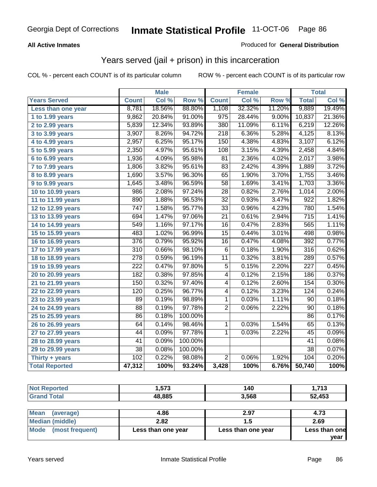#### **All Active Inmates**

#### Produced for **General Distribution**

### Years served (jail + prison) in this incarceration

|                              |                  | <b>Male</b> |         |                         | <b>Female</b> |                  |                  | <b>Total</b> |
|------------------------------|------------------|-------------|---------|-------------------------|---------------|------------------|------------------|--------------|
| <b>Years Served</b>          | <b>Count</b>     | Col %       | Row %   | <b>Count</b>            | Col %         | Row <sub>%</sub> | <b>Total</b>     | Col %        |
| Less than one year           | 8,781            | 18.56%      | 88.80%  | 1,108                   | 32.32%        | 11.20%           | 9,889            | 19.49%       |
| 1 to 1.99 years              | 9,862            | 20.84%      | 91.00%  | $\overline{975}$        | 28.44%        | 9.00%            | 10,837           | 21.36%       |
| 2 to 2.99 years              | 5,839            | 12.34%      | 93.89%  | 380                     | 11.09%        | 6.11%            | 6,219            | 12.26%       |
| 3 to 3.99 years              | 3,907            | 8.26%       | 94.72%  | $\overline{218}$        | 6.36%         | 5.28%            | 4,125            | 8.13%        |
| 4 to 4.99 years              | 2,957            | 6.25%       | 95.17%  | 150                     | 4.38%         | 4.83%            | 3,107            | 6.12%        |
| $\overline{5}$ to 5.99 years | 2,350            | 4.97%       | 95.61%  | 108                     | 3.15%         | 4.39%            | 2,458            | 4.84%        |
| 6 to 6.99 years              | 1,936            | 4.09%       | 95.98%  | $\overline{81}$         | 2.36%         | 4.02%            | 2,017            | 3.98%        |
| 7 to 7.99 years              | 1,806            | 3.82%       | 95.61%  | 83                      | 2.42%         | 4.39%            | 1,889            | 3.72%        |
| 8 to 8.99 years              | 1,690            | 3.57%       | 96.30%  | 65                      | 1.90%         | 3.70%            | 1,755            | 3.46%        |
| 9 to 9.99 years              | 1,645            | 3.48%       | 96.59%  | 58                      | 1.69%         | 3.41%            | 1,703            | 3.36%        |
| 10 to 10.99 years            | 986              | 2.08%       | 97.24%  | $\overline{28}$         | 0.82%         | 2.76%            | 1,014            | 2.00%        |
| 11 to 11.99 years            | 890              | 1.88%       | 96.53%  | 32                      | 0.93%         | 3.47%            | $\overline{922}$ | 1.82%        |
| 12 to 12.99 years            | $\overline{747}$ | 1.58%       | 95.77%  | $\overline{33}$         | 0.96%         | 4.23%            | 780              | 1.54%        |
| 13 to 13.99 years            | 694              | 1.47%       | 97.06%  | $\overline{21}$         | 0.61%         | 2.94%            | $\overline{715}$ | 1.41%        |
| 14 to 14.99 years            | 549              | 1.16%       | 97.17%  | 16                      | 0.47%         | 2.83%            | 565              | 1.11%        |
| 15 to 15.99 years            | 483              | 1.02%       | 96.99%  | $\overline{15}$         | 0.44%         | 3.01%            | 498              | 0.98%        |
| 16 to 16.99 years            | $\overline{376}$ | 0.79%       | 95.92%  | 16                      | 0.47%         | 4.08%            | 392              | 0.77%        |
| 17 to 17.99 years            | $\overline{310}$ | 0.66%       | 98.10%  | $\overline{6}$          | 0.18%         | 1.90%            | 316              | 0.62%        |
| 18 to 18.99 years            | $\overline{278}$ | 0.59%       | 96.19%  | $\overline{11}$         | 0.32%         | 3.81%            | 289              | 0.57%        |
| 19 to 19.99 years            | $\overline{222}$ | 0.47%       | 97.80%  | $\overline{5}$          | 0.15%         | 2.20%            | $\overline{227}$ | 0.45%        |
| 20 to 20.99 years            | 182              | 0.38%       | 97.85%  | $\overline{4}$          | 0.12%         | 2.15%            | 186              | 0.37%        |
| 21 to 21.99 years            | 150              | 0.32%       | 97.40%  | 4                       | 0.12%         | 2.60%            | 154              | 0.30%        |
| 22 to 22.99 years            | 120              | 0.25%       | 96.77%  | $\overline{\mathbf{4}}$ | 0.12%         | 3.23%            | 124              | 0.24%        |
| 23 to 23.99 years            | 89               | 0.19%       | 98.89%  | 1                       | 0.03%         | 1.11%            | 90               | 0.18%        |
| 24 to 24.99 years            | $\overline{88}$  | 0.19%       | 97.78%  | $\overline{2}$          | 0.06%         | 2.22%            | 90               | 0.18%        |
| 25 to 25.99 years            | 86               | 0.18%       | 100.00% |                         |               |                  | 86               | 0.17%        |
| 26 to 26.99 years            | 64               | 0.14%       | 98.46%  | $\mathbf{1}$            | 0.03%         | 1.54%            | 65               | 0.13%        |
| 27 to 27.99 years            | 44               | 0.09%       | 97.78%  | 1                       | 0.03%         | 2.22%            | 45               | 0.09%        |
| 28 to 28.99 years            | $\overline{41}$  | 0.09%       | 100.00% |                         |               |                  | $\overline{41}$  | 0.08%        |
| 29 to 29.99 years            | $\overline{38}$  | 0.08%       | 100.00% |                         |               |                  | $\overline{38}$  | 0.07%        |
| Thirty + years               | 102              | 0.22%       | 98.08%  | $\overline{2}$          | 0.06%         | 1.92%            | 104              | 0.20%        |
| <b>Total Reported</b>        | 47,312           | 100%        | 93.24%  | 3,428                   | 100%          | 6.76%            | 50,740           | 100%         |

| <b>Not Reported</b> | 1,573  | 140           | 1,713        |
|---------------------|--------|---------------|--------------|
| <b>Grand Total</b>  | 48,885 | 3,568         | 52,453       |
| $\sim$ $\sim$       | $\sim$ | $\sim$ $\sim$ | $\mathbf{A}$ |

| l Mean<br>(average)  | 4.86               | 2.97               | 4.73          |
|----------------------|--------------------|--------------------|---------------|
| Median (middle)      | 2.82               |                    | 2.69          |
| Mode (most frequent) | Less than one year | Less than one year | Less than one |
|                      |                    |                    | vear          |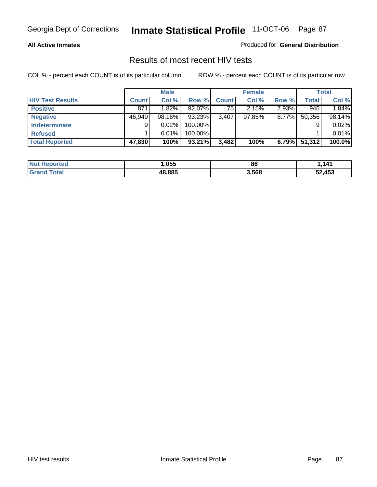#### **All Active Inmates**

Produced for **General Distribution**

### Results of most recent HIV tests

|                         |              | <b>Male</b> |         |              | <b>Female</b> |          |              | <b>Total</b> |
|-------------------------|--------------|-------------|---------|--------------|---------------|----------|--------------|--------------|
| <b>HIV Test Results</b> | <b>Count</b> | Col %       | Row %   | <b>Count</b> | Col %         | Row %    | <b>Total</b> | Col %        |
| <b>Positive</b>         | 871          | 1.82%       | 92.07%  | 75           | 2.15%         | 7.93%    | 946          | 1.84%        |
| <b>Negative</b>         | 46,949       | 98.16%      | 93.23%  | 3,407        | 97.85%        | $6.77\%$ | 50,356       | 98.14%       |
| Indeterminate           | 9            | 0.02%       | 100.00% |              |               |          |              | 0.02%        |
| <b>Refused</b>          |              | 0.01%       | 100.00% |              |               |          |              | 0.01%        |
| <b>Total Reported</b>   | 47,830       | 100%        | 93.21%  | 3,482        | 100%          | 6.79%    | 51,312       | 100.0%       |

| <b>Not Reported</b>    | ,055   | 86    | .141   |
|------------------------|--------|-------|--------|
| <b>∣Grand</b><br>Total | 48.885 | 3,568 | 52,453 |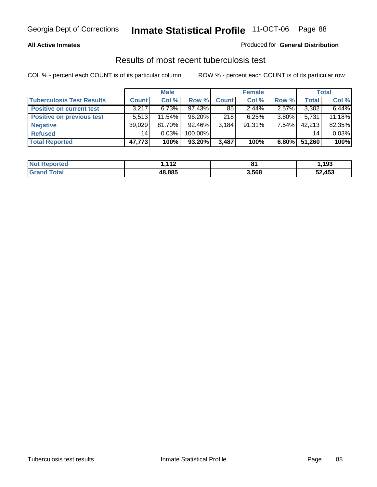#### **All Active Inmates**

#### Produced for **General Distribution**

### Results of most recent tuberculosis test

|                                  |              | <b>Male</b> |         |              | <b>Female</b> |          |              | <b>Total</b> |
|----------------------------------|--------------|-------------|---------|--------------|---------------|----------|--------------|--------------|
| <b>Tuberculosis Test Results</b> | <b>Count</b> | Col %       | Row %   | <b>Count</b> | Col %         | Row %    | <b>Total</b> | Col %        |
| <b>Positive on current test</b>  | 3,217        | 6.73%       | 97.43%  | 85           | 2.44%         | 2.57%    | 3,302        | 6.44%        |
| <b>Positive on previous test</b> | 5.513        | $11.54\%$   | 96.20%  | 218          | 6.25%         | $3.80\%$ | 5,731        | 11.18%       |
| <b>Negative</b>                  | 39,029       | 81.70%      | 92.46%  | 3,184        | $91.31\%$     | 7.54%    | 42,213       | 82.35%       |
| <b>Refused</b>                   | 14           | 0.03%       | 100.00% |              |               |          | 14           | 0.03%        |
| <b>Total Reported</b>            | 47,773       | 100%        | 93.20%  | 3,487        | 100%          | $6.80\%$ | 51,260       | 100%         |

| <b>Not Reported</b> | 112<br>. . ∠ | $^{\circ}$<br>οı | .193.، |
|---------------------|--------------|------------------|--------|
| <b>Grand Total</b>  | 48.885       | 3,568            | 52,453 |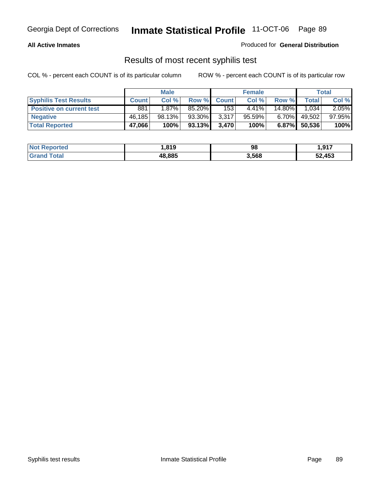#### **All Active Inmates**

Produced for **General Distribution**

### Results of most recent syphilis test

|                                 |              | <b>Male</b> |        |              | <b>Female</b> |           |        | Total  |
|---------------------------------|--------------|-------------|--------|--------------|---------------|-----------|--------|--------|
| <b>Syphilis Test Results</b>    | <b>Count</b> | Col %       | Row %  | <b>Count</b> | Col %         | Row %     | Total  | Col %  |
| <b>Positive on current test</b> | 881          | $1.87\%$    | 85.20% | 153          | $4.41\%$      | $14.80\%$ | 1.034  | 2.05%  |
| <b>Negative</b>                 | 46,185       | 98.13%      | 93.30% | 3,317        | 95.59%        | $6.70\%$  | 49,502 | 97.95% |
| <b>Total Reported</b>           | 47,066       | 100%        | 93.13% | 3,470        | 100%          | $6.87\%$  | 50,536 | 100%   |

| <b>Not Reported</b> | 819، ا | 98    | 1,917  |
|---------------------|--------|-------|--------|
| <b>Grand Total</b>  | 48,885 | 3,568 | 52,453 |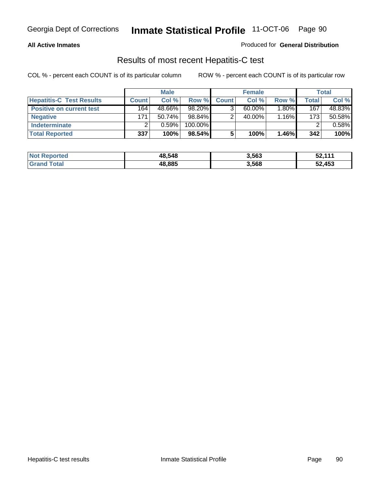#### **All Active Inmates**

#### Produced for **General Distribution**

### Results of most recent Hepatitis-C test

|                                 |              | <b>Male</b> |         |              | <b>Female</b> |          |                  | Total  |
|---------------------------------|--------------|-------------|---------|--------------|---------------|----------|------------------|--------|
| <b>Hepatitis-C Test Results</b> | <b>Count</b> | Col %       | Row %I  | <b>Count</b> | Col %         | Row %    | Total .          | Col %  |
| <b>Positive on current test</b> | 164          | 48.66%      | 98.20%  |              | $60.00\%$     | $1.80\%$ | 167              | 48.83% |
| <b>Negative</b>                 | 171          | $50.74\%$   | 98.84%  |              | 40.00%        | 1.16%    | 173 <sub>1</sub> | 50.58% |
| <b>Indeterminate</b>            |              | 0.59%       | 100.00% |              |               |          |                  | 0.58%  |
| <b>Total Reported</b>           | 337          | 100%        | 98.54%  |              | 100%          | 1.46%    | 342              | 100%   |

| <b>Not Reported</b> | 48,548 | 3,563 | 52,111 |
|---------------------|--------|-------|--------|
| <b>Total</b>        | 48,885 | 3,568 | 52,453 |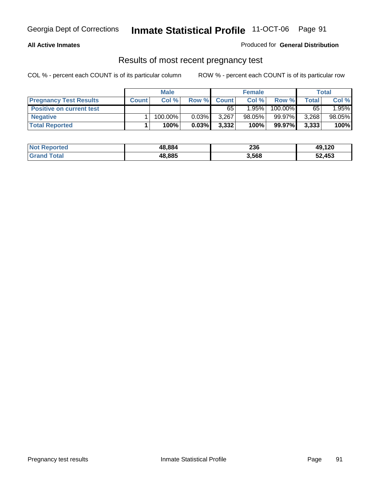#### **All Active Inmates**

#### Produced for **General Distribution**

### Results of most recent pregnancy test

|                                 | <b>Male</b>  |         | <b>Female</b> |              |           | <b>Total</b> |       |        |
|---------------------------------|--------------|---------|---------------|--------------|-----------|--------------|-------|--------|
| <b>Pregnancy Test Results</b>   | <b>Count</b> | Col %   | Row %         | <b>Count</b> | Col %     | Row %        | Total | Col %  |
| <b>Positive on current test</b> |              |         |               | 65           | 1.95%     | 100.00%      | 65    | 1.95%  |
| <b>Negative</b>                 |              | 100.00% | $0.03\%$      | 3,267        | $98.05\%$ | 99.97%       | 3,268 | 98.05% |
| <b>Total Reported</b>           |              | 100%    | 0.03%         | 3,332        | 100%      | 99.97%       | 3,333 | 100%   |

| <b>Not Reported</b> | 48.884 | 236   | 49,120 |
|---------------------|--------|-------|--------|
| <b>Grand Total</b>  | 48,885 | 3,568 | 52,453 |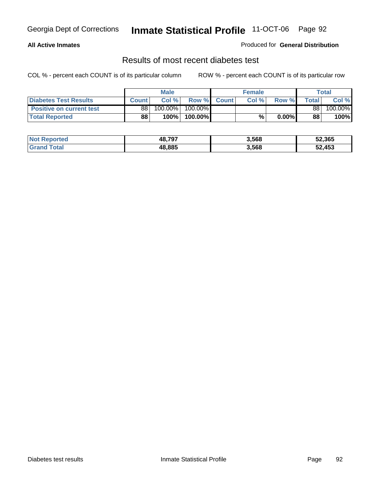#### **All Active Inmates**

#### Produced for **General Distribution**

### Results of most recent diabetes test

|                                 |              | <b>Male</b> |         |              | <b>Female</b> |        |              | <b>Total</b> |
|---------------------------------|--------------|-------------|---------|--------------|---------------|--------|--------------|--------------|
| <b>Diabetes Test Results</b>    | <b>Count</b> | Col %       | Row %   | <b>Count</b> | Col %         | Row %I | <b>Total</b> | Col %        |
| <b>Positive on current test</b> | 88           | $100.00\%$  | 100.00% |              |               |        | 88           | 100.00%      |
| <b>Total Reported</b>           | 88           | $100\%$     | 100.00% |              | %             | 0.00%  | 88           | 100%         |

| <b>Not Reported</b> | 48.797 | 3,568 | 52,365 |
|---------------------|--------|-------|--------|
| Γotal<br>Grand      | 48.885 | 3,568 | 52,453 |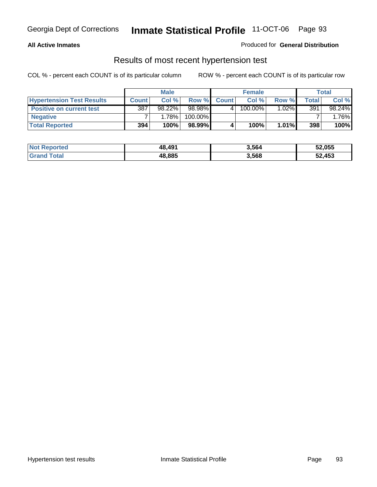#### **All Active Inmates**

#### Produced for **General Distribution**

### Results of most recent hypertension test

|                                  |              | <b>Male</b> |         |              | <b>Female</b> |          |       | Total  |
|----------------------------------|--------------|-------------|---------|--------------|---------------|----------|-------|--------|
| <b>Hypertension Test Results</b> | <b>Count</b> | Col%        | Row %   | <b>Count</b> | Col%          | Row %    | Total | Col %  |
| <b>Positive on current test</b>  | 387          | 98.22%      | 98.98%  |              | 100.00%       | $1.02\%$ | 391   | 98.24% |
| <b>Negative</b>                  |              | 1.78%       | 100.00% |              |               |          |       | .76%   |
| <b>Total Reported</b>            | 394          | 100%        | 98.99%  |              | 100%          | $1.01\%$ | 398   | 100%   |

| <b>Not Reported</b> | 48.491 | 3,564 | 52,055 |
|---------------------|--------|-------|--------|
| <b>Grand Total</b>  | 48,885 | 3,568 | 52,453 |